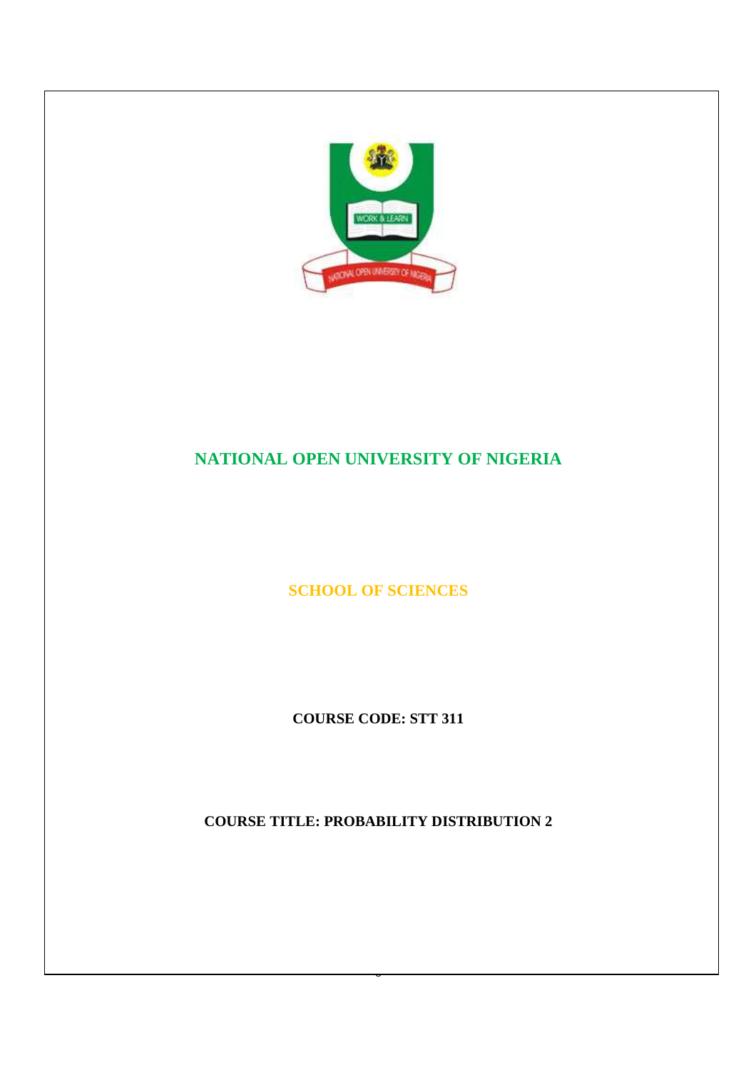

# **NATIONAL OPEN UNIVERSITY OF NIGERIA**

**SCHOOL OF SCIENCES** 

**COURSE CODE: STT 311** 

**COURSE TITLE: PROBABILITY DISTRIBUTION 2** 

 $\overline{a}$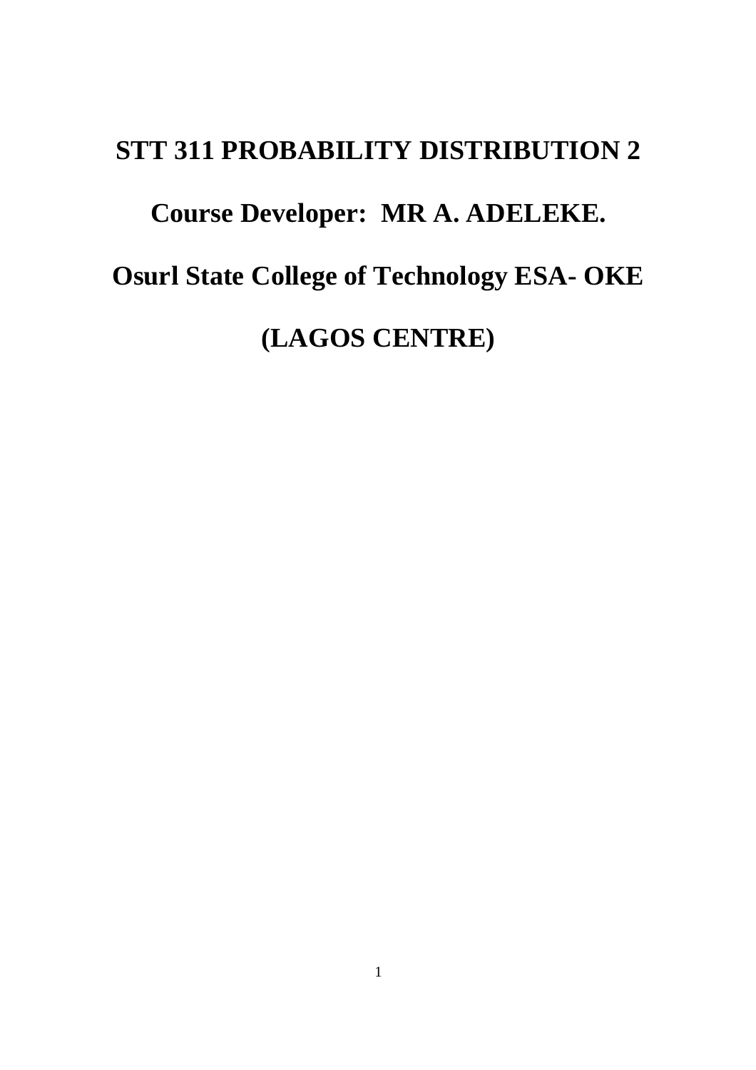# **STT 311 PROBABILITY DISTRIBUTION 2**

# **Course Developer: MR A. ADELEKE.**

**Osurl State College of Technology ESA- OKE** 

**(LAGOS CENTRE)**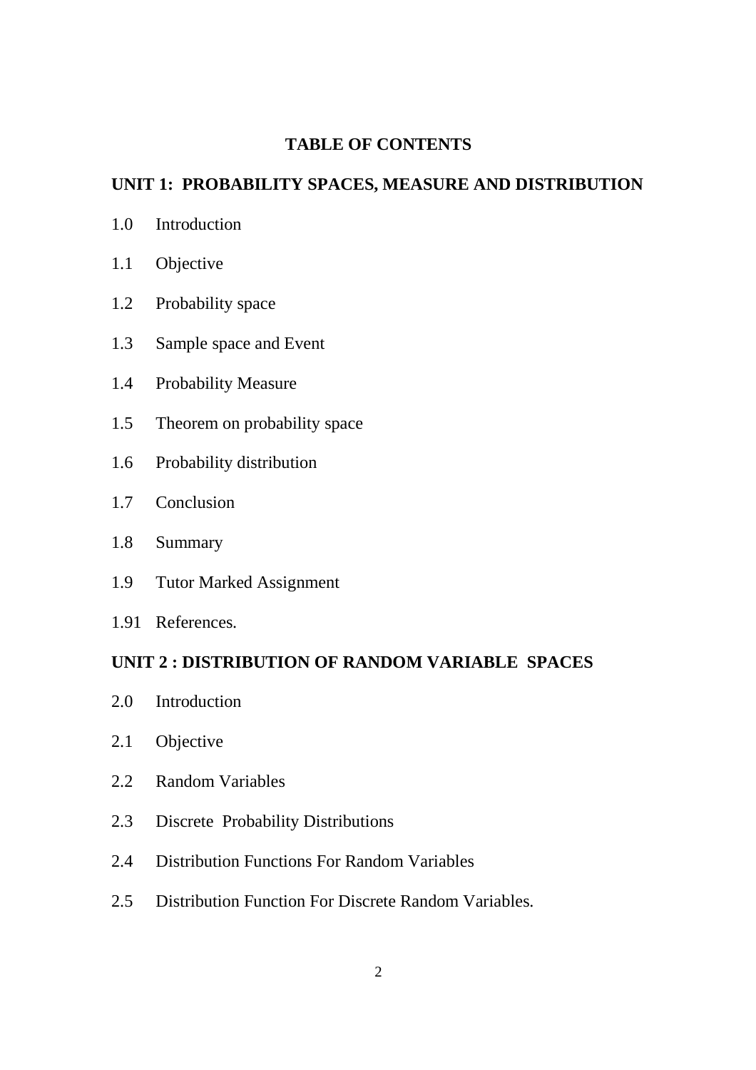## **TABLE OF CONTENTS**

## **UNIT 1: PROBABILITY SPACES, MEASURE AND DISTRIBUTION**

- 1.0 Introduction
- 1.1 Objective
- 1.2 Probability space
- 1.3 Sample space and Event
- 1.4 Probability Measure
- 1.5 Theorem on probability space
- 1.6 Probability distribution
- 1.7 Conclusion
- 1.8 Summary
- 1.9 Tutor Marked Assignment
- 1.91 References.

## **UNIT 2 : DISTRIBUTION OF RANDOM VARIABLE SPACES**

- 2.0 Introduction
- 2.1 Objective
- 2.2 Random Variables
- 2.3 Discrete Probability Distributions
- 2.4 Distribution Functions For Random Variables
- 2.5 Distribution Function For Discrete Random Variables.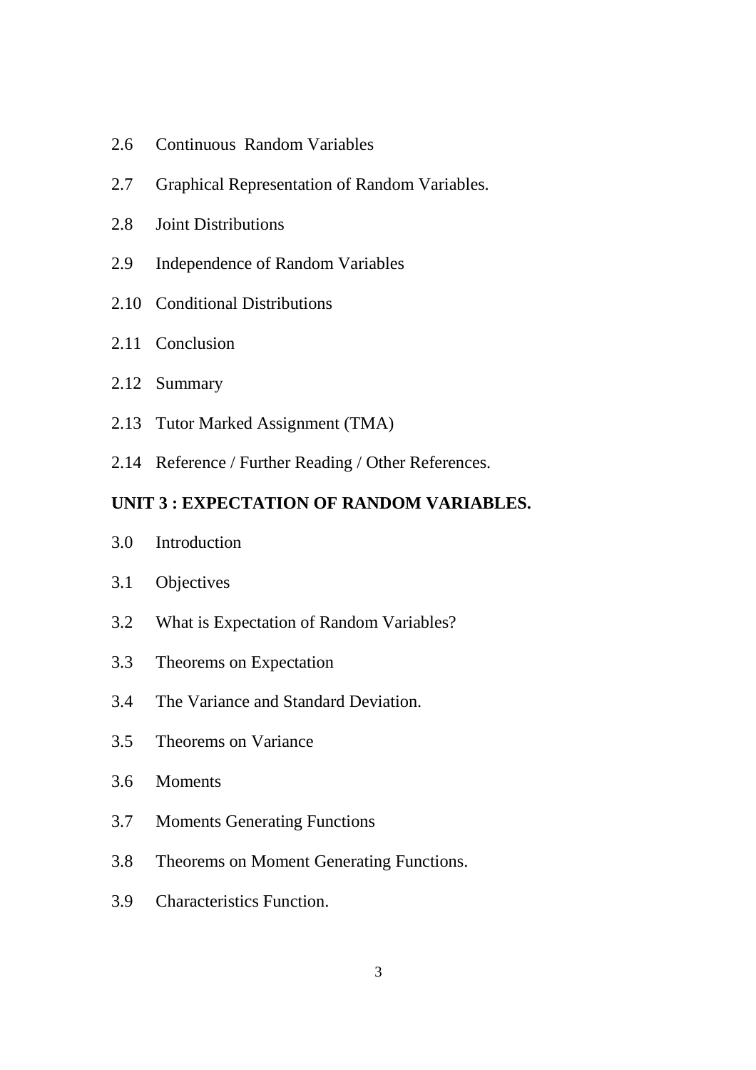- 2.6 Continuous Random Variables
- 2.7 Graphical Representation of Random Variables.
- 2.8 Joint Distributions
- 2.9 Independence of Random Variables
- 2.10 Conditional Distributions
- 2.11 Conclusion
- 2.12 Summary
- 2.13 Tutor Marked Assignment (TMA)
- 2.14 Reference / Further Reading / Other References.

## **UNIT 3 : EXPECTATION OF RANDOM VARIABLES.**

- 3.0 Introduction
- 3.1 Objectives
- 3.2 What is Expectation of Random Variables?
- 3.3 Theorems on Expectation
- 3.4 The Variance and Standard Deviation.
- 3.5 Theorems on Variance
- 3.6 Moments
- 3.7 Moments Generating Functions
- 3.8 Theorems on Moment Generating Functions.
- 3.9 Characteristics Function.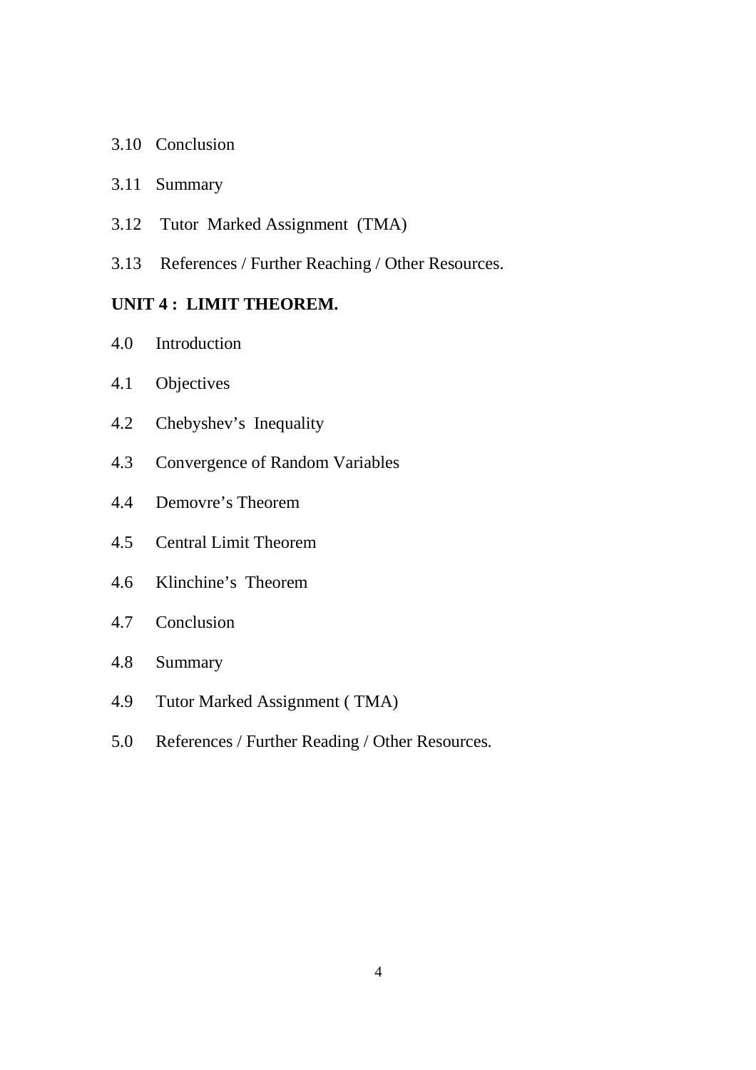- 3.10 Conclusion
- 3.11 Summary
- 3.12 Tutor Marked Assignment (TMA)
- 3.13 References / Further Reaching / Other Resources.

# **UNIT 4 : LIMIT THEOREM.**

- 4.0 Introduction
- 4.1 Objectives
- 4.2 Chebyshev's Inequality
- 4.3 Convergence of Random Variables
- 4.4 Demovre's Theorem
- 4.5 Central Limit Theorem
- 4.6 Klinchine's Theorem
- 4.7 Conclusion
- 4.8 Summary
- 4.9 Tutor Marked Assignment ( TMA)
- 5.0 References / Further Reading / Other Resources.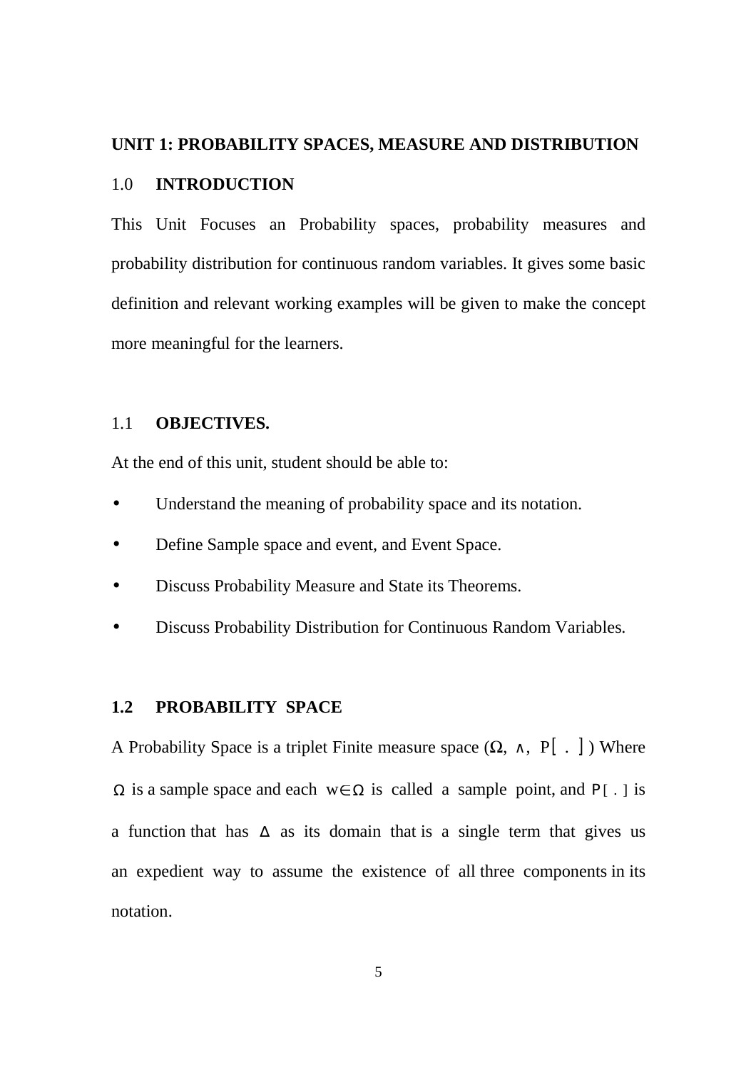#### **UNIT 1: PROBABILITY SPACES, MEASURE AND DISTRIBUTION**

#### 1.0 **INTRODUCTION**

This Unit Focuses an Probability spaces, probability measures and probability distribution for continuous random variables. It gives some basic definition and relevant working examples will be given to make the concept more meaningful for the learners.

#### 1.1 **OBJECTIVES.**

At the end of this unit, student should be able to:

- Understand the meaning of probability space and its notation.
- Define Sample space and event, and Event Space.
- Discuss Probability Measure and State its Theorems.
- Discuss Probability Distribution for Continuous Random Variables.

## **1.2 PROBABILITY SPACE**

A Probability Space is a triplet Finite measure space  $(\Omega, \wedge, P[\cdot, ])$  Where  $\Omega$  is a sample space and each w∈  $\Omega$  is called a sample point, and P[.] is a function that has ∆ as its domain that is a single term that gives us an expedient way to assume the existence of all three components in its notation.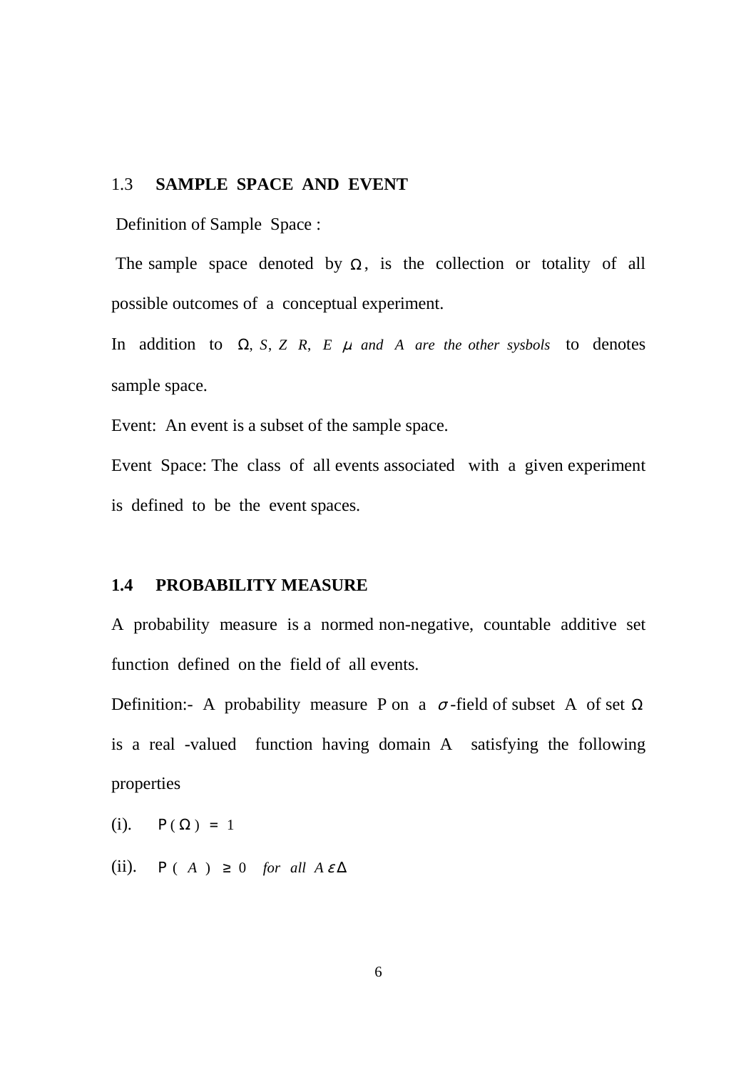#### 1.3 **SAMPLE SPACE AND EVENT**

Definition of Sample Space :

The sample space denoted by  $\Omega$ , is the collection or totality of all possible outcomes of a conceptual experiment.

In addition to  $\Omega$ , *S*, *Z R*, *E*  $\mu$  *and A are the other sysbols* to denotes sample space.

Event: An event is a subset of the sample space.

Event Space: The class of all events associated with a given experiment is defined to be the event spaces.

#### **1.4 PROBABILITY MEASURE**

A probability measure is a normed non-negative, countable additive set function defined on the field of all events.

Definition:- A probability measure P on a  $\sigma$ -field of subset A of set  $\Omega$ is a real -valued function having domain A satisfying the following properties

(i).  $P(\Omega) = 1$ 

(ii).  $P(A) \ge 0$  *for all*  $A \in \Delta$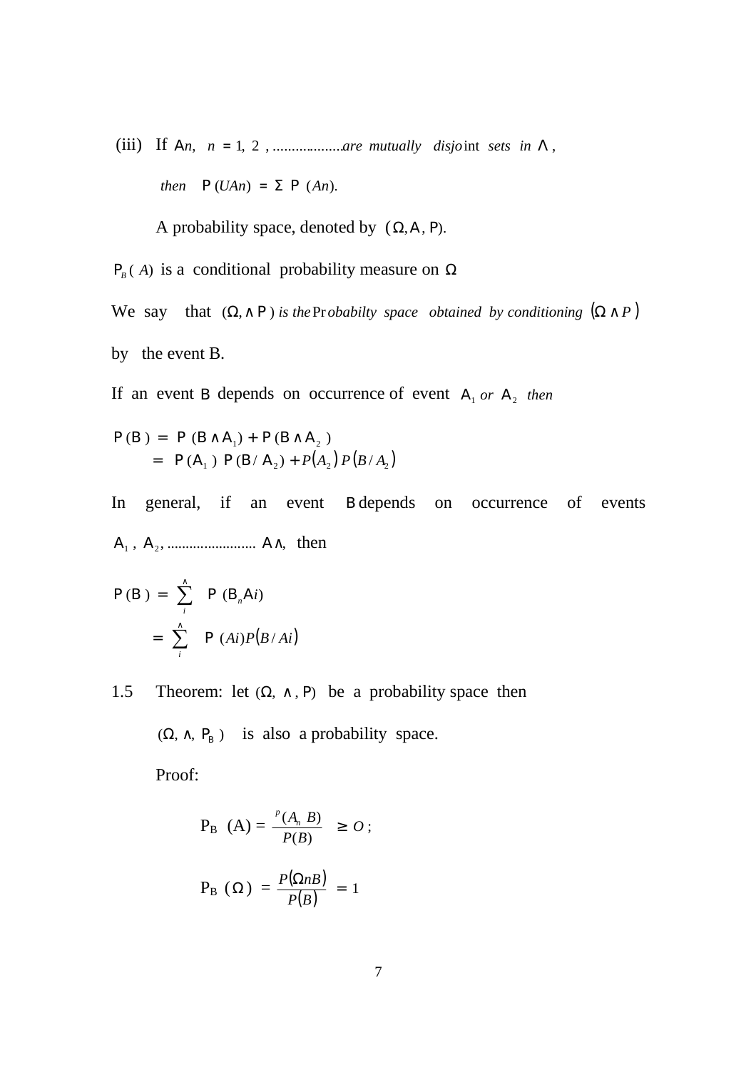(iii) If Α*n*, *n* = ,2,1 ...................*are mutually disjo*int *sets in* Λ , *then*  $P(UAn) = \sum P(An)$ .

A probability space, denoted by  $(\Omega, A, P)$ .

 $P_B(A)$  is a conditional probability measure on  $\Omega$ 

We say that  $(\Omega, \wedge P)$  *is the*Pr *obabilty space obtained by conditioning*  $(\Omega \wedge P)$ by the event B.

If an event B depends on occurrence of event A<sub>1</sub> or A<sub>2</sub> then

$$
P(B) = P (B \wedge A_1) + P (B \wedge A_2)
$$
  
= P (A<sub>1</sub>) P (B/A<sub>2</sub>) + P(A<sub>2</sub>) P (B/A<sub>2</sub>)

In general, if an event B depends on occurrence of events , , ........................ , Α<sup>1</sup> Α<sup>2</sup> ∧Α then

$$
P(B) = \sum_{i}^{A} P(B_{n}Ai)
$$
  
=  $\sum_{i}^{A} P(Ai)P(B/Ai)$ 

1.5 Theorem: let  $(\Omega, \wedge, P)$  be a probability space then

 $(\Omega, \wedge, P_B)$  is also a probability space.

Proof:

$$
P_B (A) = \frac{P(A_n \ B)}{P(B)} \geq O;
$$

$$
P_{B} (\Omega) = \frac{P(\Omega n B)}{P(B)} = 1
$$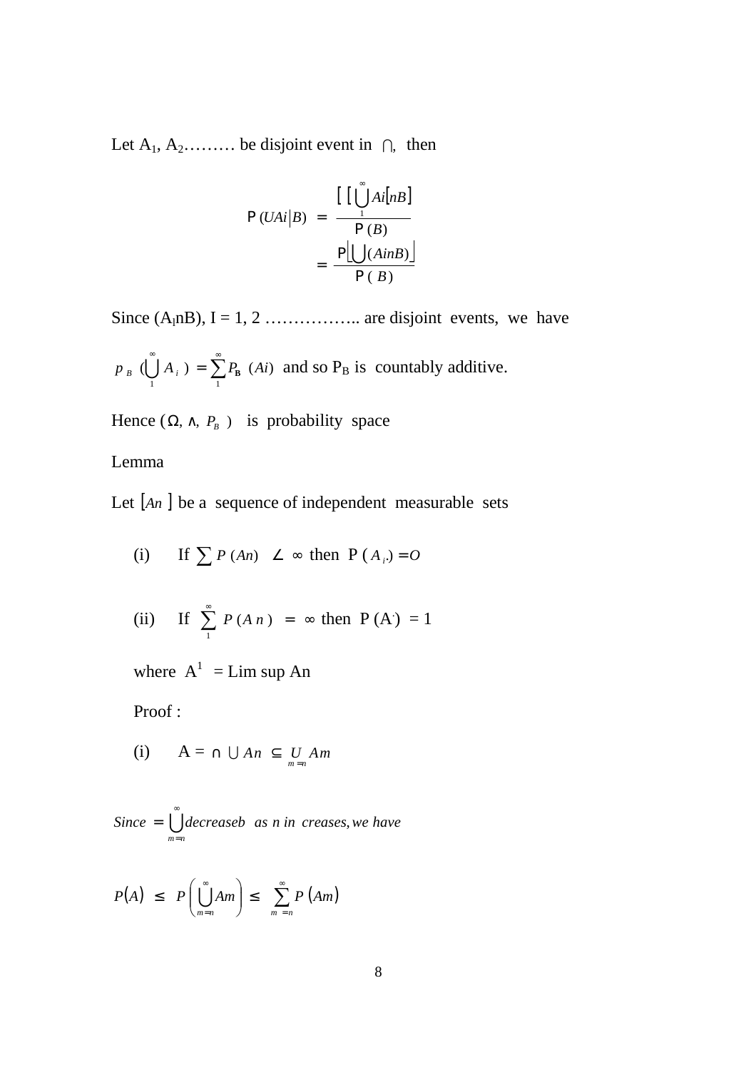Let  $A_1, A_2, \ldots$  be disjoint event in  $\bigcap$ , then

$$
P (UAi|B) = \frac{\left[ \left[ \prod_{i=1}^{\infty} Ai[nB] \right] - \frac{P[\bigcup_{i=1}^{\infty} (AinB)]}{P(B)} \right]}{P(B)}
$$

Since  $(A_1nB)$ ,  $I = 1, 2, \ldots, A_n$  are disjoint events, we have

 $\bigcup^{\infty} A_i$  ) =  $\sum^{\infty}$ 1 1  $p_B$  ( $\bigcup A_i$ ) =  $\sum P_B$  (*Ai*) and so  $P_B$  is countably additive.

Hence  $(\Omega, \wedge, P_B)$  is probability space

#### Lemma

Let [*An* ] be a sequence of independent measurable sets

(i) If 
$$
\sum P (An) \leq \infty
$$
 then  $P(A_i) = 0$ 

(ii) If 
$$
\sum_{1}^{\infty} P(A n) = \infty
$$
 then  $P(A) = 1$ 

where  $A^1 = Lim \sup An$ 

Proof :

(i) 
$$
A = \cap \bigcup An \subseteq \bigcup_{m=n} A_m
$$

 $\mathring{\bigcup}$ = = *nm Since decreaseb as inn creases*,*we have*

$$
P(A) \leq P\left(\bigcup_{m=n}^{\infty} A m\right) \leq \sum_{m=n}^{\infty} P\left(A m\right)
$$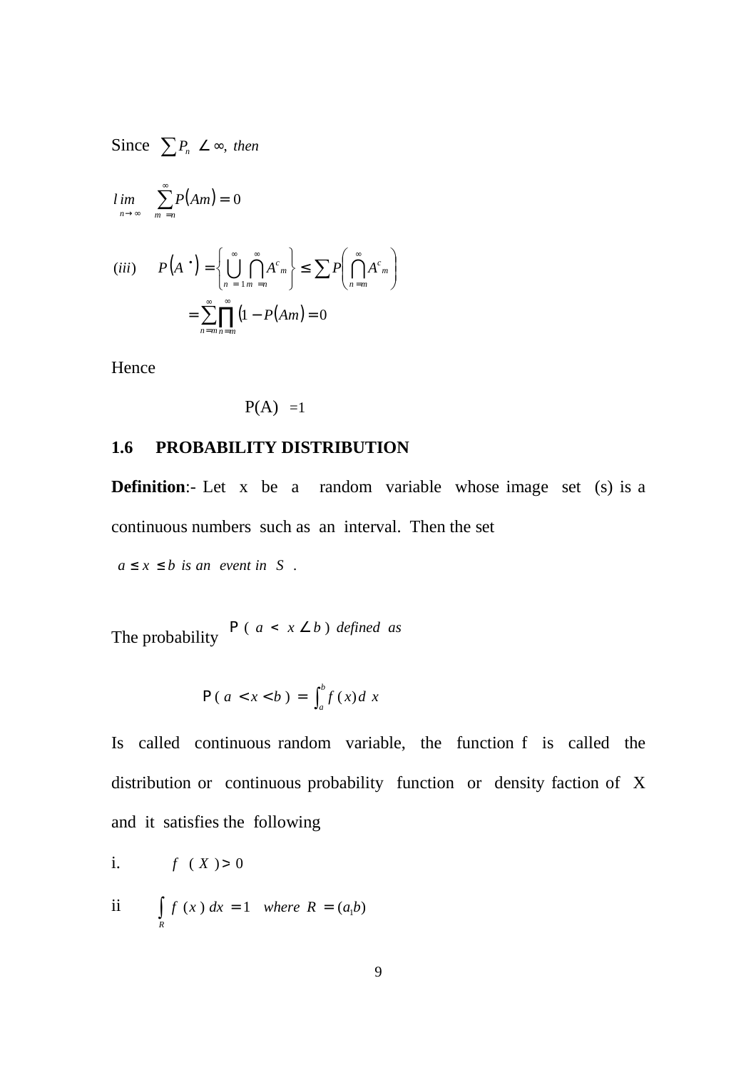Since  $\sum P_n \angle \infty$ , then

$$
\lim_{n \to \infty} \sum_{m=n}^{\infty} P(Am) = 0
$$
\n
$$
(iii) \qquad P(A^{\bullet}) = \left\{ \bigcup_{n=1}^{\infty} \bigcap_{m=n}^{\infty} A^c_m \right\} \le \sum P\left(\bigcap_{n=m}^{\infty} A^c_m \right)
$$
\n
$$
= \sum_{n=m}^{\infty} \prod_{m=n=m}^{\infty} (1 - P(Am) = 0
$$

Hence

$$
P(A) = 1
$$

#### **1.6 PROBABILITY DISTRIBUTION**

**Definition:**- Let x be a random variable whose image set (s) is a continuous numbers such as an interval. Then the set

 $a \leq x \leq b$  *is an event in S*.

The probability  $P(a < x \leq b)$  *defined as* 

$$
P(a < x < b) = \int_a^b f(x) dx
$$

Is called continuous random variable, the function f is called the distribution or continuous probability function or density faction of X and it satisfies the following

$$
i. \qquad f(X) > 0
$$

$$
ii \qquad \int\limits_R f(x) \, dx = 1 \quad \text{where } R = (a_1 b)
$$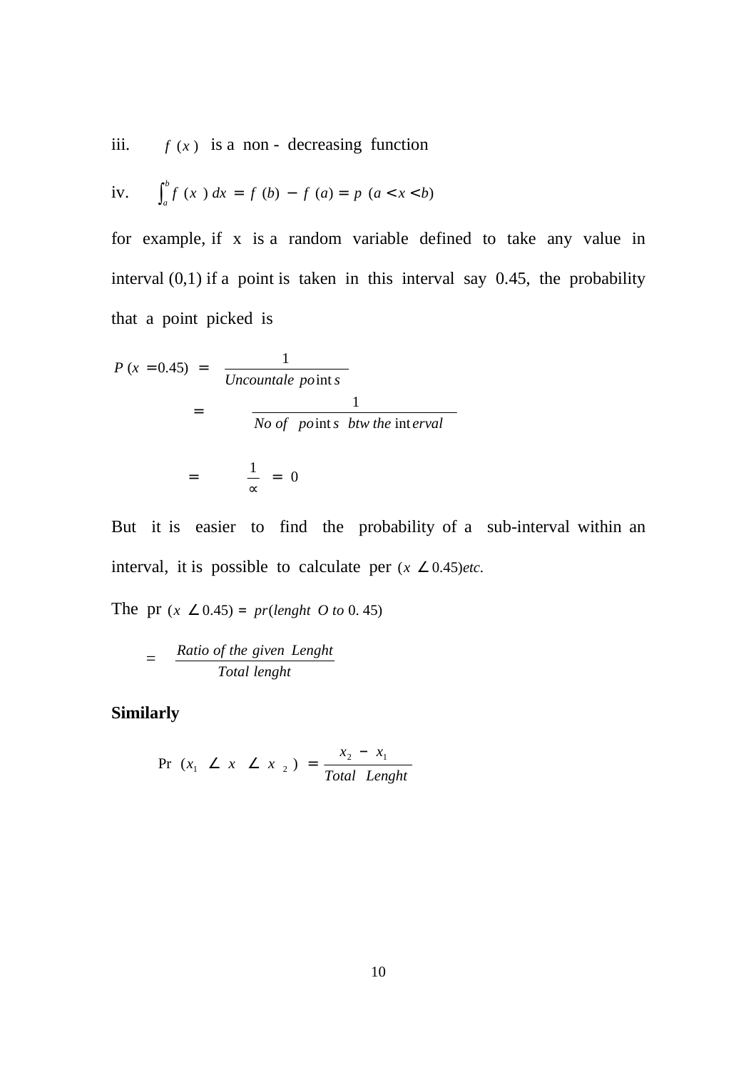iii.  $f(x)$  is a non - decreasing function

iv. 
$$
\int_a^b f(x) dx = f(b) - f(a) = p(a < x < b)
$$

for example, if x is a random variable defined to take any value in interval (0,1) if a point is taken in this interval say 0.45, the probability that a point picked is

$$
P (x = 0.45) = \frac{1}{Uncountale points}
$$
  
= 
$$
\frac{1}{No \text{ of points } btw \text{ the interval}}
$$
  
= 
$$
\frac{1}{\infty} = 0
$$

But it is easier to find the probability of a sub-interval within an interval, it is possible to calculate per  $(x \ge 0.45)$ etc.

The pr  $(x \angle 0.45) = pr(lenght \space 0.60, 45)$ .

$$
= \frac{Ratio of the given Length}{Total length}
$$

**Similarly** 

$$
\Pr(x_1 \angle x \angle x_2) = \frac{x_2 - x_1}{Total \ Length}
$$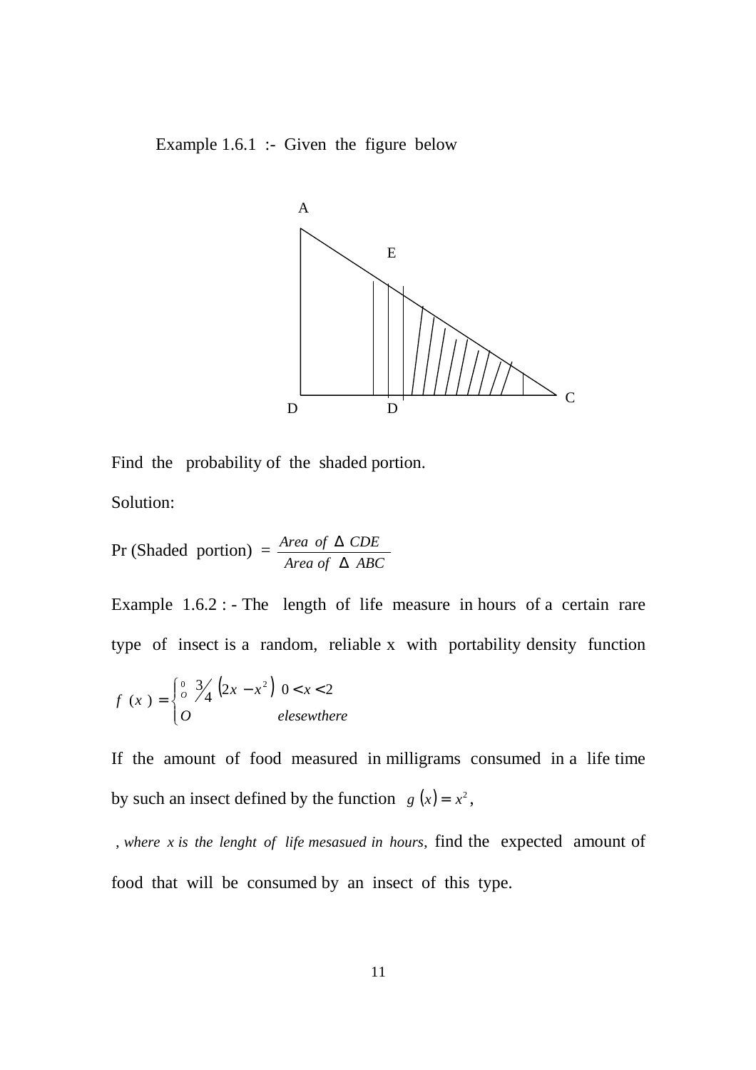Example 1.6.1 :- Given the figure below



Find the probability of the shaded portion.

Solution:

$$
Pr (Shaded portion) = \frac{Area \ of \ \Delta \ CDE}{Area \ of \ \Delta \ ABC}
$$

Example 1.6.2 : - The length of life measure in hours of a certain rare type of insect is a random, reliable x with portability density function

$$
f(x) = \begin{cases} \n\frac{0}{0} & \text{if } 3/4 \text{ (2}x - x^2) & 0 < x < 2 \\ \n0 & \text{elsewhere} \n\end{cases}
$$

If the amount of food measured in milligrams consumed in a life time by such an insect defined by the function  $g(x) = x^2$ ,

, where *x* is the lenght of life mesasued in hours, find the expected amount of food that will be consumed by an insect of this type.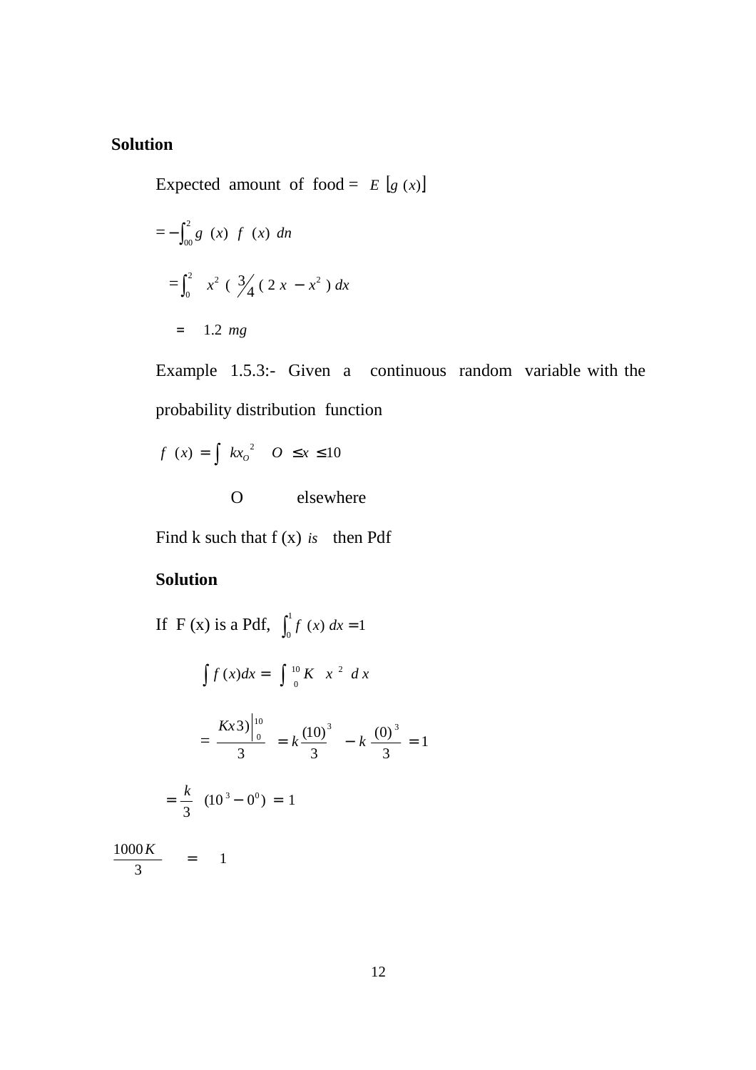#### **Solution**

Expected amount of food =  $E[g(x)]$ 

$$
=-\int_{00}^{2} g(x) f(x) \, dn
$$
  

$$
=\int_{0}^{2} x^{2} (\frac{3}{4} (2x - x^{2}) dx)
$$
  

$$
= 1.2 mg
$$

Example 1.5.3:- Given a continuous random variable with the probability distribution function

$$
f(x) = \int kx_0^2 \quad 0 \le x \le 10
$$

O elsewhere

Find k such that f (x) *is* then Pdf

## **Solution**

If F(x) is a Pdf,  $\int_0^1 f(x) dx =$  $\int_{0}^{x} f(x) dx = 1$  $\int f(x)dx = \int_0^{10} K x^2 dx$  $(x)dx = \int_{0}^{10}$  $=\frac{10}{2} = k \frac{(10)}{2} - k \frac{(0)}{2} = 1$ 3  $(0)$ 3  $(10)$ 3  $\left.3\right)^{10}_{0}$   $_{L}$   $\left(10\right)^{3}$   $_{L}$   $\left(0\right)^{3}$ 10  $= k \frac{\Delta}{2}$   $- k \frac{\Delta}{2}$  = *Kx*  $=\frac{\kappa}{2}$   $(10^3 - 0^0) = 1$ 3  $=\frac{k}{2}$  (10<sup>3</sup> – 0<sup>0</sup>) =

3  $\frac{1000 K}{g} =$ 

1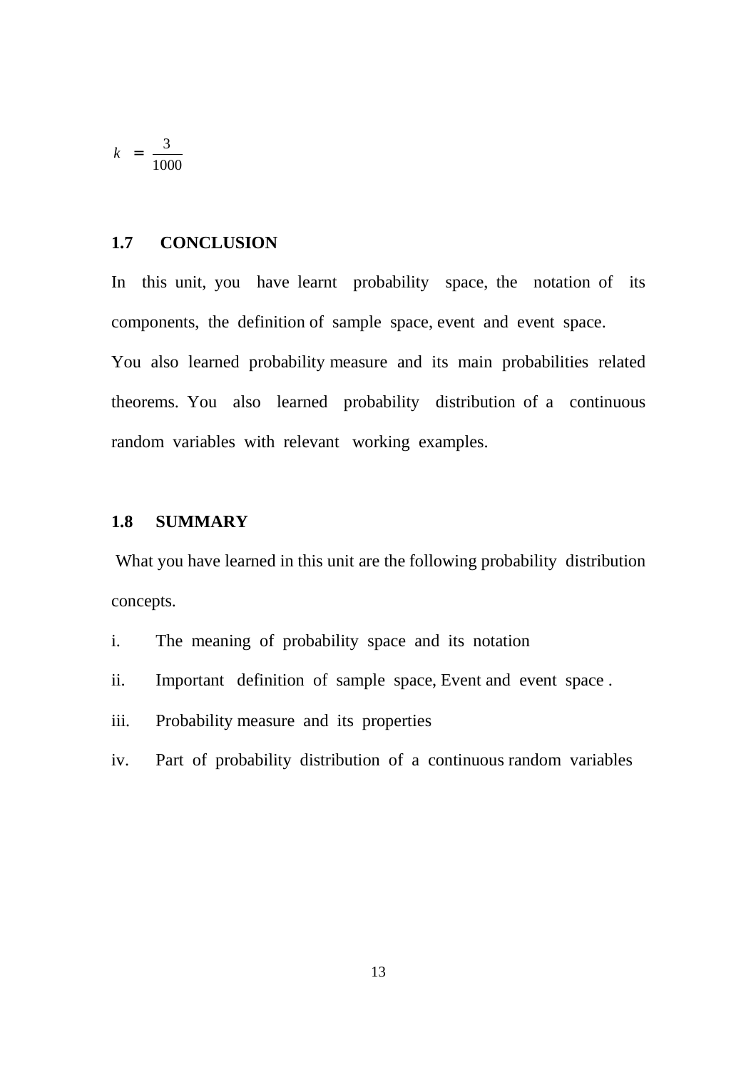$$
k = \frac{3}{1000}
$$

## **1.7 CONCLUSION**

In this unit, you have learnt probability space, the notation of its components, the definition of sample space, event and event space. You also learned probability measure and its main probabilities related theorems. You also learned probability distribution of a continuous random variables with relevant working examples.

#### **1.8 SUMMARY**

 What you have learned in this unit are the following probability distribution concepts.

- i. The meaning of probability space and its notation
- ii. Important definition of sample space, Event and event space .
- iii. Probability measure and its properties
- iv. Part of probability distribution of a continuous random variables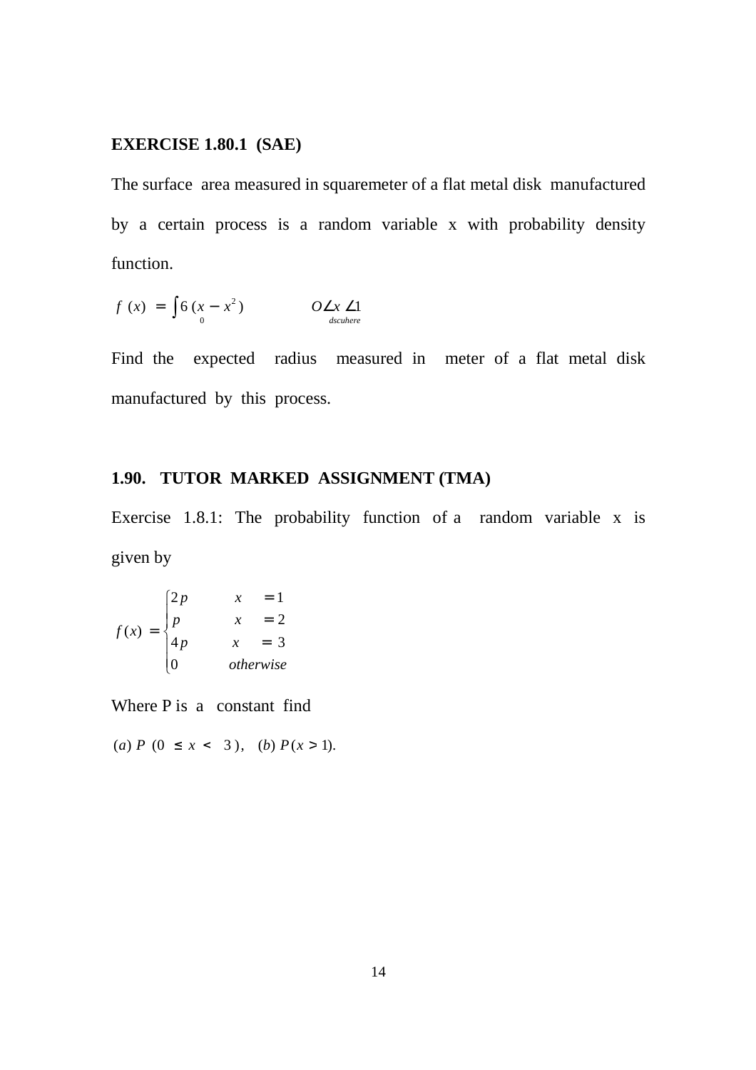## **EXERCISE 1.80.1 (SAE)**

The surface area measured in squaremeter of a flat metal disk manufactured by a certain process is a random variable x with probability density function.

$$
f(x) = \int_{0}^{x} 6(x - x^2) \qquad O \angle x \angle 1
$$
  
0  $\angle x \angle 1$ 

Find the expected radius measured in meter of a flat metal disk manufactured by this process.

## **1.90. TUTOR MARKED ASSIGNMENT (TMA)**

Exercise 1.8.1: The probability function of a random variable x is given by

$$
f(x) = \begin{cases} 2p & x = 1 \\ p & x = 2 \\ 4p & x = 3 \\ 0 & otherwise \end{cases}
$$

Where P is a constant find

(*a*)  $P(0 \le x < 3)$ , (*b*)  $P(x > 1)$ .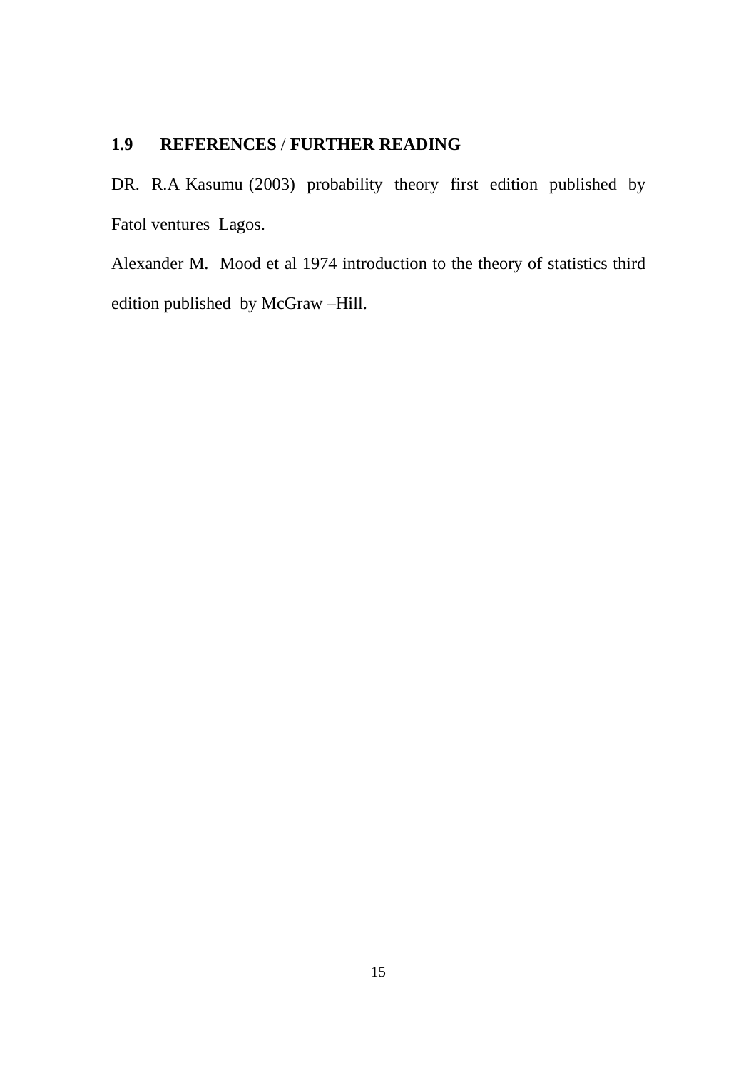## **1.9 REFERENCES** / **FURTHER READING**

DR. R.A Kasumu (2003) probability theory first edition published by Fatol ventures Lagos.

Alexander M. Mood et al 1974 introduction to the theory of statistics third edition published by McGraw –Hill.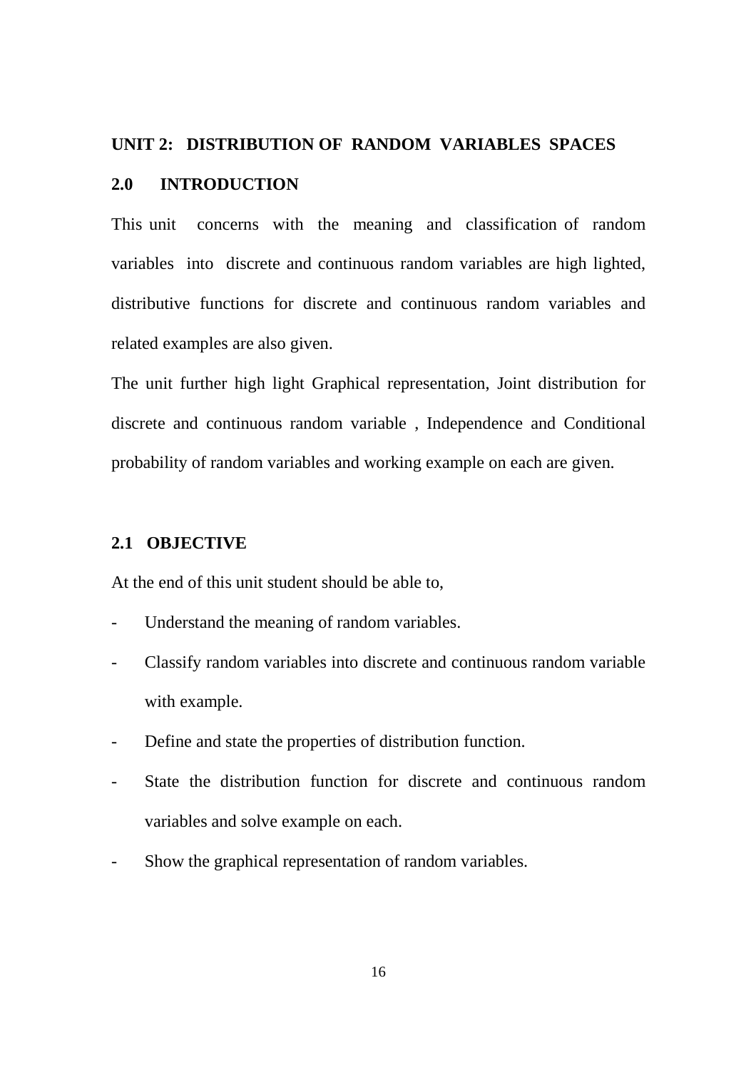#### **UNIT 2: DISTRIBUTION OF RANDOM VARIABLES SPACES**

#### **2.0 INTRODUCTION**

This unit concerns with the meaning and classification of random variables into discrete and continuous random variables are high lighted, distributive functions for discrete and continuous random variables and related examples are also given.

The unit further high light Graphical representation, Joint distribution for discrete and continuous random variable , Independence and Conditional probability of random variables and working example on each are given.

## **2.1 OBJECTIVE**

At the end of this unit student should be able to,

- Understand the meaning of random variables.
- Classify random variables into discrete and continuous random variable with example.
- Define and state the properties of distribution function.
- State the distribution function for discrete and continuous random variables and solve example on each.
- Show the graphical representation of random variables.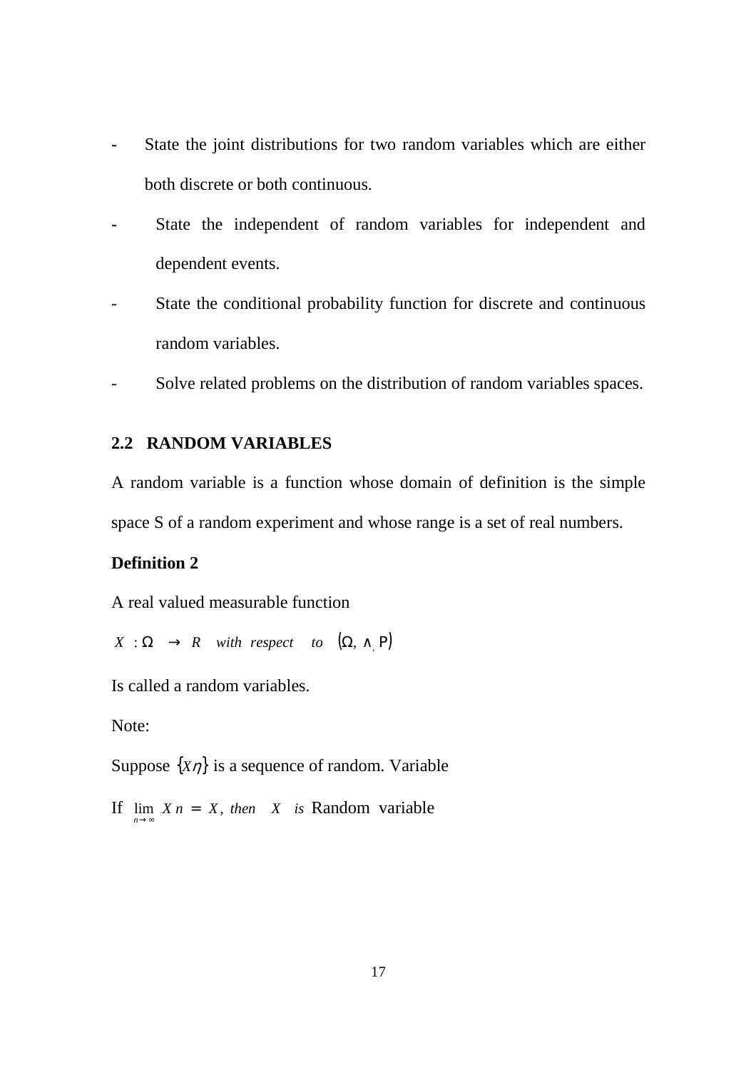- State the joint distributions for two random variables which are either both discrete or both continuous.
- State the independent of random variables for independent and dependent events.
- State the conditional probability function for discrete and continuous random variables.
- Solve related problems on the distribution of random variables spaces.

#### **2.2 RANDOM VARIABLES**

A random variable is a function whose domain of definition is the simple space S of a random experiment and whose range is a set of real numbers.

## **Definition 2**

A real valued measurable function

 $X : \Omega \rightarrow R$  *with respect to*  $(\Omega, \wedge P)$ 

Is called a random variables.

Note:

Suppose  $\{X\eta\}$  is a sequence of random. Variable

If  $\lim_{n \to \infty} X_n = X$ , then *X* is Random variable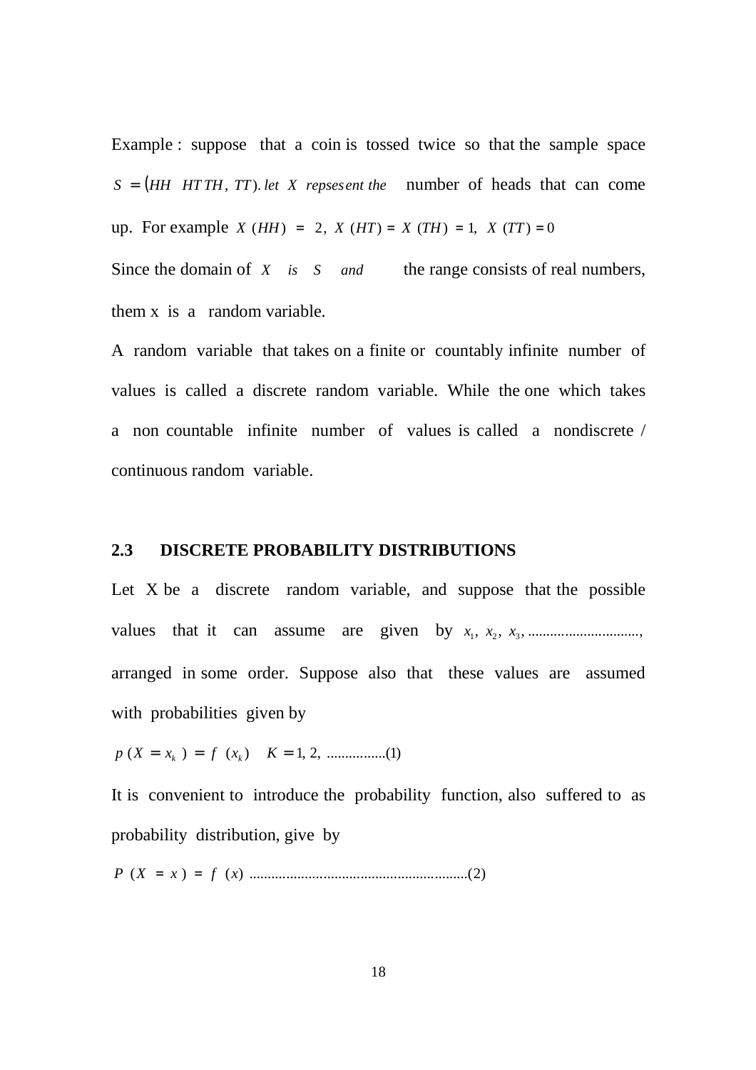Example : suppose that a coin is tossed twice so that the sample space  $S = (HH + TTH, TT)$ . *let X* repsesent the number of heads that can come up. For example *X* (*HH*) = 2, *X* (*HT*) = *X* (*TH*) = 1, *X* (*TT*) = 0 Since the domain of *X is S and* the range consists of real numbers,

them x is a random variable.

A random variable that takes on a finite or countably infinite number of values is called a discrete random variable. While the one which takes a non countable infinite number of values is called a nondiscrete / continuous random variable.

#### **2.3 DISCRETE PROBABILITY DISTRIBUTIONS**

Let X be a discrete random variable, and suppose that the possible values that it can assume are given by  $x_1, x_2, x_3, \dots$ arranged in some order. Suppose also that these values are assumed with probabilities given by

*p* (*X* = *x* ) = *f* (*x* ) *K* = ,2,1 ................( )1 *<sup>k</sup> <sup>k</sup>*

It is convenient to introduce the probability function, also suffered to as probability distribution, give by

*P* (*X* = *x* ) = *f x*)( ...........................................................( )2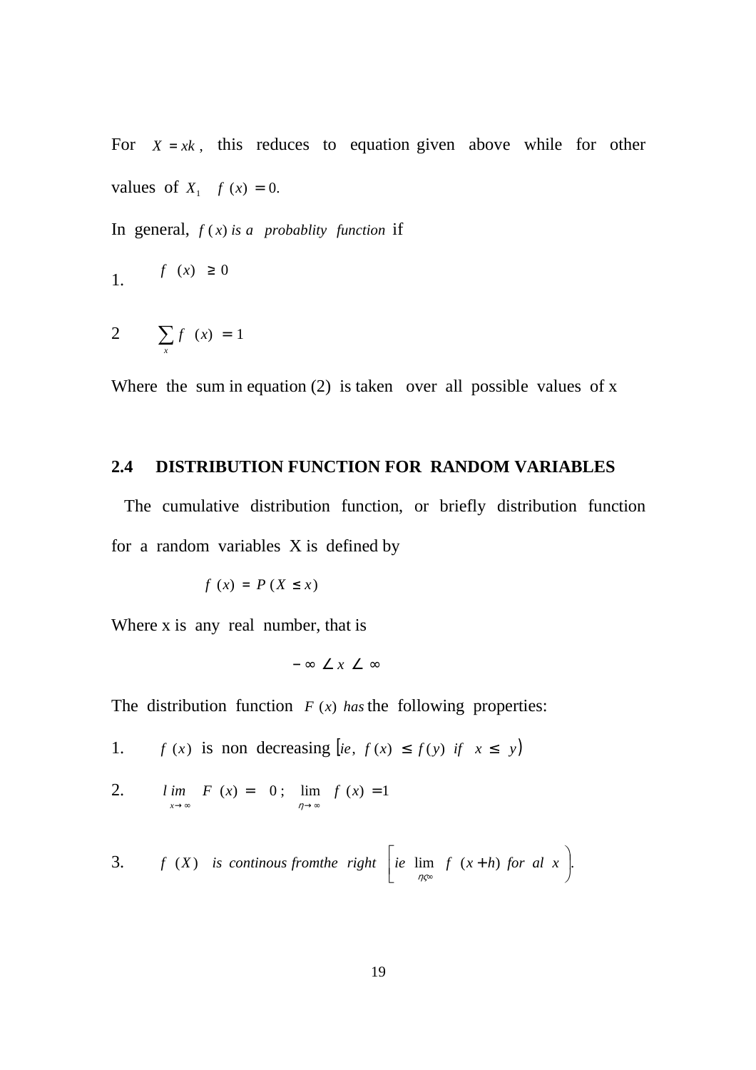For  $X = xk$ , this reduces to equation given above while for other values of  $X_1$   $f(x) = 0$ .

In general,  $f(x)$  *is a probablity function* if

$$
f(x) \ge 0
$$

$$
2 \qquad \sum_{x} f(x) = 1
$$

Where the sum in equation  $(2)$  is taken over all possible values of x

### **2.4 DISTRIBUTION FUNCTION FOR RANDOM VARIABLES**

 The cumulative distribution function, or briefly distribution function for a random variables X is defined by

$$
f(x) = P(X \leq x)
$$

Where x is any real number, that is

$$
-\infty \angle x \angle \infty
$$

The distribution function  $F(x)$  has the following properties:

- 1. *f* (*x*) is non decreasing [*ie*,  $f(x) \leq f(y)$  *if*  $x \leq y$ ]
- 2.  $\lim F(x) = 0$ ;  $\lim f(x) = 1$  $\rightarrow \infty$   $\eta \rightarrow \infty$ *l im*  $F(x) = 0$ ; *lim*  $f(x)$  $x \rightarrow \infty$   $\eta$

3. 
$$
f(X)
$$
 is continuous from the right  $\left[\begin{array}{cc}ie \lim_{\eta \infty} f(x+h) \text{ for all } x\end{array}\right]$ .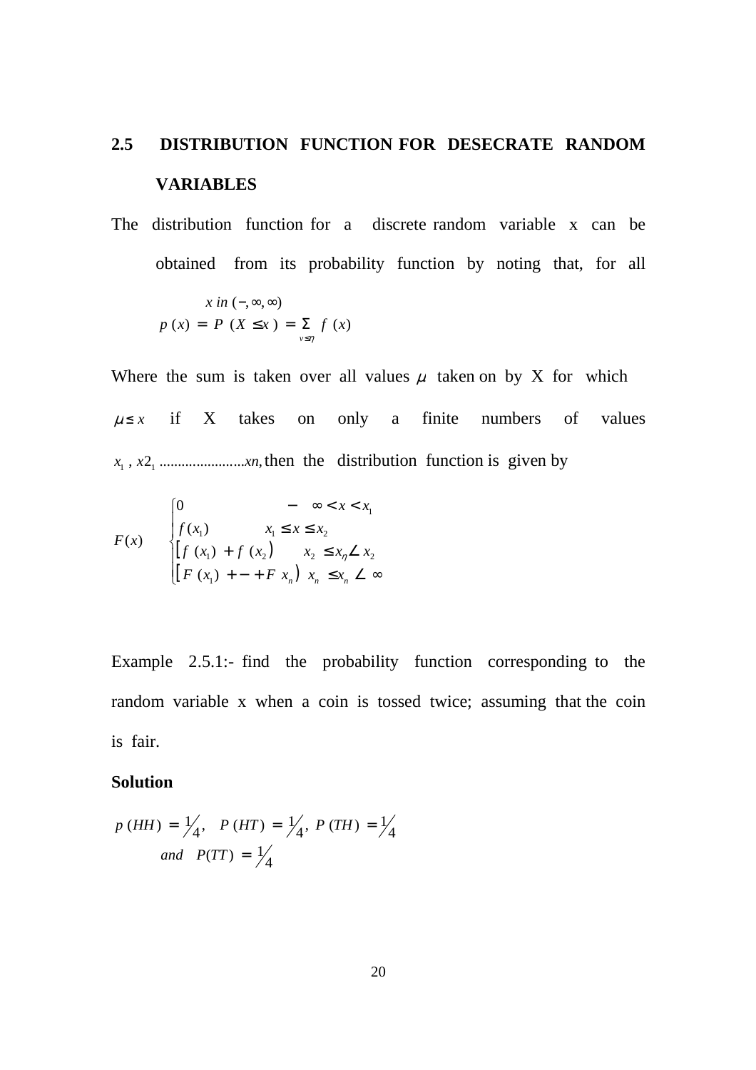# **2.5 DISTRIBUTION FUNCTION FOR DESECRATE RANDOM VARIABLES**

The distribution function for a discrete random variable x can be obtained from its probability function by noting that, for all

$$
x \text{ in } (-, \infty, \infty)
$$
  

$$
p(x) = P(X \leq x) = \sum_{v \leq \eta} f(x)
$$

Where the sum is taken over all values  $\mu$  taken on by X for which  $\mu \leq x$  if X takes on only a finite numbers of values , 2 ....................... , 1 1 *x x xn* then the distribution function is given by

$$
F(x) = \begin{cases} 0 & - \infty < x < x_1 \\ f(x_1) & x_1 \le x \le x_2 \\ [f(x_1) + f(x_2) & x_2 \le x_n \angle x_2 \\ [F(x_1) + - + F(x_n) & x_n \le x_n \angle \infty \end{cases}
$$

Example 2.5.1:- find the probability function corresponding to the random variable x when a coin is tossed twice; assuming that the coin is fair.

#### **Solution**

$$
p(HH) = \frac{1}{4}, \quad P(HT) = \frac{1}{4}, \quad P(TH) = \frac{1}{4}
$$
  
and  $P(TT) = \frac{1}{4}$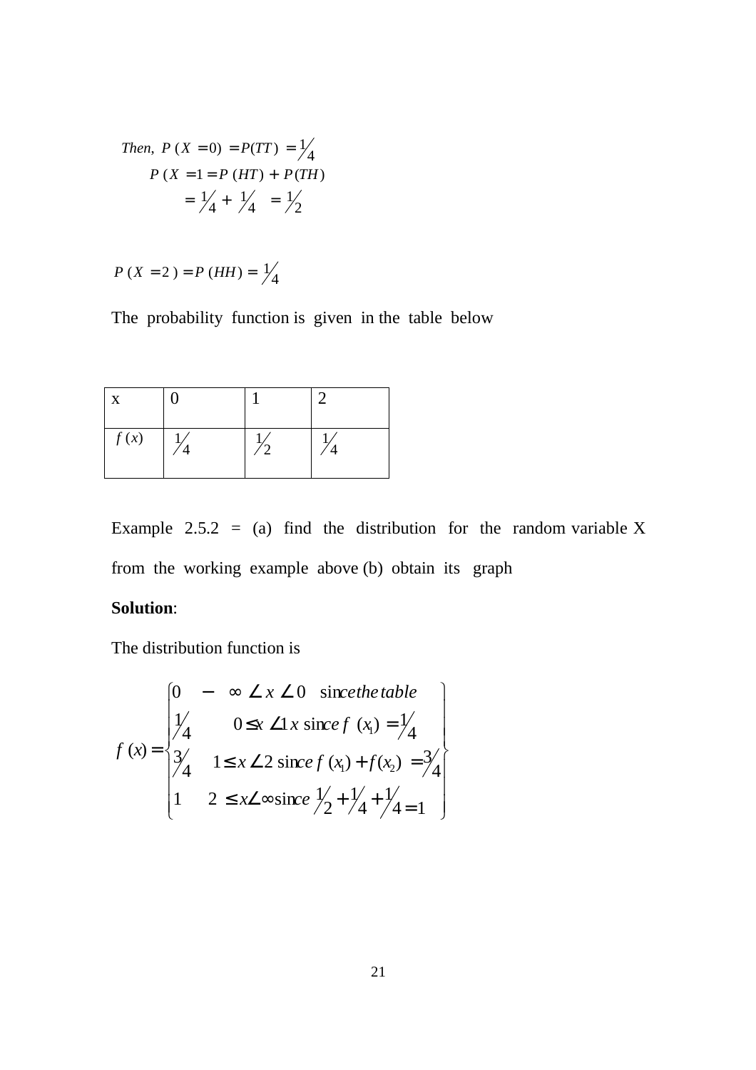Then, 
$$
P(X = 0) = P(TT) = \frac{1}{4}
$$
  
\n $P(X = 1 = P(HT) + P(TH)$   
\n $= \frac{1}{4} + \frac{1}{4} = \frac{1}{2}$ 

$$
P(X = 2) = P(HH) = \frac{1}{4}
$$

The probability function is given in the table below

| X    |  |  |
|------|--|--|
| f(x) |  |  |

Example 2.5.2 = (a) find the distribution for the random variable X from the working example above (b) obtain its graph

# **Solution**:

The distribution function is

$$
f(x) = \begin{cases} 0 & -\infty \angle x \angle 0 \quad \text{since the table} \\ 1/4 & 0 \le x \angle 1 \times \text{ since } f(x_1) = \frac{1}{4} \\ 3/4 & 1 \le x \angle 2 \text{ since } f(x_1) + f(x_2) = \frac{3}{4} \\ 1 & 2 \le x \angle \infty \text{ since } \frac{1}{2} + \frac{1}{4} + \frac{1}{4} = 1 \end{cases}
$$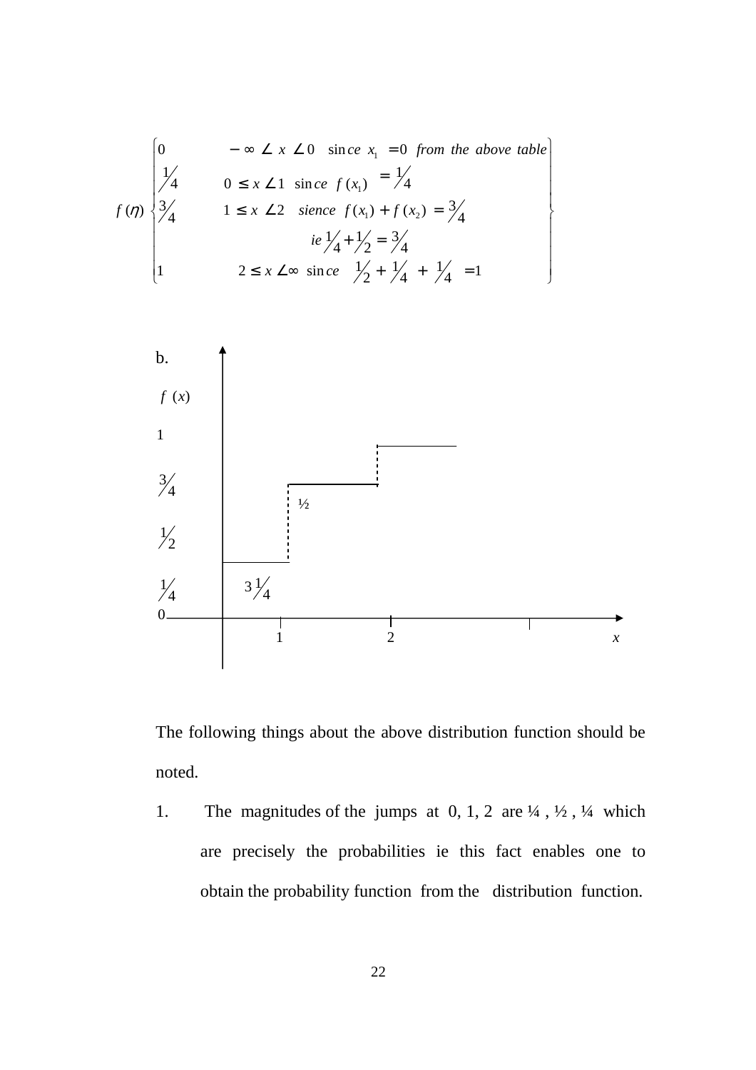$$
f(\eta) = \begin{cases} 0 & -\infty \le x \le 0 \text{ since } x_1 = 0 \text{ from the above table} \\ 1/4 & 0 \le x \le 1 \text{ since } f(x_1) = \frac{1}{4} \\ 3/4 & 1 \le x \le 2 \text{ since } f(x_1) + f(x_2) = \frac{3}{4} \\ i e \frac{1}{4} + \frac{1}{2} = \frac{3}{4} \\ 1 & 2 \le x \le \infty \text{ since } \frac{1}{2} + \frac{1}{4} + \frac{1}{4} = 1 \end{cases}
$$



The following things about the above distribution function should be noted.

1. The magnitudes of the jumps at  $0, 1, 2$  are  $\frac{1}{4}$ ,  $\frac{1}{2}$ ,  $\frac{1}{4}$  which are precisely the probabilities ie this fact enables one to obtain the probability function from the distribution function.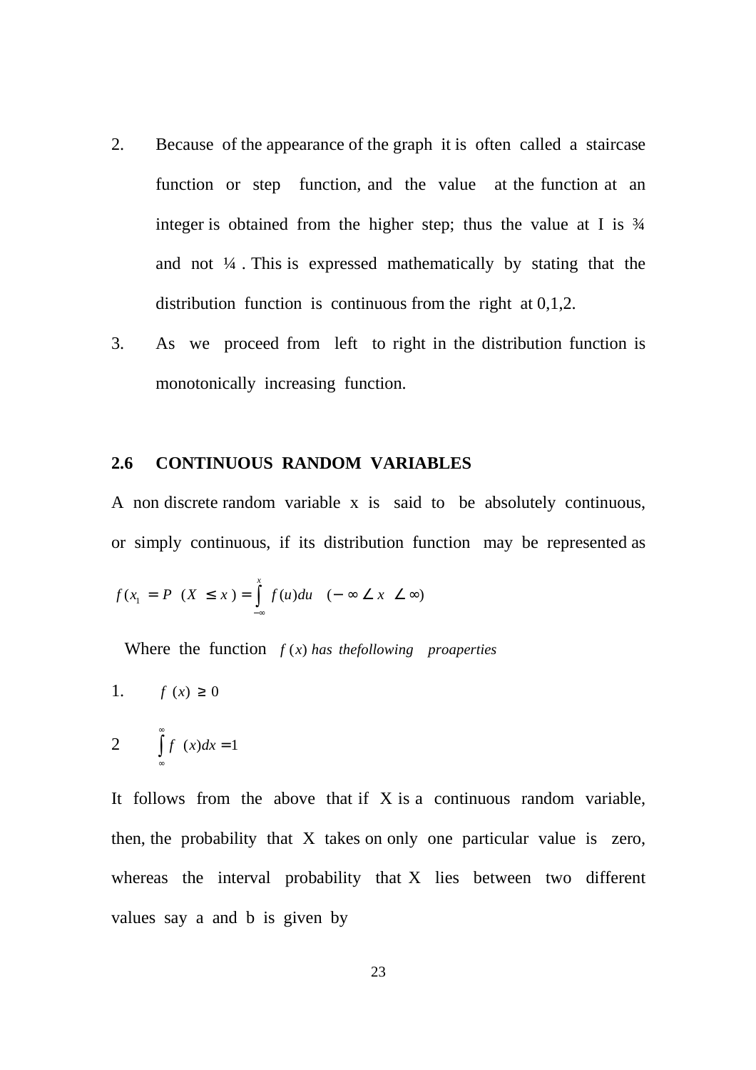- 2. Because of the appearance of the graph it is often called a staircase function or step function, and the value at the function at an integer is obtained from the higher step; thus the value at I is  $\frac{3}{4}$ and not  $\frac{1}{4}$ . This is expressed mathematically by stating that the distribution function is continuous from the right at 0,1,2.
- 3. As we proceed from left to right in the distribution function is monotonically increasing function.

#### **2.6 CONTINUOUS RANDOM VARIABLES**

A non discrete random variable x is said to be absolutely continuous, or simply continuous, if its distribution function may be represented as

$$
f(x_1 = P \ (X \le x) = \int_{-\infty}^{x} f(u) du \quad (-\infty \le x \le \infty)
$$

Where the function  $f(x)$  has the following *proaperties* 

1. 
$$
f(x) \ge 0
$$

$$
2 \qquad \int_{-\infty}^{\infty} f(x) dx = 1
$$

It follows from the above that if  $X$  is a continuous random variable, then, the probability that X takes on only one particular value is zero, whereas the interval probability that X lies between two different values say a and b is given by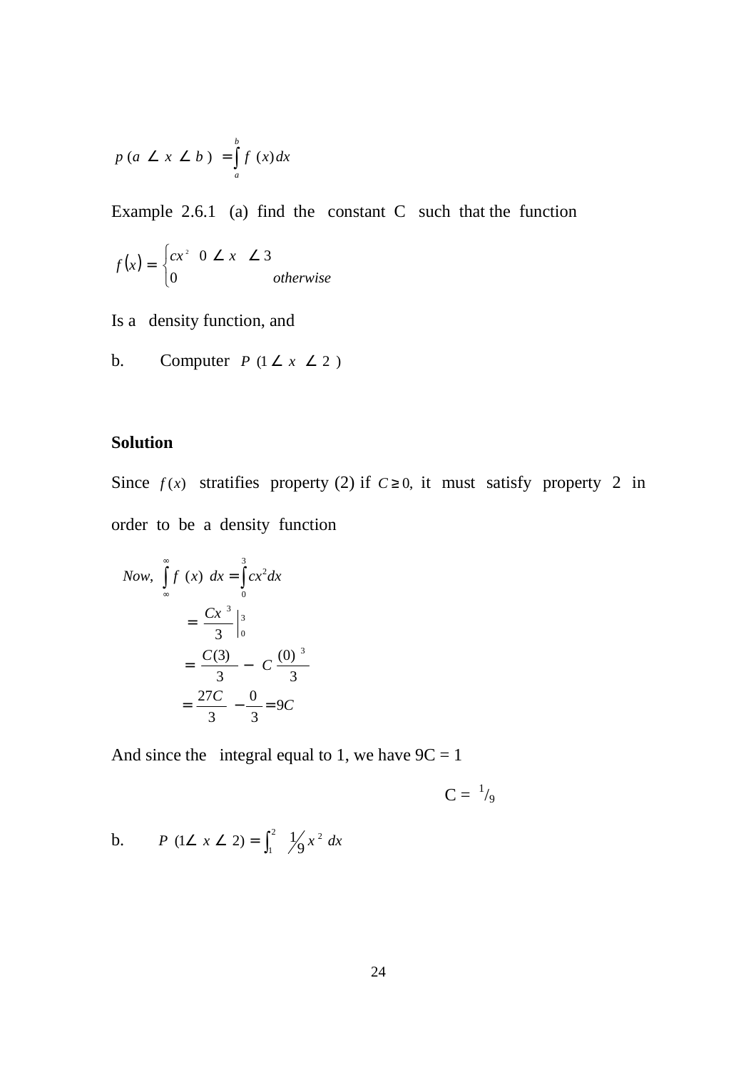$$
p\left(a \leq x \leq b\right) = \int_{a}^{b} f\left(x\right) dx
$$

Example 2.6.1 (a) find the constant C such that the function

$$
f(x) = \begin{cases} cx^2 & 0 \le x \le 3\\ 0 & otherwise \end{cases}
$$

Is a density function, and

b. Computer  $P$  ( $1 \le x \le 2$ )

## **Solution**

Since  $f(x)$  stratifies property (2) if  $C \ge 0$ , it must satisfy property 2 in order to be a density function

Now, 
$$
\int_{\infty}^{\infty} f(x) dx = \int_{0}^{3} cx^{2} dx
$$
  

$$
= \frac{Cx^{3}}{3} \Big|_{0}^{3}
$$

$$
= \frac{C(3)}{3} - C \frac{(0)^{3}}{3}
$$

$$
= \frac{27C}{3} - \frac{0}{3} = 9C
$$

And since the integral equal to 1, we have  $9C = 1$ 

 $C = \frac{1}{9}$ 

b. 
$$
P(1 \angle x \angle 2) = \int_1^2 \frac{1}{2} x^2 dx
$$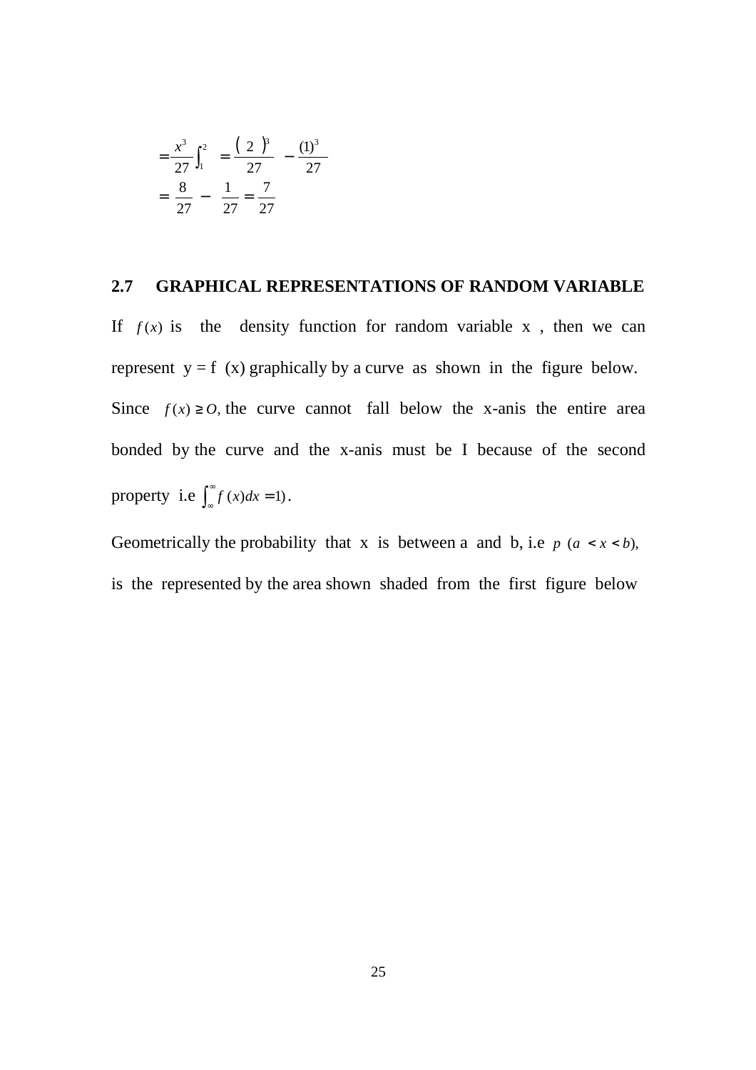$$
= \frac{x^3}{27} \int_1^2 = \frac{(2)^3}{27} - \frac{(1)^3}{27}
$$

$$
= \frac{8}{27} - \frac{1}{27} = \frac{7}{27}
$$

#### **2.7 GRAPHICAL REPRESENTATIONS OF RANDOM VARIABLE**

If  $f(x)$  is the density function for random variable x, then we can represent  $y = f(x)$  graphically by a curve as shown in the figure below. Since  $f(x) \ge 0$ , the curve cannot fall below the x-anis the entire area bonded by the curve and the x-anis must be I because of the second property i.e  $\int_{\infty}^{\infty}$  $\int_{-\infty}^{\infty} f(x) dx = 1$ .

Geometrically the probability that x is between a and b, i.e  $p$  ( $a < x < b$ ), is the represented by the area shown shaded from the first figure below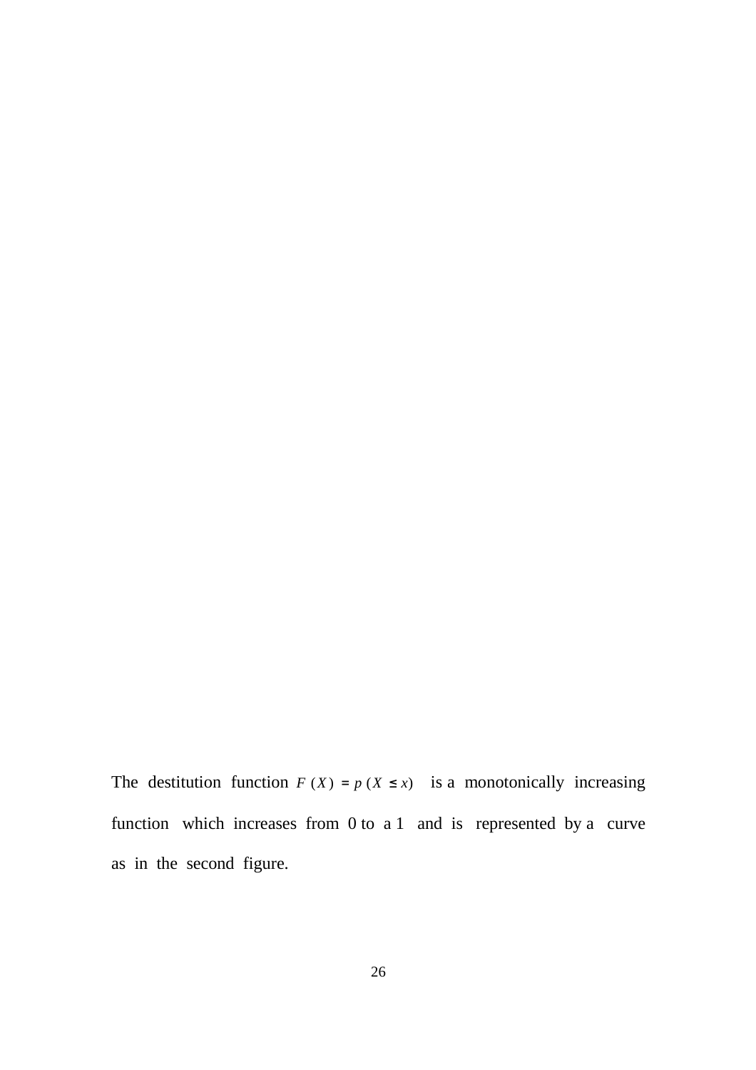The destitution function  $F(X) = p(X \leq x)$  is a monotonically increasing function which increases from 0 to a 1 and is represented by a curve as in the second figure.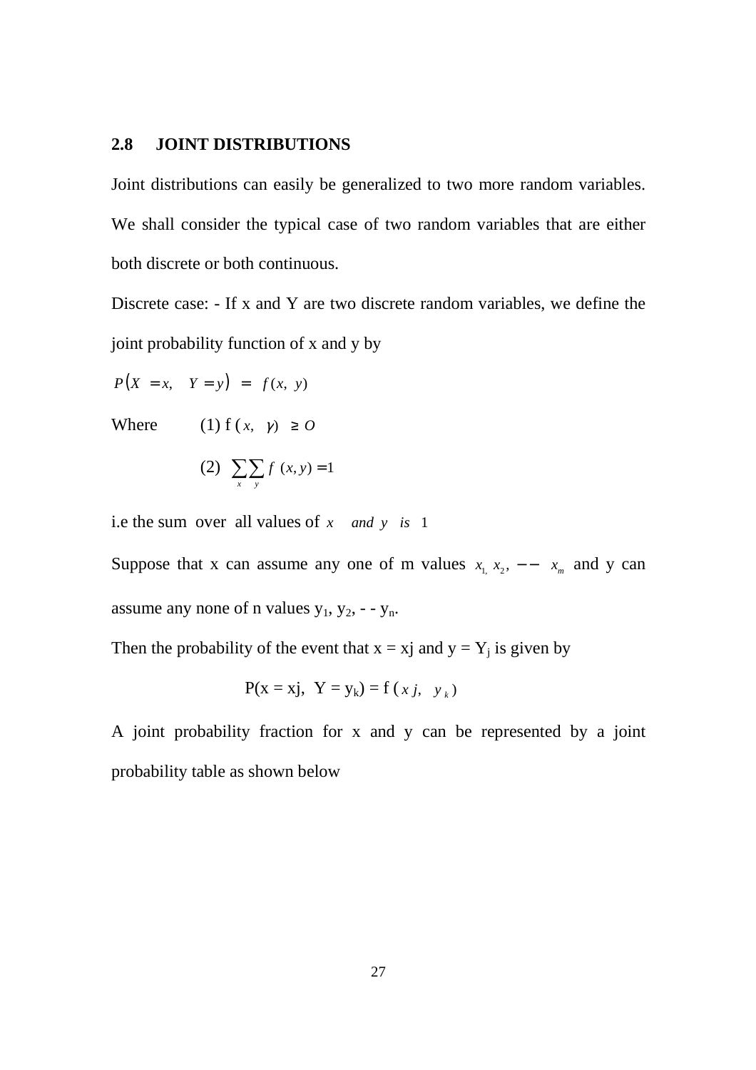#### **2.8 JOINT DISTRIBUTIONS**

Joint distributions can easily be generalized to two more random variables. We shall consider the typical case of two random variables that are either both discrete or both continuous.

Discrete case: - If x and Y are two discrete random variables, we define the joint probability function of x and y by

 $P(X = x, Y = y) = f(x, y)$ 

Where (1)  $f(x, y) \ge 0$ 

(2) 
$$
\sum_{x} \sum_{y} f(x, y) = 1
$$

i.e the sum over all values of *x and y is* 1

Suppose that x can assume any one of m values  $x_1, x_2, -x_m$  and y can assume any none of n values  $y_1$ ,  $y_2$ ,  $-y_n$ .

Then the probability of the event that  $x = xj$  and  $y = Y_j$  is given by

$$
P(x = xj, Y = y_k) = f(xj, y_k)
$$

A joint probability fraction for x and y can be represented by a joint probability table as shown below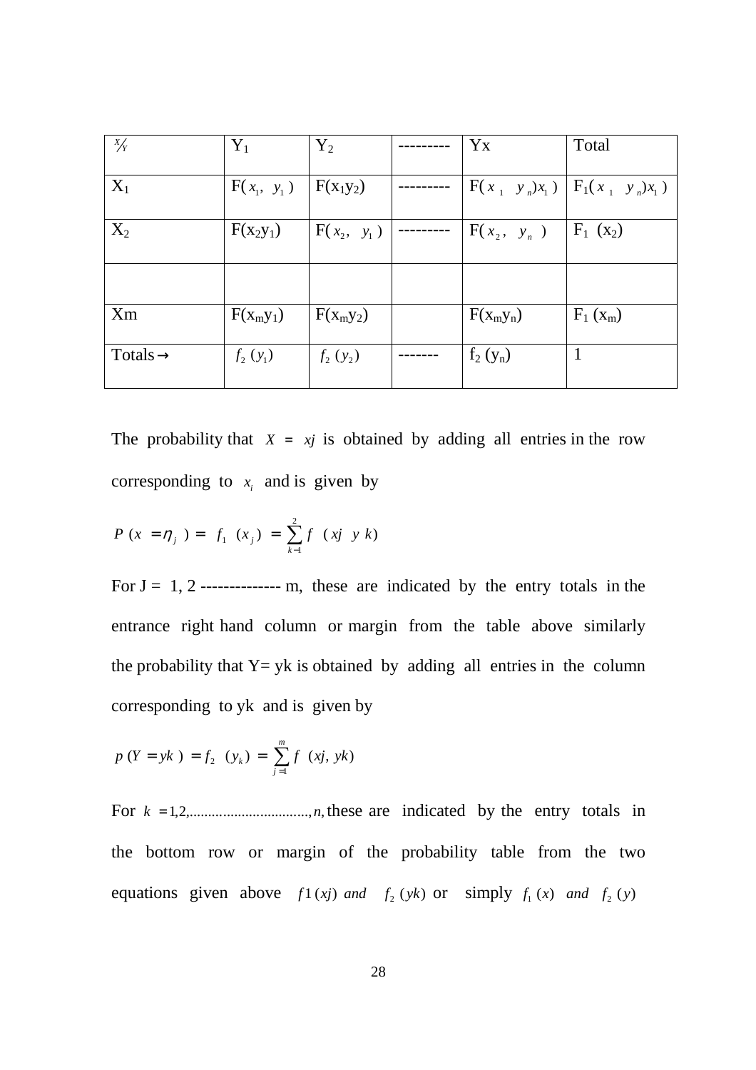| X/Y                  | $Y_1$         | $Y_2$         | Yx            | Total                               |
|----------------------|---------------|---------------|---------------|-------------------------------------|
| $X_1$                | $F(x_1, y_1)$ | $ F(x_1y_2) $ |               | $F(x_1, y_n)x_1$ $F_1(x_1, y_n)x_1$ |
| $X_2$                | $F(x_2y_1)$   | $F(x_2, y_1)$ | $F(x_2, y_n)$ | $F_1(x_2)$                          |
|                      |               |               |               |                                     |
| <b>Xm</b>            | $F(x_my_1)$   | $F(x_my_2)$   | $F(x_my_n)$   | $F_1(x_m)$                          |
| Totals $\rightarrow$ | $f_2(y_1)$    | $f_2(y_2)$    | $f_2(y_n)$    |                                     |

The probability that  $X = xj$  is obtained by adding all entries in the row corresponding to  $x_i$  and is given by

$$
P(x = \eta_j) = f_1(x_j) = \sum_{k=1}^{2} f(x_j, y_k)
$$

For  $J = 1, 2$  ------------- m, these are indicated by the entry totals in the entrance right hand column or margin from the table above similarly the probability that  $Y = yk$  is obtained by adding all entries in the column corresponding to yk and is given by

$$
p(Y = yk) = f_2(y_k) = \sum_{j=1}^{m} f(xj, yk)
$$

For  $k = 1, 2, \ldots, 1, n$ , these are indicated by the entry totals in the bottom row or margin of the probability table from the two equations given above  $f(x) = f(x)$  *and*  $f_2(yk)$  or simply  $f_1(x)$  *and*  $f_2(y)$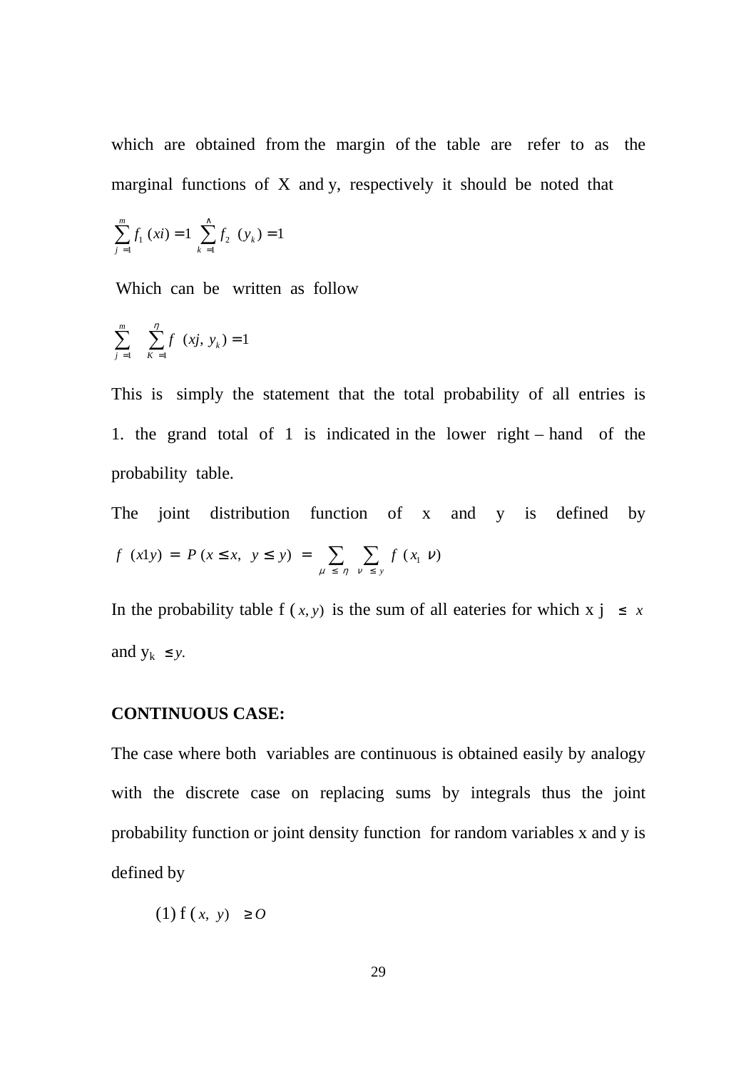which are obtained from the margin of the table are refer to as the marginal functions of X and y, respectively it should be noted that

$$
\sum_{j=1}^{m} f_1(xi) = 1 \sum_{k=1}^{N} f_2(y_k) = 1
$$

Which can be written as follow

$$
\sum_{j=1}^{m} \sum_{K=1}^{n} f(xj, y_k) = 1
$$

This is simply the statement that the total probability of all entries is 1. the grand total of 1 is indicated in the lower right – hand of the probability table.

The joint distribution function of x and y is defined by  $(x1y) = P(x \le x, y \le y) = \sum \sum f(x_1 v)$ μ ≤ η ν *f*  $(x1y) = P(x \le x, y \le y) = \sum_{x}^{y} f(x)$ *y* ∑ ∑  $\leq$   $\eta$   $\nu$   $\leq$  $= P(x \leq x, y \leq y) = \sum \sum f(x_i v)$ 

In the probability table f  $(x, y)$  is the sum of all eateries for which  $x \neq y \leq x$ and  $y_k \leq y$ .

## **CONTINUOUS CASE:**

The case where both variables are continuous is obtained easily by analogy with the discrete case on replacing sums by integrals thus the joint probability function or joint density function for random variables x and y is defined by

(1) f ( *x*, *y*) ≥ *O*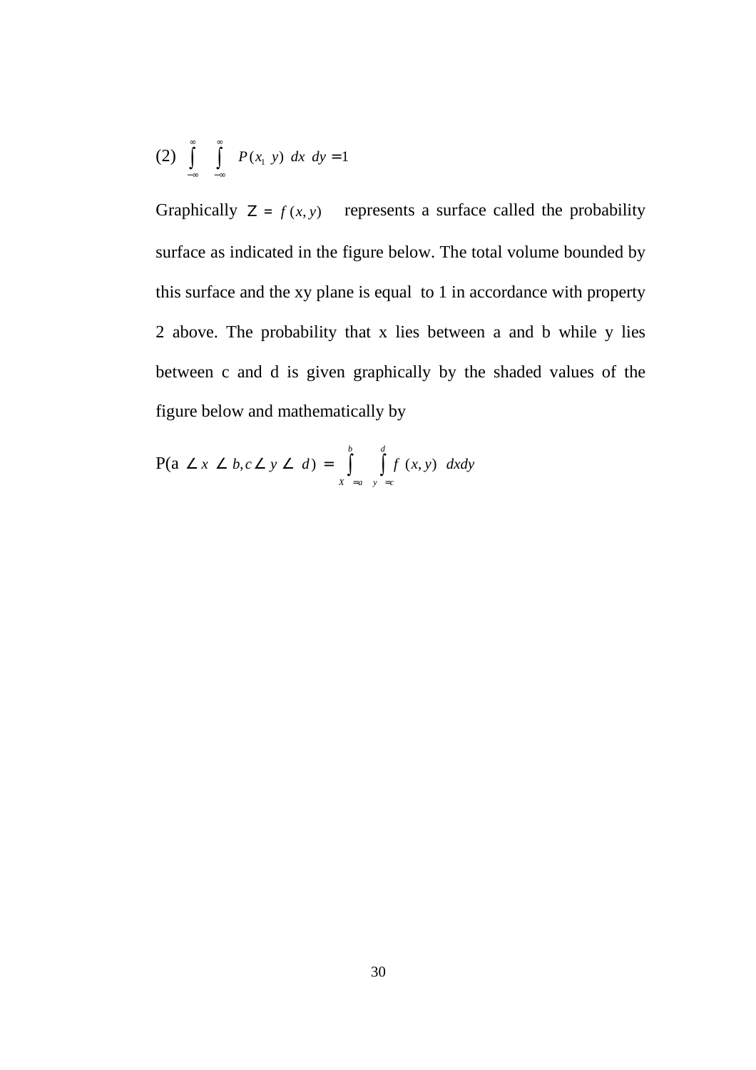(2) 
$$
\int_{-\infty}^{\infty} \int_{-\infty}^{\infty} P(x_1 \ y) \ dx \ dy = 1
$$

Graphically  $Z = f(x, y)$ , represents a surface called the probability surface as indicated in the figure below. The total volume bounded by this surface and the xy plane is equal to 1 in accordance with property 2 above. The probability that x lies between a and b while y lies between c and d is given graphically by the shaded values of the figure below and mathematically by

$$
P(a \angle x \angle b, c \angle y \angle d) = \int_{x-a}^{b} \int_{y=c}^{d} f(x, y) dx dy
$$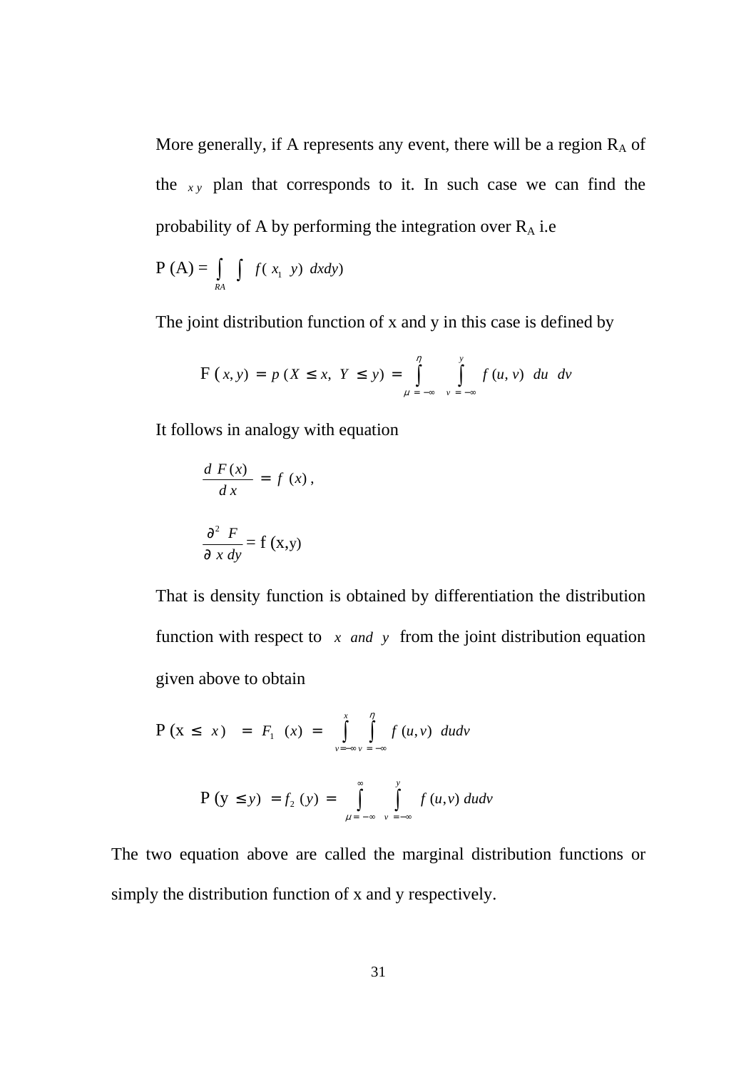More generally, if A represents any event, there will be a region  $R_A$  of the  $xy$  plan that corresponds to it. In such case we can find the probability of A by performing the integration over  $R_A$  i.e

$$
P(A) = \int_{RA} f(x_1, y) \, dx dy
$$

The joint distribution function of x and y in this case is defined by

$$
F(x, y) = p (X \le x, Y \le y) = \int_{\mu = -\infty}^{\eta} \int_{\nu = -\infty}^{y} f(u, v) \ du \ dv
$$

It follows in analogy with equation

$$
\frac{d F(x)}{dx} = f(x),
$$

$$
\frac{\partial^2 F}{\partial x dy} = f(x,y)
$$

That is density function is obtained by differentiation the distribution function with respect to  $x$  *and*  $y$  from the joint distribution equation given above to obtain

$$
P (x \leq x) = F_1 (x) = \int_{y=-\infty}^{x} \int_{y=-\infty}^{\eta} f(u, v) du dv
$$
  

$$
P (y \leq y) = f_2 (y) = \int_{y=-\infty}^{\infty} \int_{y=-\infty}^{y} f(u, v) du dv
$$

The two equation above are called the marginal distribution functions or simply the distribution function of x and y respectively.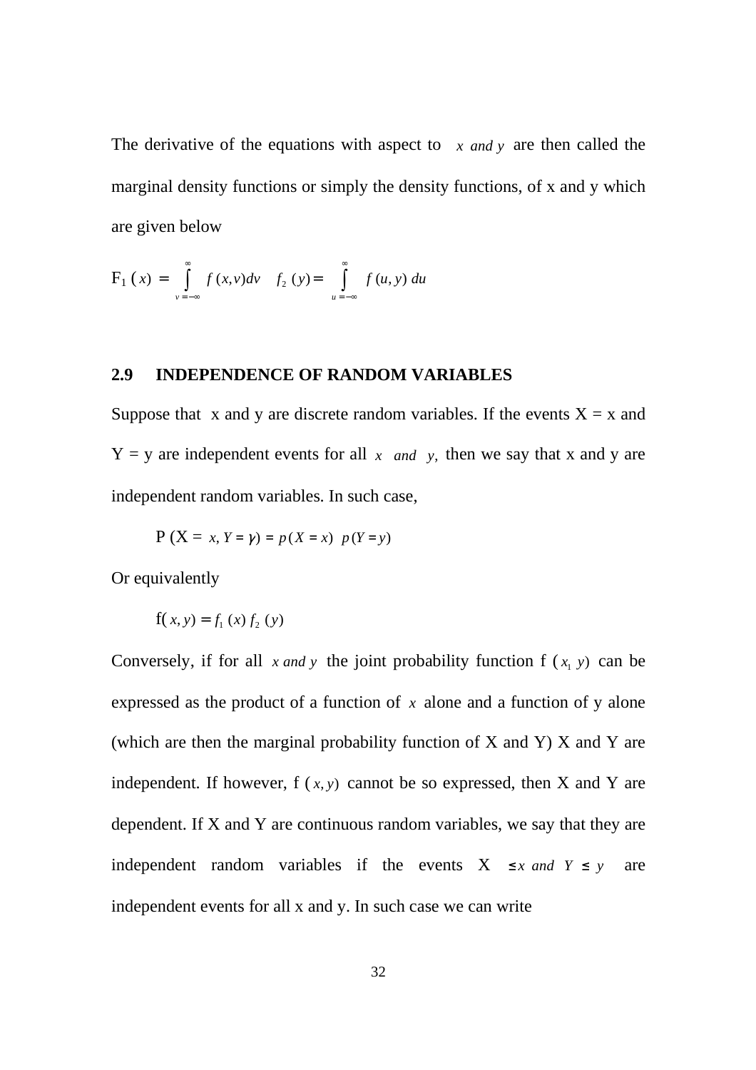The derivative of the equations with aspect to *x and y* are then called the marginal density functions or simply the density functions, of x and y which are given below

$$
F_1(x) = \int_{y=-\infty}^{\infty} f(x, y) dy \quad f_2(y) = \int_{u=-\infty}^{\infty} f(u, y) du
$$

## **2.9 INDEPENDENCE OF RANDOM VARIABLES**

Suppose that x and y are discrete random variables. If the events  $X = x$  and  $Y = y$  are independent events for all *x and y*, then we say that *x* and *y* are independent random variables. In such case,

$$
P(X = x, Y = \gamma) = p(X = x) p(Y = y)
$$

Or equivalently

$$
f(x, y) = f_1(x) f_2(y)
$$

Conversely, if for all  $x$  *and*  $y$  the joint probability function  $f(x_1, y)$  can be expressed as the product of a function of *x* alone and a function of y alone (which are then the marginal probability function of X and Y) X and Y are independent. If however,  $f(x, y)$  cannot be so expressed, then X and Y are dependent. If X and Y are continuous random variables, we say that they are independent random variables if the events  $X \leq x$  *and*  $Y \leq y$  are independent events for all x and y. In such case we can write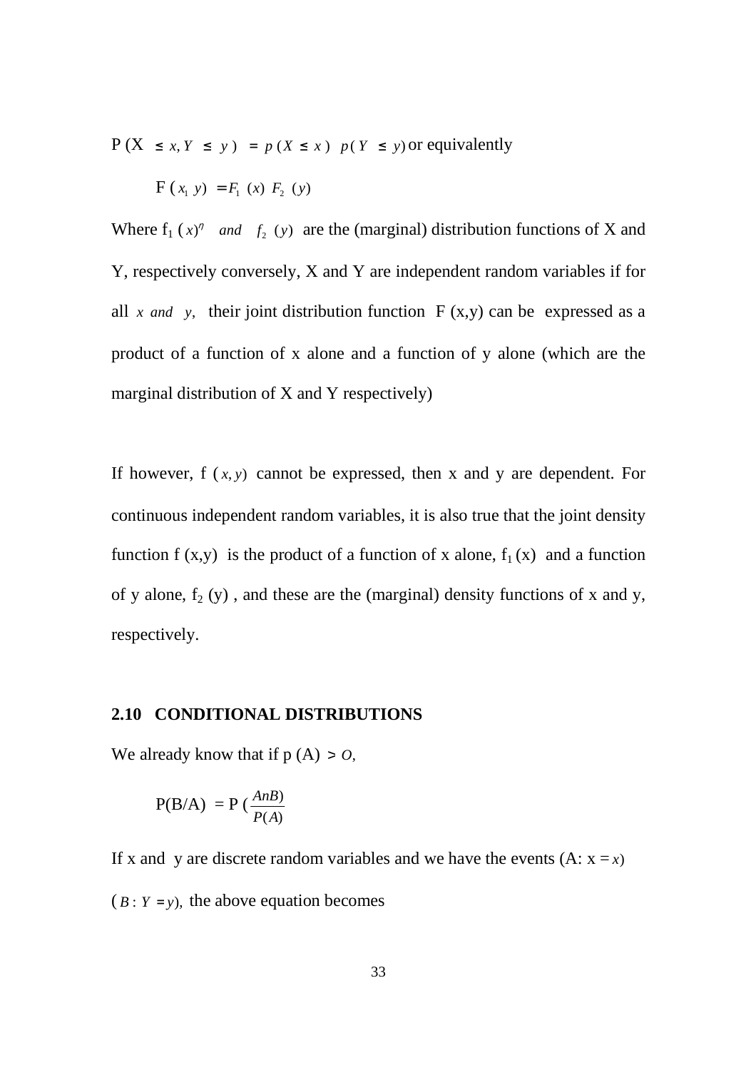$P(X \leq x, Y \leq y) = p(X \leq x)$   $p(Y \leq y)$  or equivalently

$$
F(x_1 \, y) = F_1(x) \, F_2(y)
$$

Where  $f_1(x)^{\eta}$  *and*  $f_2(y)$  are the (marginal) distribution functions of X and Y, respectively conversely, X and Y are independent random variables if for all *x* and *y*, their joint distribution function  $F(x,y)$  can be expressed as a product of a function of x alone and a function of y alone (which are the marginal distribution of X and Y respectively)

If however,  $f(x, y)$  cannot be expressed, then x and y are dependent. For continuous independent random variables, it is also true that the joint density function f  $(x,y)$  is the product of a function of x alone,  $f_1(x)$  and a function of y alone,  $f_2(y)$ , and these are the (marginal) density functions of x and y, respectively.

#### **2.10 CONDITIONAL DISTRIBUTIONS**

We already know that if  $p(A) > 0$ ,

$$
P(B/A) = P\left(\frac{AnB}{P(A)}\right)
$$

If x and y are discrete random variables and we have the events  $(A: x = x)$  $(B: Y = y)$ , the above equation becomes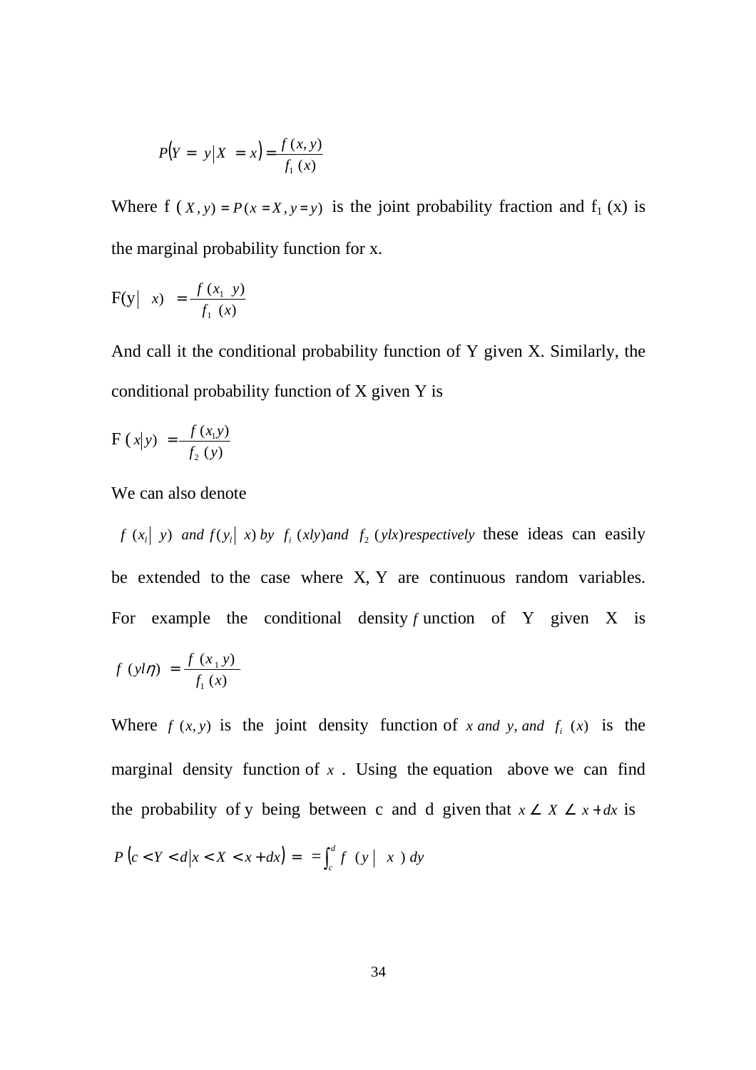$$
P(Y = y | X = x) = \frac{f(x, y)}{f_1(x)}
$$

Where  $f(x, y) = P(x = X, y = y)$  is the joint probability fraction and  $f_1(x)$  is the marginal probability function for x.

$$
F(y \mid x) = \frac{f(x_1 \mid y)}{f_1(x)}
$$

And call it the conditional probability function of Y given X. Similarly, the conditional probability function of X given Y is

$$
F(x|y) = \frac{f(x_1y)}{f_2(y)}
$$

We can also denote

*f*  $(x_i | y)$  *and*  $f(y_i | x)$  *by*  $f_i(x)y$  *and*  $f_2(y|x)$  *respectively* these ideas can easily be extended to the case where X, Y are continuous random variables. For example the conditional density *f* unction of Y given X is

$$
f(yl\eta) = \frac{f(x_1y)}{f_1(x)}
$$

Where  $f(x, y)$  is the joint density function of *x* and *y*, and  $f<sub>i</sub>(x)$  is the marginal density function of  $x$ . Using the equation above we can find the probability of y being between c and d given that  $x \ge X \le x + dx$  is  $P\left(c < Y < d | x < X < x + dx\right) = \int_{c}^{d}$ 

 $\int_{c}^{x} f(y \mid x) dy$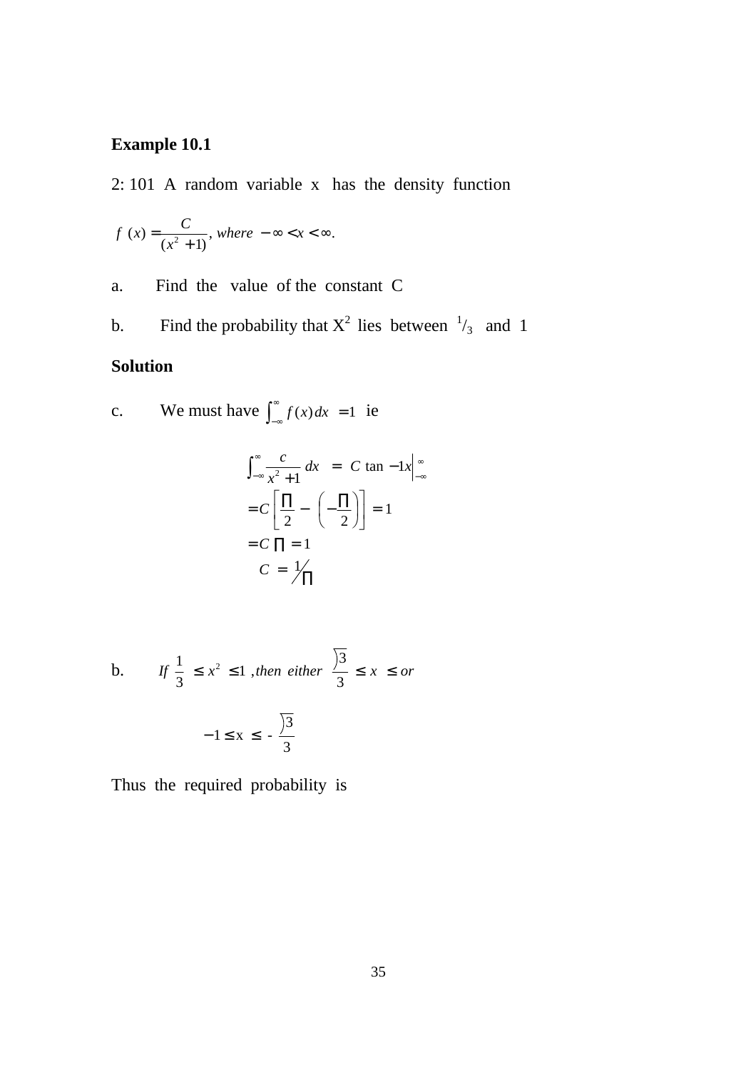# **Example 10.1**

2: 101 A random variable x has the density function

$$
f(x) = \frac{C}{(x^2 + 1)}, \text{ where } -\infty < x < \infty.
$$

a. Find the value of the constant C

b. Find the probability that  $X^2$  lies between  $\frac{1}{3}$  and 1

## **Solution**

c. We must have  $\int_{-\infty}^{\infty}$  $\int_{-\infty}^{\infty} f(x) dx = 1$  ie

$$
\int_{-\infty}^{\infty} \frac{c}{x^2 + 1} dx = C \tan^{-1}x \Big|_{-\infty}^{\infty}
$$

$$
= C \left[ \frac{\Pi}{2} - \left( -\frac{\Pi}{2} \right) \right] = 1
$$

$$
= C \Pi = 1
$$

$$
C = \frac{1}{\sqrt{\Pi}}
$$

b. If 
$$
\frac{1}{3} \le x^2 \le 1
$$
, then either  $\frac{\sqrt{3}}{3} \le x \le or$   
 $-1 \le x \le -\frac{\sqrt{3}}{3}$ 

Thus the required probability is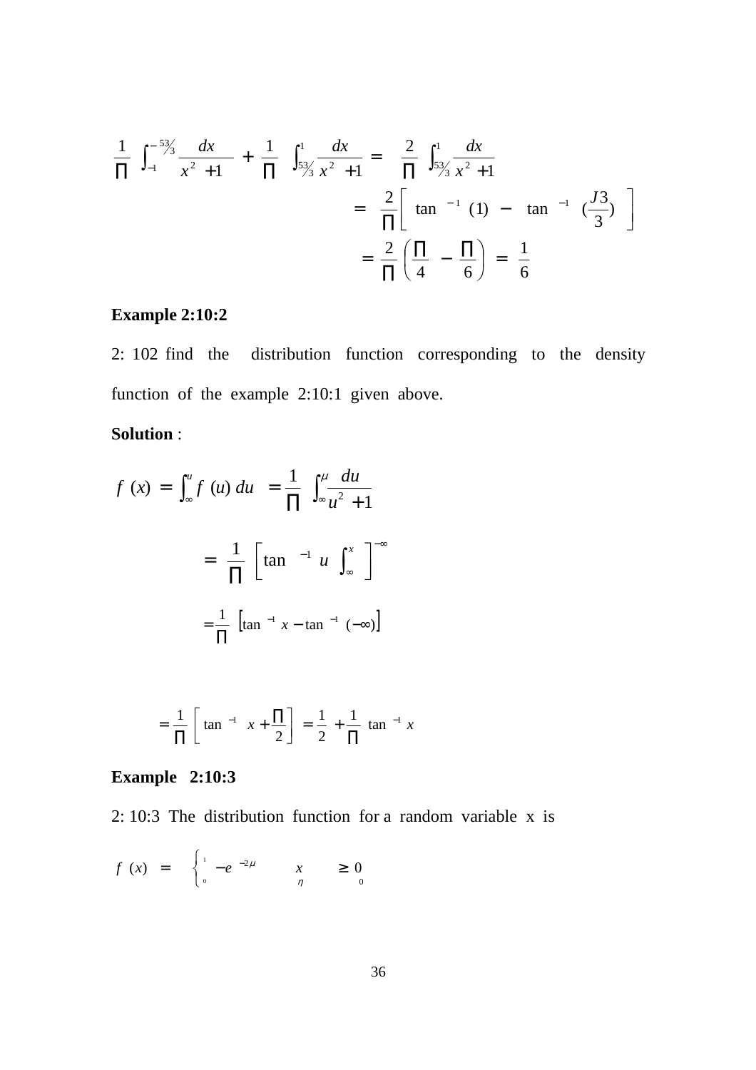$$
\frac{1}{\Pi} \int_{-1}^{-5\frac{3}{3}} \frac{dx}{x^2 + 1} + \frac{1}{\Pi} \int_{5\frac{3}{3}}^{1} \frac{dx}{x^2 + 1} = \frac{2}{\Pi} \int_{5\frac{3}{3}}^{1} \frac{dx}{x^2 + 1}
$$

$$
= \frac{2}{\Pi} \left[ \tan^{-1}(1) - \tan^{-1}(\frac{J3}{3}) \right]
$$

$$
= \frac{2}{\Pi} \left( \frac{\Pi}{4} - \frac{\Pi}{6} \right) = \frac{1}{6}
$$

# **Example 2:10:2**

2: 102 find the distribution function corresponding to the density function of the example 2:10:1 given above.

# **Solution** :

$$
f(x) = \int_{\infty}^{u} f(u) du = \frac{1}{\prod} \int_{\infty}^{u} \frac{du}{u^2 + 1}
$$

$$
= \frac{1}{\prod} \left[ \tan^{-1} u \int_{\infty}^{x} \right]^{-\infty}
$$

$$
= \frac{1}{\prod} \left[ \tan^{-1} x - \tan^{-1} (-\infty) \right]
$$

$$
= \frac{1}{\Pi} \left[ \tan^{-1} x + \frac{\Pi}{2} \right] = \frac{1}{2} + \frac{1}{\Pi} \tan^{-1} x
$$

# **Example 2:10:3**

2: 10:3 The distribution function for a random variable x is

$$
f(x) = \begin{cases} \n1 - e^{-2\mu} & x \geq 0 \\ \n0 & \eta \end{cases}
$$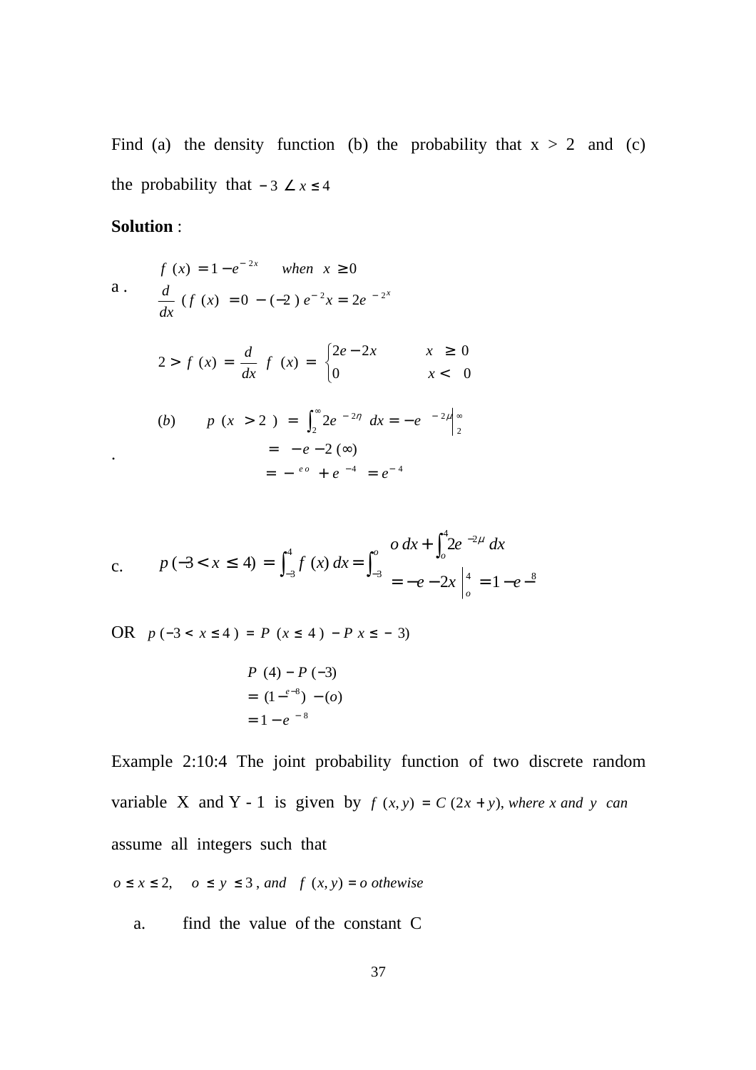Find (a) the density function (b) the probability that  $x > 2$  and (c) the probability that  $-3 \angle x \le 4$ 

### **Solution** :

a.  
\n
$$
f(x) = 1 - e^{-2x} \quad \text{when } x \ge 0
$$
\na.  
\n
$$
\frac{d}{dx} (f(x) = 0 - (-2) e^{-2x} = 2e^{-2x}
$$
\n
$$
2 > f(x) = \frac{d}{dx} f (x) = \begin{cases} 2e - 2x & x \ge 0\\ 0 & x < 0 \end{cases}
$$
\n(b) 
$$
p (x > 2) = \int_{2}^{\infty} 2e^{-2\eta} dx = -e^{-2\mu} \Big|_{2}^{\infty}
$$
\n
$$
= -e - 2 (\infty)
$$
\n
$$
= -e^{-2} + e^{-4} = e^{-4}
$$

c. 
$$
p(-3 < x \le 4) = \int_{-3}^{4} f(x) dx = \int_{-3}^{0} \frac{0 dx + \int_{0}^{4} 2e^{-2\mu} dx}{e^{\lambda} - e^{\lambda}} = -e - 2x \Big|_{0}^{4} = 1 - e^{-8}
$$

OR  $p(-3 < x \le 4) = P(x ≤ 4) - P(x ≤ -3)$ 

$$
P (4) - P (-3)
$$
  
= (1 -<sup>e-8</sup>) - (o)  
= 1 - e<sup>-8</sup>

Example 2:10:4 The joint probability function of two discrete random variable X and Y - 1 is given by  $f(x, y) = C(2x + y)$ , where *x* and *y* can assume all integers such that

 $o \le x \le 2$ ,  $o \le y \le 3$ , and  $f(x, y) = o$  othewise

a. find the value of the constant C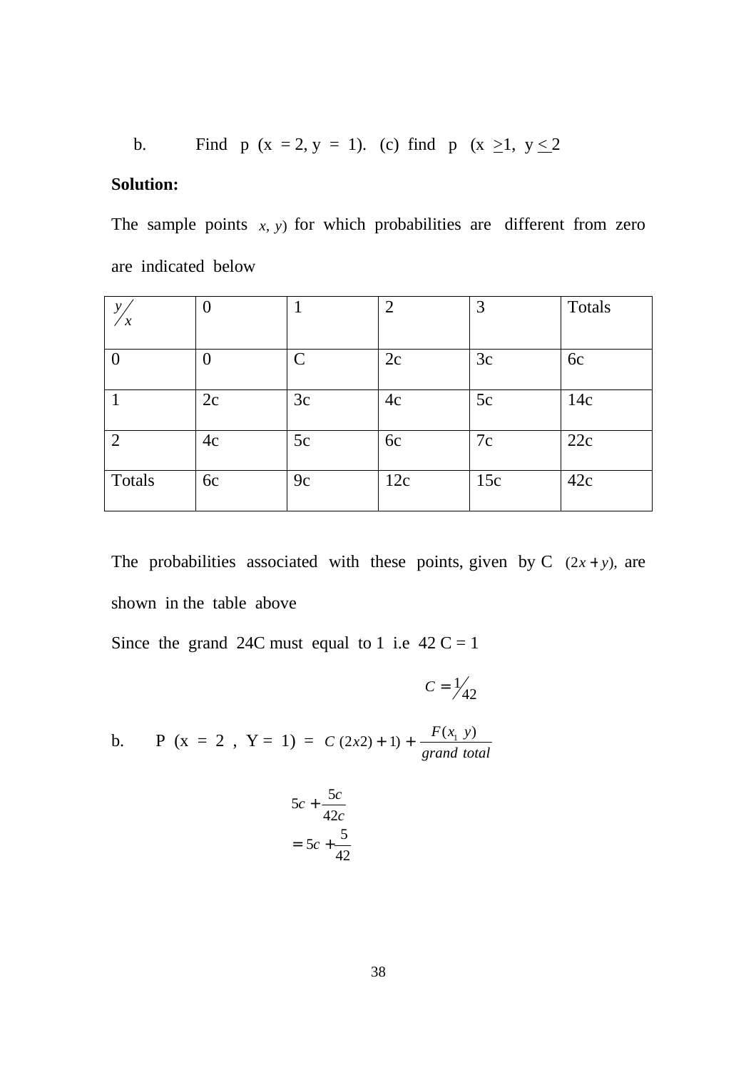b. Find p (x = 2, y = 1). (c) find p (x 
$$
\ge
$$
1, y  $\le$ 2

# **Solution:**

The sample points  $x$ ,  $y$ ) for which probabilities are different from zero are indicated below

| ν<br>$\boldsymbol{\mathcal{X}}$ |    |                             | ◠   | 3   | Totals |
|---------------------------------|----|-----------------------------|-----|-----|--------|
|                                 |    |                             |     |     |        |
|                                 |    | $\mathcal{C}_{\mathcal{C}}$ | 2c  | 3c  | 6c     |
|                                 | 2c | 3c                          | 4c  | 5c  | 14c    |
| $\overline{2}$                  | 4c | 5c                          | 6c  | 7c  | 22c    |
| Totals                          | 6c | 9c                          | 12c | 15c | 42c    |

The probabilities associated with these points, given by C  $(2x + y)$ , are shown in the table above

Since the grand 24C must equal to 1 i.e  $42 \text{ C} = 1$ 

 $C = \frac{1}{42}$ 

b. P ( $x = 2$ ,  $Y = 1$ ) = *grand total*  $C(2x^2) + 1) + \frac{F(x_1, y)}{y}$ 

$$
5c + \frac{5c}{42c}
$$

$$
= 5c + \frac{5}{42}
$$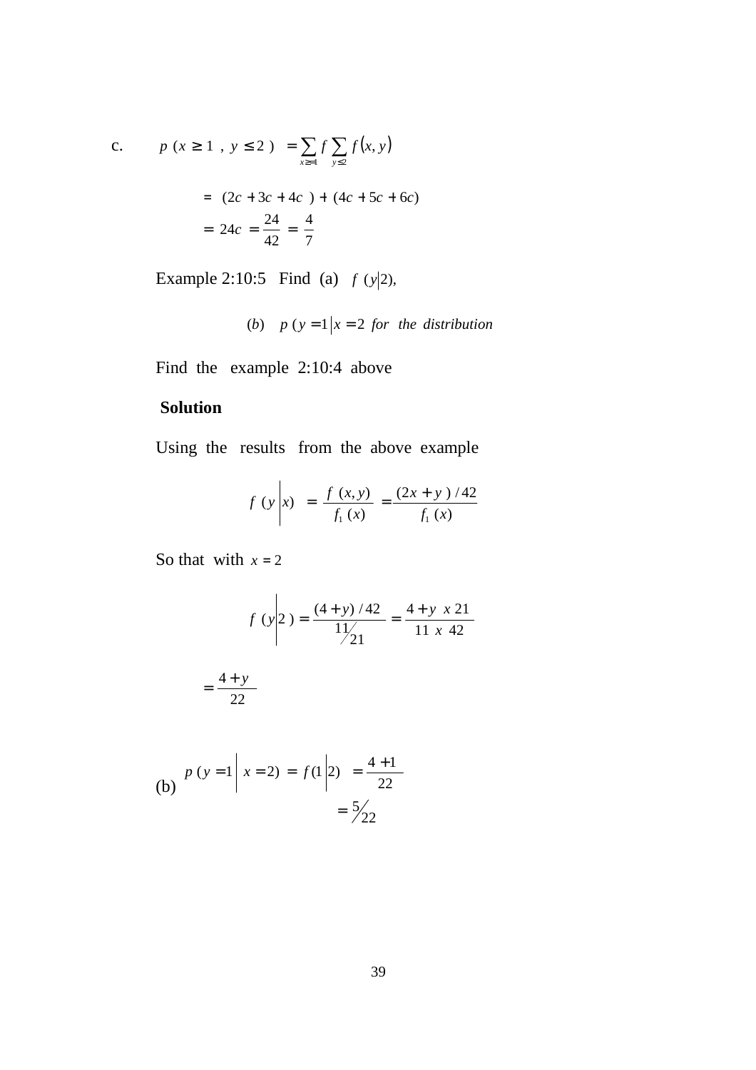c. 
$$
p(x \ge 1, y \le 2) = \sum_{x \ge 1} f \sum_{y \le 2} f(x, y)
$$
  
=  $(2c + 3c + 4c) + (4c + 5c + 6c)$   
=  $24c = \frac{24}{42} = \frac{4}{7}$ 

Example 2:10:5 Find (a)  $f(y|2)$ ,

(b) 
$$
p(y=1|x=2 \text{ for the distribution}
$$

Find the example 2:10:4 above

# **Solution**

Using the results from the above example

$$
f(y \mid x) = \frac{f(x, y)}{f_1(x)} = \frac{(2x + y)/42}{f_1(x)}
$$

So that with  $x = 2$ 

$$
f(y \mid 2) = \frac{(4 + y) / 42}{11 / 21} = \frac{4 + y \cdot x \cdot 21}{11 \cdot x \cdot 42}
$$

$$
=\frac{4+y}{22}
$$

(b) 
$$
p(y=1 | x=2) = f(1 | 2) = \frac{4+1}{22}
$$
  
=  $\frac{5}{22}$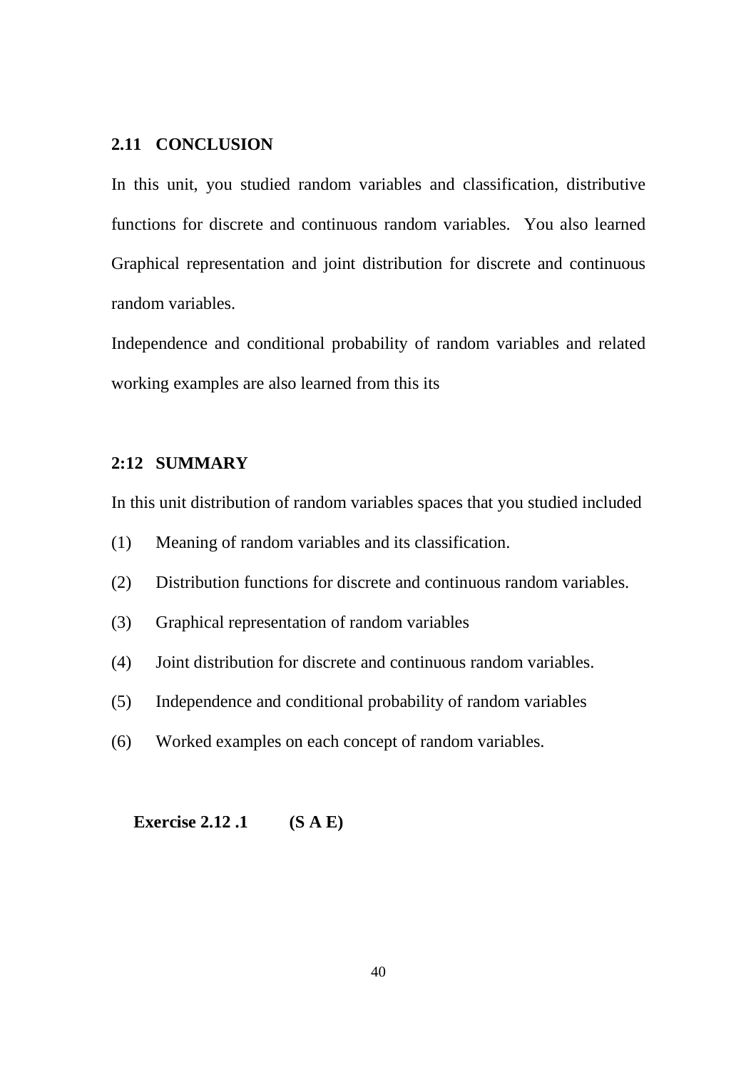### **2.11 CONCLUSION**

In this unit, you studied random variables and classification, distributive functions for discrete and continuous random variables. You also learned Graphical representation and joint distribution for discrete and continuous random variables.

Independence and conditional probability of random variables and related working examples are also learned from this its

### **2:12 SUMMARY**

In this unit distribution of random variables spaces that you studied included

- (1) Meaning of random variables and its classification.
- (2) Distribution functions for discrete and continuous random variables.
- (3) Graphical representation of random variables
- (4) Joint distribution for discrete and continuous random variables.
- (5) Independence and conditional probability of random variables
- (6) Worked examples on each concept of random variables.

**Exercise 2.12 .1 (S A E)**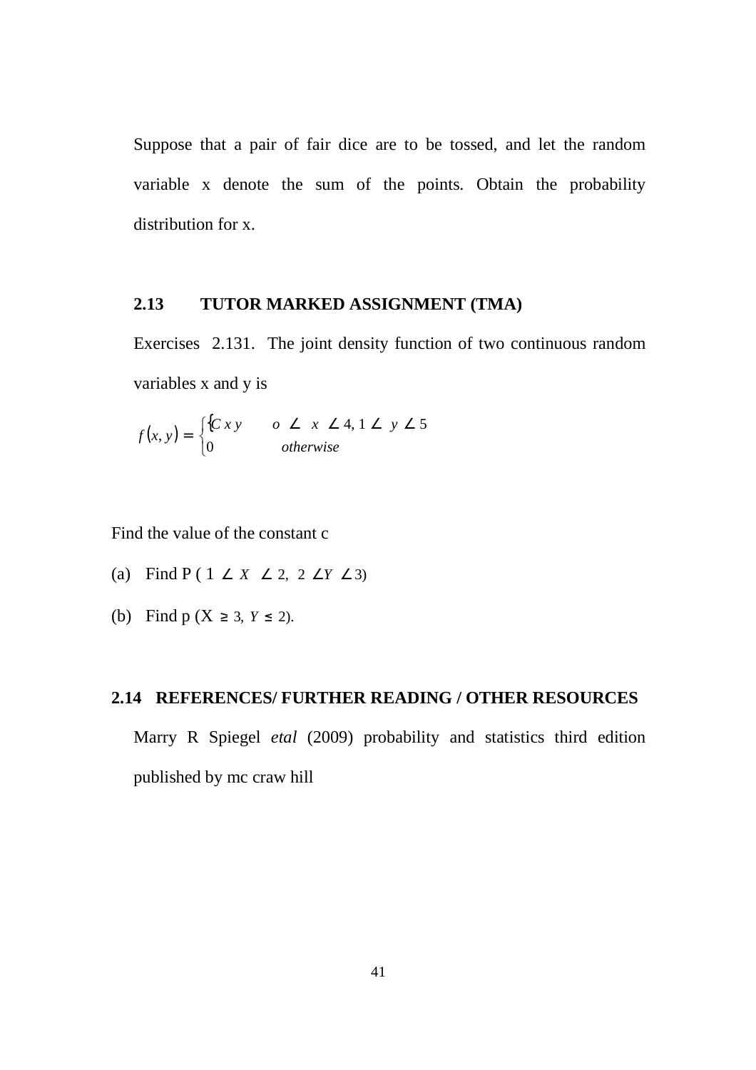Suppose that a pair of fair dice are to be tossed, and let the random variable x denote the sum of the points. Obtain the probability distribution for x.

### **2.13 TUTOR MARKED ASSIGNMENT (TMA)**

Exercises 2.131. The joint density function of two continuous random variables x and y is

$$
f(x, y) = \begin{cases} {Cxy & 0 \le x \le 4, 1 \le y \le 5} \\ 0 & \text{otherwise} \end{cases}
$$

Find the value of the constant c

- (a) Find  $P(1 \angle X \angle 2, 2 \angle Y \angle 3)$
- (b) Find p ( $X \ge 3$ ,  $Y \le 2$ ).

## **2.14 REFERENCES/ FURTHER READING / OTHER RESOURCES**

Marry R Spiegel *etal* (2009) probability and statistics third edition published by mc craw hill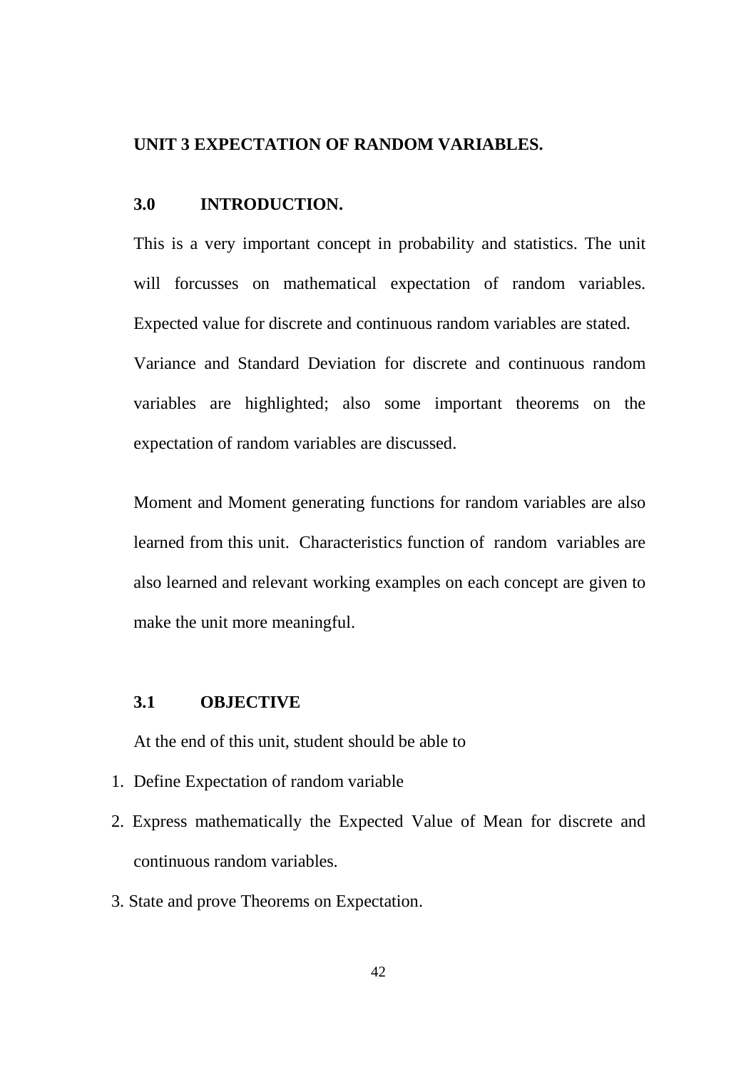### **UNIT 3 EXPECTATION OF RANDOM VARIABLES.**

#### **3.0 INTRODUCTION.**

This is a very important concept in probability and statistics. The unit will forcusses on mathematical expectation of random variables. Expected value for discrete and continuous random variables are stated. Variance and Standard Deviation for discrete and continuous random variables are highlighted; also some important theorems on the expectation of random variables are discussed.

Moment and Moment generating functions for random variables are also learned from this unit. Characteristics function of random variables are also learned and relevant working examples on each concept are given to make the unit more meaningful.

### **3.1 OBJECTIVE**

At the end of this unit, student should be able to

- 1. Define Expectation of random variable
- 2. Express mathematically the Expected Value of Mean for discrete and continuous random variables.
- 3. State and prove Theorems on Expectation.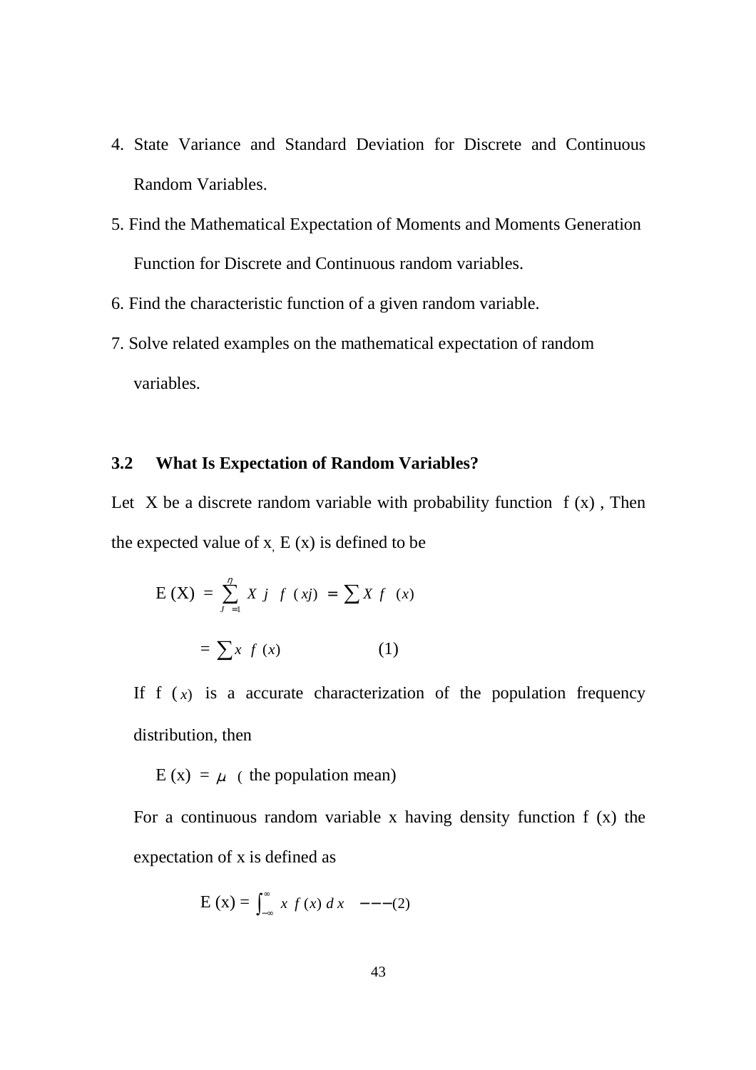- 4. State Variance and Standard Deviation for Discrete and Continuous Random Variables.
- 5. Find the Mathematical Expectation of Moments and Moments Generation Function for Discrete and Continuous random variables.
- 6. Find the characteristic function of a given random variable.
- 7. Solve related examples on the mathematical expectation of random variables.

# **3.2 What Is Expectation of Random Variables?**

Let X be a discrete random variable with probability function  $f(x)$ , Then the expected value of  $x$ ,  $E(x)$  is defined to be

$$
E(X) = \sum_{j=1}^{n} X j f (xj) = \sum X f (x)
$$

$$
= \sum x f (x)
$$
 (1)

If  $f(x)$  is a accurate characterization of the population frequency distribution, then

 $E(x) = \mu$  (the population mean)

For a continuous random variable x having density function  $f(x)$  the expectation of x is defined as

$$
E(x) = \int_{-\infty}^{\infty} x f(x) dx --- (2)
$$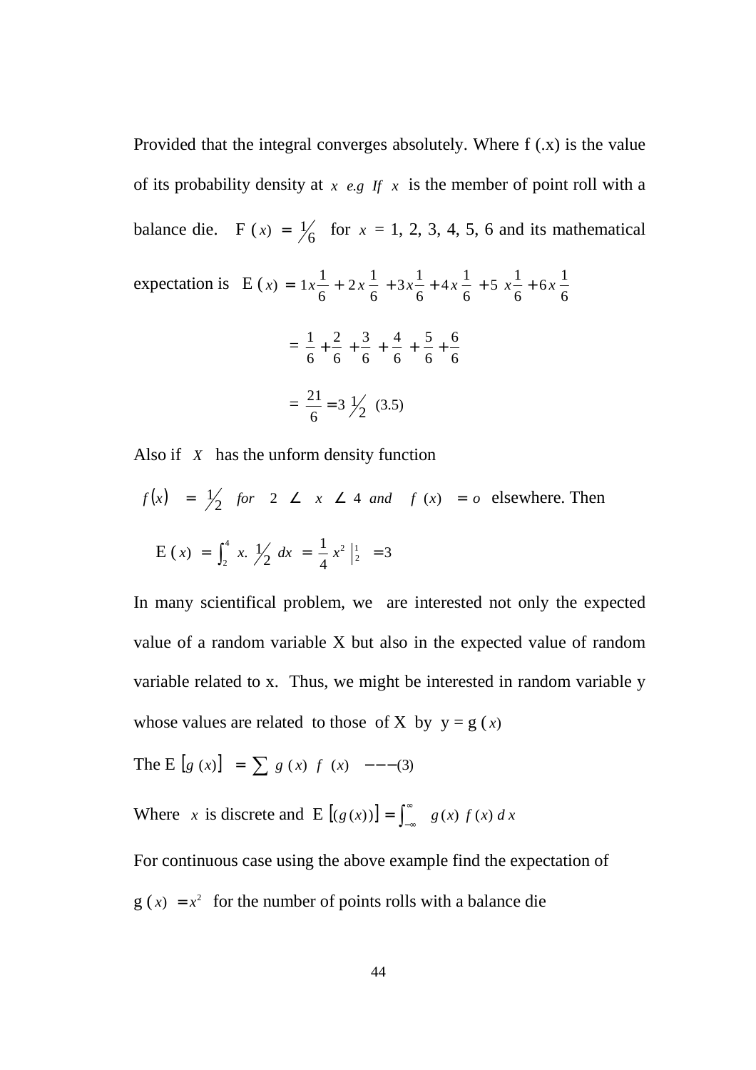Provided that the integral converges absolutely. Where f (.x) is the value of its probability density at  $x$  *e.g If*  $x$  is the member of point roll with a balance die. F  $(x) = \frac{1}{6}$  for  $x = 1, 2, 3, 4, 5, 6$  and its mathematical expectation is E (  $6x - \frac{1}{5}$ 5  $x - \frac{1}{2}$  $4x - \frac{1}{5}$  $3x - \frac{1}{2}$  $2x - \frac{1}{2}$  $f(x) = 1x - \frac{1}{x} + 2x - \frac{1}{x} + 3x - \frac{1}{x} + 4x - \frac{1}{x} + 5x - \frac{1}{x} + 6x$ 

6

6

6

6

 $=$ 6 6 6 5 6 4 6 3 6 2 6  $\frac{1}{1} + \frac{2}{7} + \frac{3}{7} + \frac{4}{7} + \frac{5}{7} +$  $=\frac{21}{6}=3\frac{1}{2}(3.5)$ 6  $\frac{21}{1}$  =

6

6

Also if *X* has the unform density function

$$
f(x) = \frac{1}{2}
$$
 for  $2 \le x \le 4$  and  $f(x) = o$  elsewhere. Then  

$$
E(x) = \int_{2}^{4} x \cdot \frac{1}{2} dx = \frac{1}{4} x^{2} \Big|_{2}^{1} = 3
$$

In many scientifical problem, we are interested not only the expected value of a random variable X but also in the expected value of random variable related to x. Thus, we might be interested in random variable y whose values are related to those of X by  $y = g(x)$ 

The E [g (x)] = 
$$
\sum
$$
 g (x) f (x) --- (3)

Where *x* is discrete and E  $[(g(x))] = \int_{-\infty}^{\infty}$  $(g(x))$  =  $\int_{-\infty}^{\infty} g(x) f(x) dx$ 

For continuous case using the above example find the expectation of  $g(x) = x^2$  for the number of points rolls with a balance die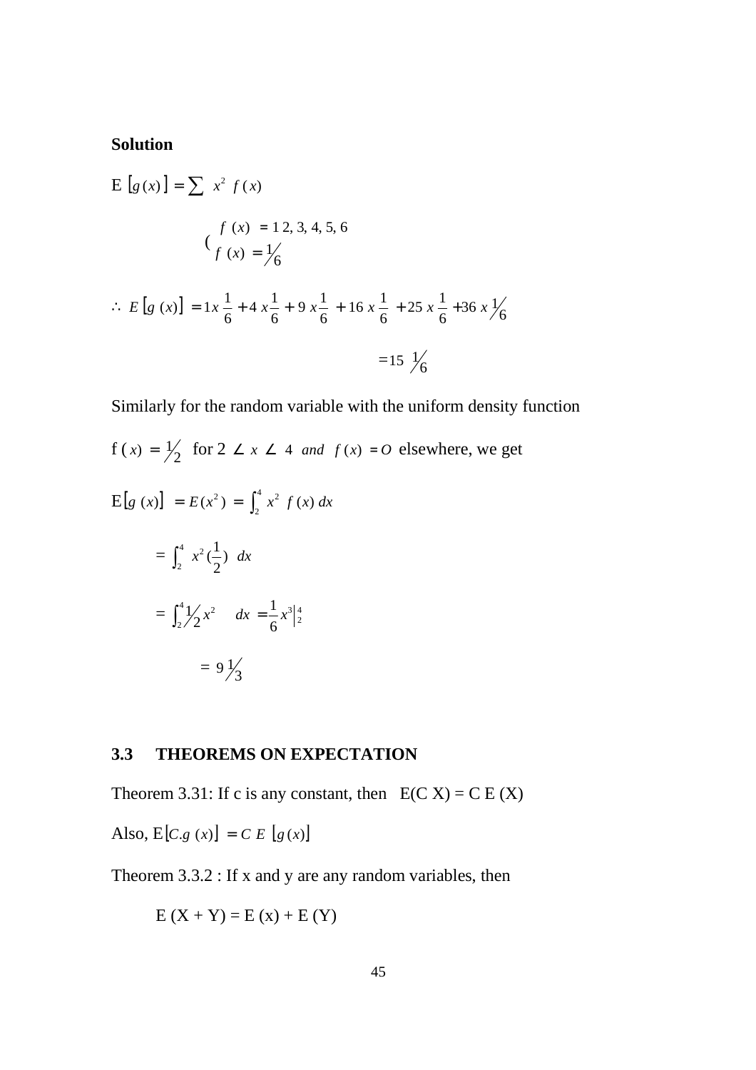# **Solution**

$$
E [g(x)] = \sum x^2 f(x)
$$
  

$$
f (x) = 12, 3, 4, 5, 6
$$
  

$$
\left(\frac{f(x)}{f(x)}\right) = \frac{1}{6}
$$
  

$$
\therefore E [g(x)] = 1x \frac{1}{6} + 4x \frac{1}{6} + 9x \frac{1}{6} + 16x \frac{1}{6} + 25x \frac{1}{6} + 36x \frac{1}{6}
$$
  

$$
= 15 \frac{1}{6}
$$

Similarly for the random variable with the uniform density function

$$
f(x) = \frac{1}{2} \text{ for } 2 \le x \le 4 \text{ and } f(x) = 0 \text{ elsewhere, we get}
$$
  
\n
$$
E[g(x)] = E(x^2) = \int_2^4 x^2 f(x) dx
$$
  
\n
$$
= \int_2^4 x^2 (\frac{1}{2}) dx
$$
  
\n
$$
= \int_2^4 \frac{1}{2} x^2 dx = \frac{1}{6} x^3 \Big|_2^4
$$
  
\n
$$
= 9 \frac{1}{3}
$$

# **3.3 THEOREMS ON EXPECTATION**

Theorem 3.31: If c is any constant, then  $E(C X) = C E(X)$ 

Also,  $E[C, g(x)] = C E[g(x)]$ 

Theorem 3.3.2 : If x and y are any random variables, then

$$
E(X + Y) = E(x) + E(Y)
$$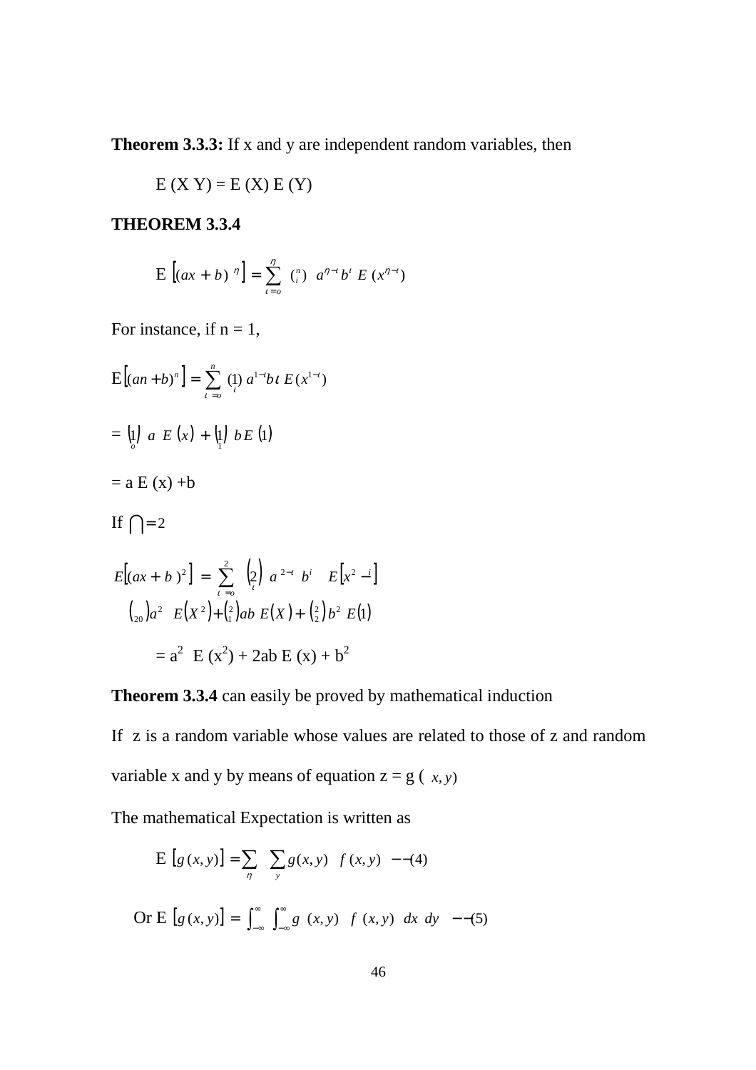**Theorem 3.3.3:** If x and y are independent random variables, then

$$
E(X Y) = E(X) E(Y)
$$

# **THEOREM 3.3.4**

$$
E [(ax + b)^{\eta}] = \sum_{i=0}^{\eta} {n \choose i} a^{\eta - i} b^{i} E (x^{\eta - i})
$$

For instance, if  $n = 1$ ,

$$
E[(an + b)^n] = \sum_{i=0}^n (1) a^{1-i}b i E(x^{1-i})
$$
  
= 
$$
(1) a E(x) + (1) b E(1)
$$
  
= 
$$
a E(x) + b
$$
  
If 
$$
\bigcap = 2
$$
  

$$
E[(ax + b)^2] = \sum_{i=0}^2 (2) a^{2-i} b^i E[x^2 - i]
$$

$$
(2) a^2 E(x^2) + (2) ab E(x) + (2) b^2 E(1)
$$

$$
= a^2 E(x^2) + 2ab E(x) + b^2
$$

**Theorem 3.3.4** can easily be proved by mathematical induction

If z is a random variable whose values are related to those of z and random variable x and y by means of equation  $z = g(x, y)$ 

The mathematical Expectation is written as

$$
E [g (x, y)] = \sum_{\eta} \sum_{y} g(x, y) f(x, y) - (4)
$$
  
Or E [g (x, y)] =  $\int_{-\infty}^{\infty} \int_{-\infty}^{\infty} g(x, y) f(x, y) dx dy$  --(5)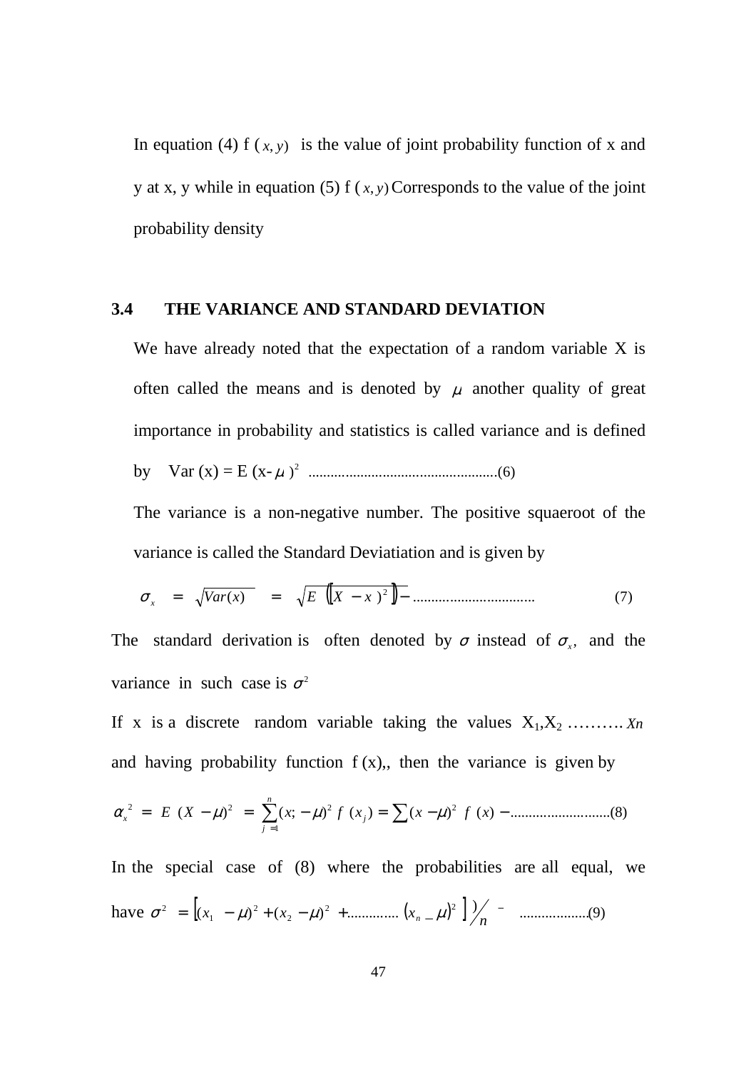In equation (4) f  $(x, y)$  is the value of joint probability function of x and y at x, y while in equation (5) f  $(x, y)$  Corresponds to the value of the joint probability density

### **3.4 THE VARIANCE AND STANDARD DEVIATION**

We have already noted that the expectation of a random variable X is often called the means and is denoted by  $\mu$  another quality of great importance in probability and statistics is called variance and is defined by Var (x) = E (x- <sup>µ</sup> ) .................................................. )6.( 2

The variance is a non-negative number. The positive squaeroot of the variance is called the Standard Deviatiation and is given by

$$
\sigma_x = \sqrt{Var(x)} = \sqrt{E([X - x)^2]} - \dots
$$
\n(7)

The standard derivation is often denoted by  $\sigma$  instead of  $\sigma_x$ , and the variance in such case is  $\sigma^2$ 

If x is a discrete random variable taking the values  $X_1, X_2, \ldots, X_n$ and having probability function  $f(x)$ , then the variance is given by

<sup>=</sup> <sup>−</sup> <sup>=</sup> ∑ <sup>−</sup> <sup>=</sup> ∑ <sup>−</sup> <sup>−</sup> = ( ) ;( ) ( ) ( ) )( ...........................( )8 2 1 <sup>2</sup> <sup>2</sup> <sup>2</sup> *E X x f x x f x <sup>j</sup> n j* <sup>α</sup> *<sup>x</sup>* µ µ µ

In the special case of (8) where the probabilities are all equal, we have [ ( ) ] ................... )9( ) ( ) ( ) .............. \_ 2 2 2 2 1  $\sigma^2 = \left[ (x_1 - \mu)^2 + (x_2 - \mu)^2 + \dots + (x_n - \mu)^2 \right] / \frac{1}{n}$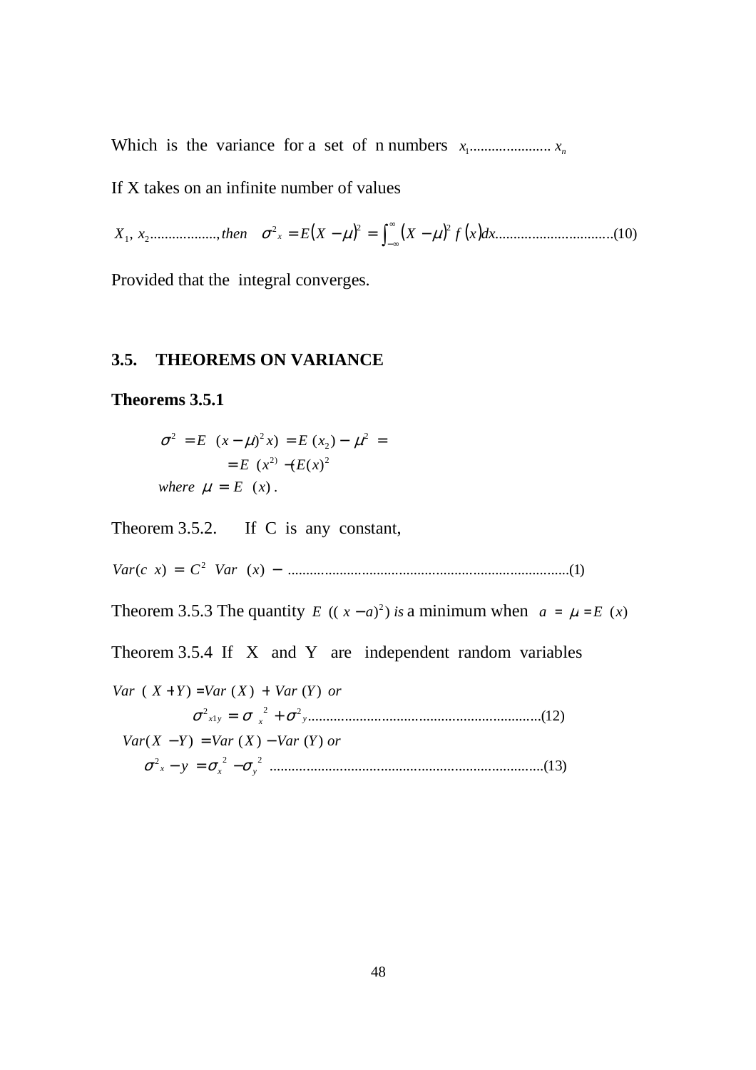Which is the variance for a set of n numbers *<sup>n</sup> x* ...................... *x* <sup>1</sup>

If X takes on an infinite number of values

 $(X - \mu)^2 = \int_{-\infty}^{\infty} (X - \mu)^2 f(x) dx$ ∞− , .................., = − = − .............................. )10..( 2 2 2 *X*1 *x*2 *then* <sup>σ</sup> *<sup>x</sup> E X* µ *X* µ *f dxx*

Provided that the integral converges.

### **3.5. THEOREMS ON VARIANCE**

#### **Theorems 3.5.1**

$$
\sigma^{2} = E (x - \mu)^{2} x = E (x_{2}) - \mu^{2} = E (x^{2}) - (E(x)^{2})
$$
  
where  $\mu = E (x)$ .

Theorem 3.5.2. If C is any constant,

( ) )( ............................................................................( )1 <sup>2</sup> *Var c x* = *C Var x* −

Theorem 3.5.3 The quantity *E*  $((x-a)^2)$  *is* a minimum when  $a = \mu = E(x)$ 

Theorem 3.5.4 If X and Y are independent random variables

..........................................................................( )13 2 2 2  $Var(X - Y) = Var(X) - Var(Y)$  or ...............................................................( )12 2 2 1 2 *y x yx* σ σ σ = +  $Var(X + Y) = Var(X) + Var(Y)$  or  $\sigma_x^2 - y = \sigma_x^2 - \sigma_y^2$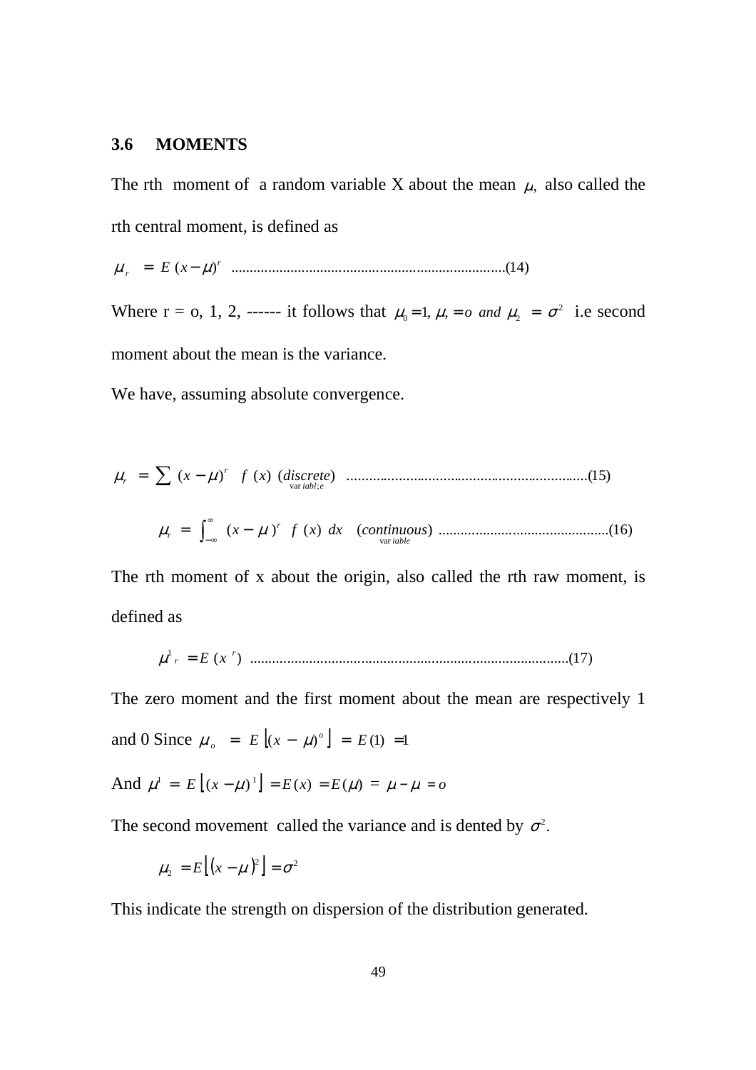### **3.6 MOMENTS**

The rth moment of a random variable X about the mean  $\mu$ , also called the rth central moment, is defined as

( ) ..........................................................................( )14 *r <sup>r</sup>* <sup>µ</sup> = *E x*− <sup>µ</sup>

Where  $r = 0, 1, 2, \ldots$  it follows that  $\mu_0 = 1, \mu, \ldots = \sigma^2$  and  $\mu_2 = \sigma^2$  i.e second moment about the mean is the variance.

We have, assuming absolute convergence.

$$
\mu_r = \sum (x - \mu)^r f(x) \, (discrete) \, \dots \, (15)
$$
\n
$$
\mu_r = \int_{-\infty}^{\infty} (x - \mu)^r f(x) \, dx \, (continuous) \, \dots \, (16)
$$

The rth moment of x about the origin, also called the rth raw moment, is defined as

( ) ......................................................................................( )17 <sup>1</sup> *<sup>r</sup>* <sup>µ</sup> *<sup>r</sup>* = *E x*

The zero moment and the first moment about the mean are respectively 1 and 0 Since  $\mu_o = E[(x - \mu)^o] = E(1) = 1$ 

And 
$$
\mu^1 = E[(x - \mu)^1] = E(x) = E(\mu) = \mu - \mu = o
$$

The second movement called the variance and is dented by  $\sigma^2$ .

$$
\mu_2 = E[(x - \mu)^2] = \sigma^2
$$

This indicate the strength on dispersion of the distribution generated.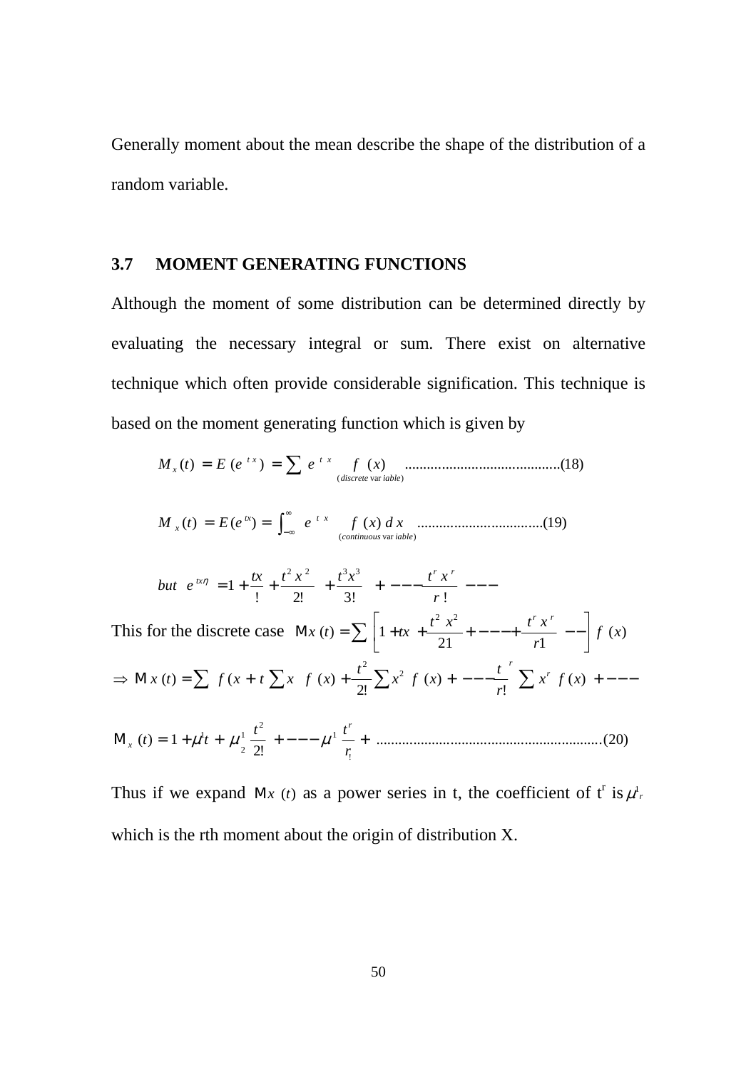Generally moment about the mean describe the shape of the distribution of a random variable.

## **3.7 MOMENT GENERATING FUNCTIONS**

Although the moment of some distribution can be determined directly by evaluating the necessary integral or sum. There exist on alternative technique which often provide considerable signification. This technique is based on the moment generating function which is given by

$$
M_{x}(t) = E(e^{tx}) = \sum e^{tx} \int_{(discrete \text{ var } table)} (x) \dots (18)
$$

)( ( ) )( ..................................( )19 (*continuous* var *iable*) *tx xt <sup>x</sup> <sup>M</sup> <sup>t</sup> <sup>E</sup> <sup>e</sup> <sup>e</sup> <sup>f</sup> <sup>x</sup> xd* ∫ ∞ ∞− = =

but 
$$
e^{ix\eta} = 1 + \frac{tx}{1} + \frac{t^2 x^2}{2!} + \frac{t^3 x^3}{3!} + \cdots - \frac{t^r x^r}{r!} - \cdots
$$
  
\nThis for the discrete case  $\mathbf{M}x(t) = \sum \left[1 + tx + \frac{t^2 x^2}{21} + \cdots - \frac{t^r x^r}{r!} - \frac{1}{r!}f(x)\right]$   
\n $\Rightarrow \mathbf{M}x(t) = \sum f(x + t \sum x^r f(x) + \frac{t^2}{2!} \sum x^2 f(x) + \cdots - \frac{t^r}{r!} \sum x^r f(x) + \cdots$   
\n $\mathbf{M}_x(t) = 1 + \mu^1 t + \mu^1 \frac{t^2}{2!} + \cdots - \mu^1 \frac{t^r}{r!} + \cdots$  (20)

Thus if we expand M<sub>x</sub> (t) as a power series in t, the coefficient of t<sup>r</sup> is  $\mu_r^1$ , which is the rth moment about the origin of distribution X.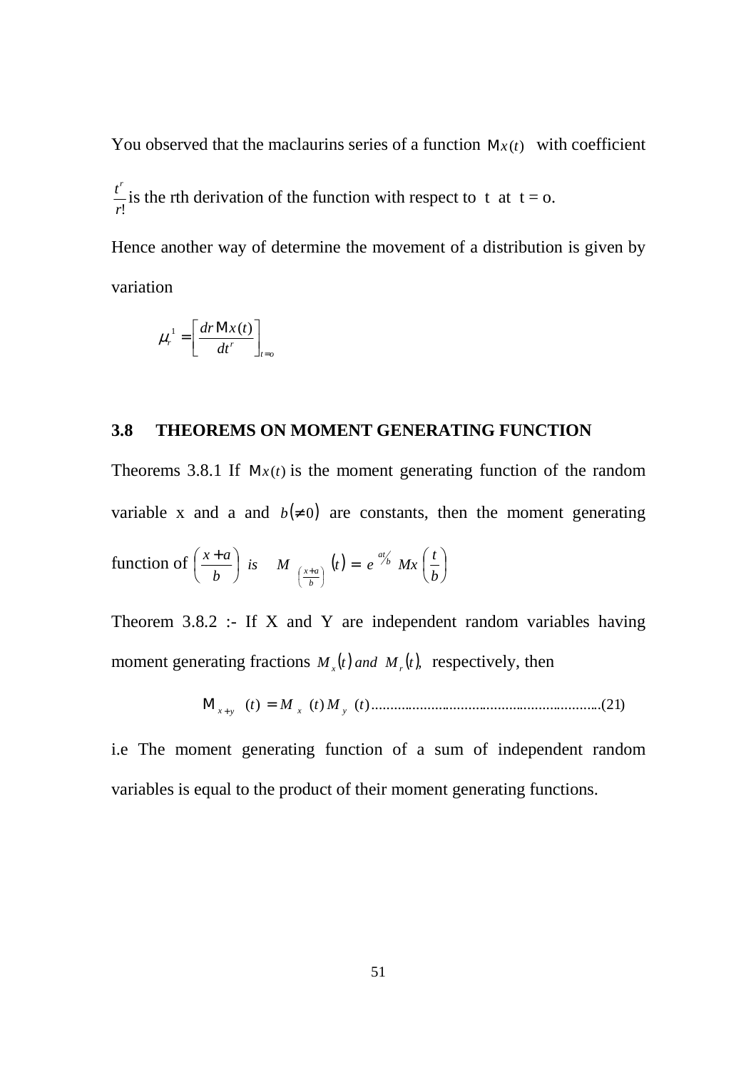You observed that the maclaurins series of a function  $Mx(t)$  with coefficient *r*!  $\frac{t^r}{r}$  is the rth derivation of the function with respect to t at t = o.

Hence another way of determine the movement of a distribution is given by variation

$$
\mu_r^1 = \left[\frac{dr \mathbf{M} x(t)}{dt^r}\right]_{t=0}
$$

### **3.8 THEOREMS ON MOMENT GENERATING FUNCTION**

Theorems 3.8.1 If  $Mx(t)$  is the moment generating function of the random variable x and a and  $b(≠ 0)$  are constants, then the moment generating function of  $\left| \frac{x+a}{t} \right|$  is  $M_{(x+a)}(t) = e^{a\frac{a}{b}} Mx \left| \frac{t}{t} \right|$ J  $\left(\frac{t}{t}\right)$ l is  $M_{(x+a)}(t) = e^{at/b} Mx$ J  $\left(\frac{x+a}{x}\right)$ l  $\left(x+\right)$ J  $\left(\frac{x+a}{b}\right)$  $\left(\frac{x+a}{b}\right)^{k}$   $\left(\frac{b}{b}\right)^{k}$   $\left(\frac{b}{b}\right)^{k}$  $i s$  *M*  $\left(t\right) = e^{at/b} M x \left(\frac{t}{b}\right)$ *b*  $\left(\frac{x+a}{b}\right)$  *is M*  $\left(\frac{a}{b}\right) = e^{at/b}$ *b ax* Theorem 3.8.2 :- If X and Y are independent random variables having

moment generating fractions  $M_x(t)$  *and*  $M_y(t)$ , respectively, then

*t*)( *M t*)( *M t*)( ............................................................ )21..( Μ *<sup>x</sup>* <sup>+</sup> *<sup>y</sup>* = *<sup>x</sup> <sup>y</sup>*

i.e The moment generating function of a sum of independent random variables is equal to the product of their moment generating functions.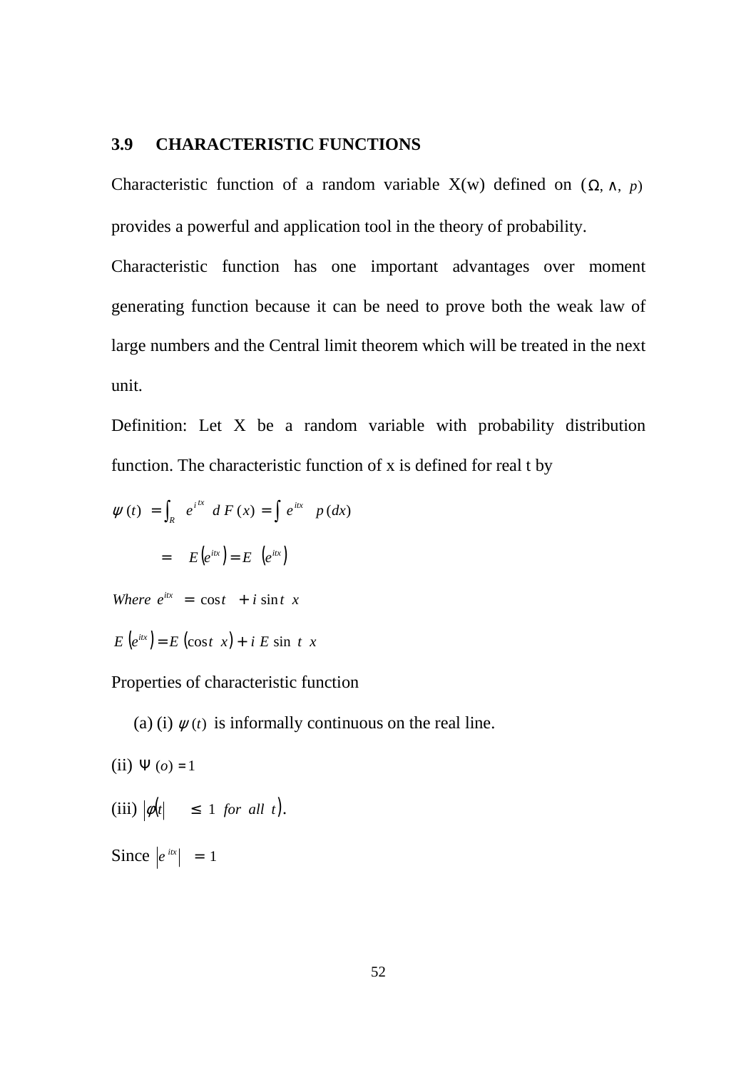### **3.9 CHARACTERISTIC FUNCTIONS**

Characteristic function of a random variable X(w) defined on  $(\Omega, \wedge, p)$ provides a powerful and application tool in the theory of probability.

Characteristic function has one important advantages over moment generating function because it can be need to prove both the weak law of large numbers and the Central limit theorem which will be treated in the next unit.

Definition: Let X be a random variable with probability distribution function. The characteristic function of x is defined for real t by

$$
\psi(t) = \int_{R} e^{i^{tx}} dF(x) = \int e^{ix} p(dx)
$$

$$
= E(e^{ix}) = E(e^{ix})
$$

*Where*  $e^{itx} = \cos t + i \sin t \cdot x$ 

 $E(e^{itx}) = E(\cos t x) + i E \sin t x$ 

Properties of characteristic function

(a) (i)  $\psi(t)$  is informally continuous on the real line.

- (ii)  $\Psi$  (*o*) = 1
- (iii)  $|\phi(t)| \leq 1$  *for all t*).

Since  $|e^{itx}| = 1$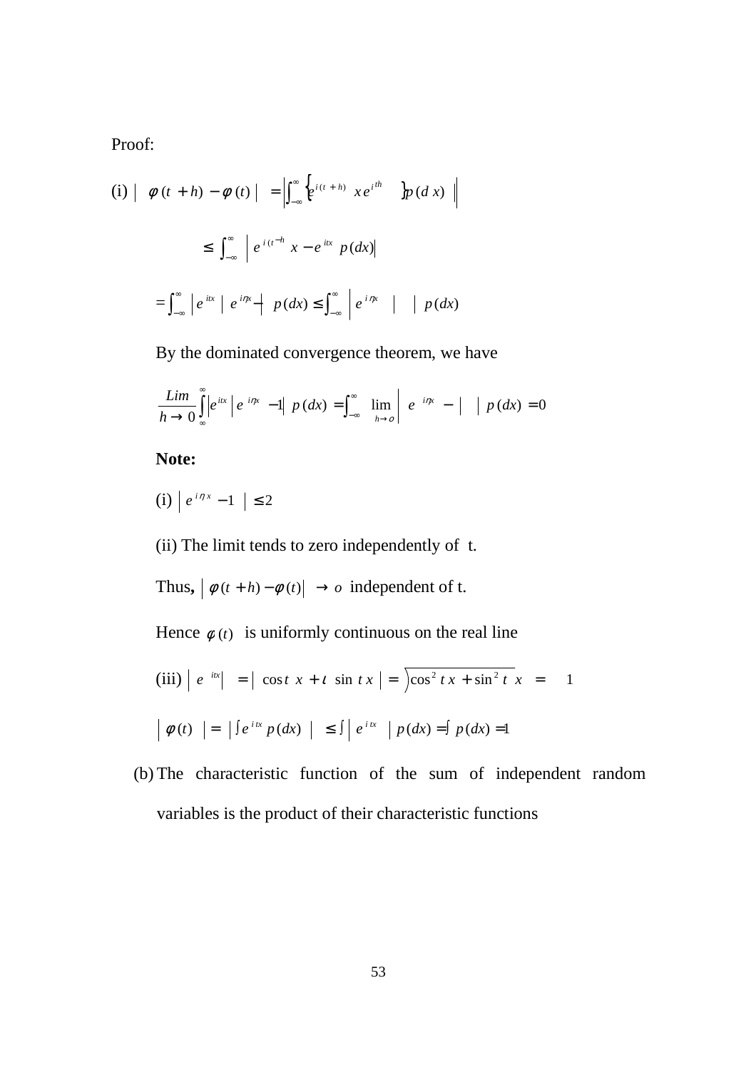Proof:

$$
\begin{array}{c|c|c|c|c|c|c|c} \n(i) & \phi(t+h) - \phi(t) & = & \left| \int_{-\infty}^{\infty} \left\{ e^{i(t+h)} & xe^{i^h} & \right\} p(dx) \right\| \\ \n\leq & \int_{-\infty}^{\infty} \left| e^{i(t-h)} \, x - e^{itx} & p(dx) \right| \\ \n= & \int_{-\infty}^{\infty} \left| e^{itx} \left| e^{i\eta x} - \left| p(dx) \right| \leq \int_{-\infty}^{\infty} \left| e^{i\eta x} \right| & \left| p(dx) \right| \right. \n\end{array}
$$

By the dominated convergence theorem, we have

$$
\frac{Lim}{h\rightarrow 0}\int_{\infty}^{\infty}\left|e^{itx}\right|e^{i\eta x}-1\right|p\left(dx\right)=\int_{-\infty}^{\infty}\lim_{h\rightarrow 0}\left|e^{-i\eta x}-\right|\left|p\left(dx\right)=0\right|
$$

**Note:**

 $(i) | e^{i \eta x} - 1 | ≤ 2$ 

(ii) The limit tends to zero independently of t.

Thus,  $\left| \phi(t+h) - \phi(t) \right| \rightarrow o$  independent of t.

Hence  $\phi(t)$  is uniformly continuous on the real line

$$
\begin{array}{rcl}\n\text{(iii)} \mid e^{-ix} \mid & = \mid \cos t \ x + t \ \sin t \ x \mid = \int \cos^2 t \ x + \sin^2 t \ x \ = & 1 \\
\mid \phi(t) \mid & = \left| \int e^{ix} \ p(dx) \ \mid \ \leq \int \left| \ e^{ix} \ \mid p(dx) = \int p(dx) = 1 \right. \\
\end{array}
$$

(b) The characteristic function of the sum of independent random variables is the product of their characteristic functions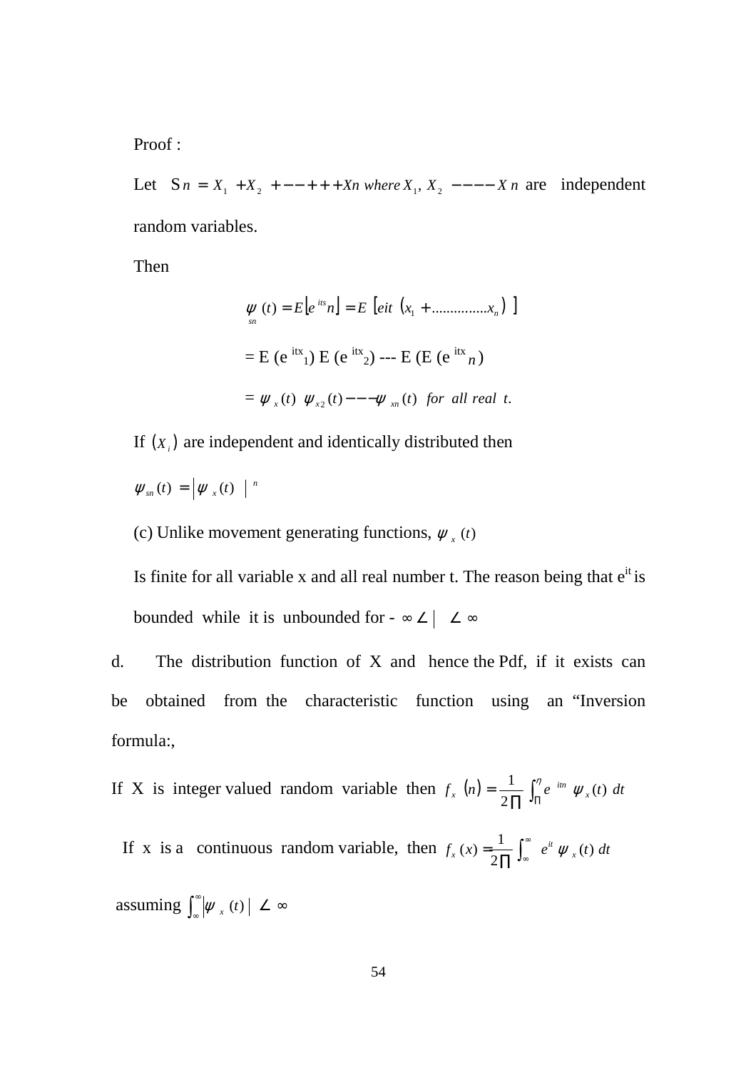Proof :

Let  $S_n = X_1 + X_2 + - - + + + X_n$  *where*  $X_1, X_2 - - - - X_n$  are independent random variables.

Then

$$
\psi(t) = E[e^{its}n] = E[e^{it} (x_1 + \dots + x_n)]
$$
  
= E (e<sup>itx</sup><sub>1</sub>) E (e<sup>itx</sup><sub>2</sub>) --- E (E (e<sup>itx</sup><sub>n</sub>)  
=  $\psi_x(t) \psi_{x_2}(t) - -\psi_{x_n}(t)$  for all real t.

If  $(X_i)$  are independent and identically distributed then

 $\psi_{sn}(t) = \left| \psi_{x}(t) \right|^{n}$ 

(c) Unlike movement generating functions,  $\psi_x(t)$ 

Is finite for all variable x and all real number t. The reason being that  $e^{it}$  is bounded while it is unbounded for -  $\infty \angle \vert \angle \infty$ 

d. The distribution function of X and hence the Pdf, if it exists can be obtained from the characteristic function using an "Inversion formula:,

If X is integer valued random variable then  $f_x(n)$  $f_x(n) = \frac{1}{2 \prod_{i=1}^{n} \int_{\Pi}^{\eta} e^{-itn} \psi_x(t) dt}$  $\mathcal{L}_{\mathbf{x}}(n) = \frac{1}{2\pi} \int_{\pi}^{n} e^{-in} \psi_{\mathbf{x}}(t)$ 2 1

If x is a continuous random variable, then  $f_x(x) = \frac{1}{2\pi} \int_{-\infty}^{\infty} e^{it} \psi_x(t) dt$  $\mathcal{L}_x(x) = \frac{1}{2\pi} \int_{-\infty}^{\infty} e^{it} \psi_x(t)$ 2  $f(x) = \frac{1}{2\pi} \int_{-\infty}^{\infty} e^{it} \psi$ ∏ <sup>∞</sup> =

 assuming ∫ ∞  $\mathscr{L}_{\mathscr{X}}\left(\mathscr{W}_{\mathscr{X}}\left(t\right)\right)\leq\infty$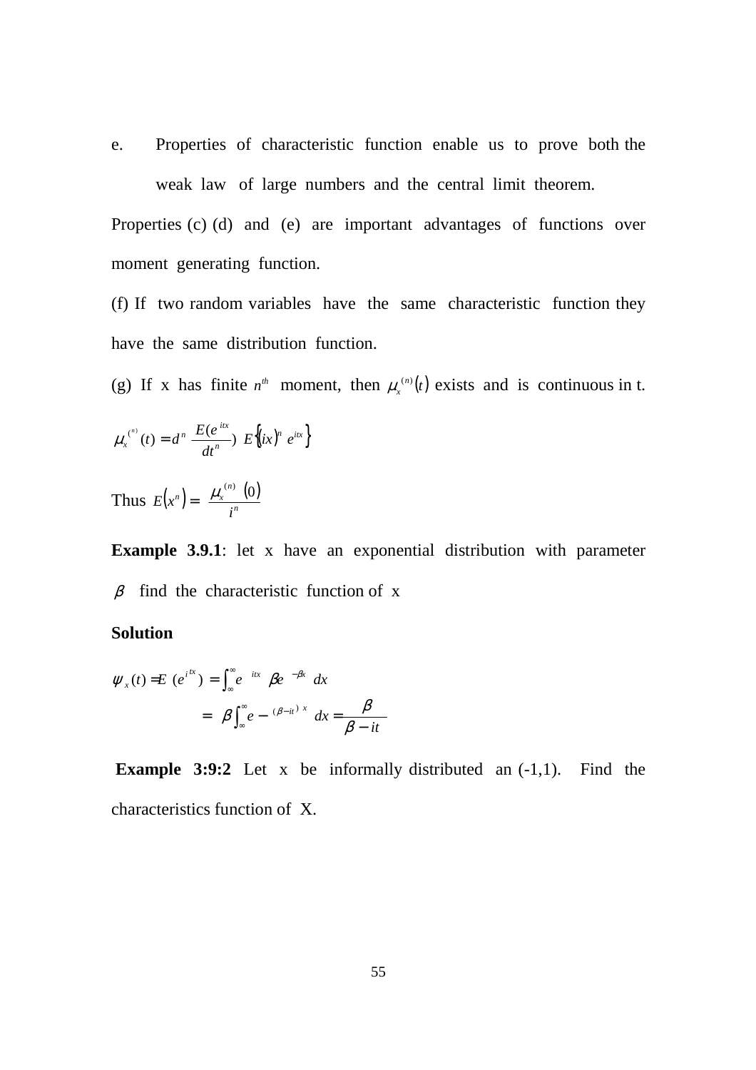e. Properties of characteristic function enable us to prove both the weak law of large numbers and the central limit theorem.

Properties (c) (d) and (e) are important advantages of functions over moment generating function.

(f) If two random variables have the same characteristic function they have the same distribution function.

(g) If x has finite  $n^{th}$  moment, then  $\mu_x^{(n)}(t)$ *x*  $\mu_{x}^{(n)}(t)$  exists and is continuous in t.

$$
\mu_x^{(n)}(t) = d^n \frac{E(e^{itx})}{dt^n} E\{ix\}^n e^{itx}\}
$$

Thus  $E(x^n) = \frac{\mu_{x}^{(n)}(0)}{n}$ *n*  $\mu$   $\mu$   $\mu$ <sub>x</sub> *i*  $E(x^n) = \frac{\mu_x^{(n)}(0)}{n}$ 

**Example 3.9.1**: let x have an exponential distribution with parameter  $\beta$  find the characteristic function of x

### **Solution**

$$
\psi_x(t) = E(e^{i\alpha x}) = \int_{-\infty}^{\infty} e^{-i\alpha x} \beta e^{-\beta x} dx
$$

$$
= \beta \int_{-\infty}^{\infty} e^{-(\beta - i t)^x} dx = \frac{\beta}{\beta - i t}
$$

**Example 3:9:2** Let x be informally distributed an  $(-1,1)$ . Find the characteristics function of X.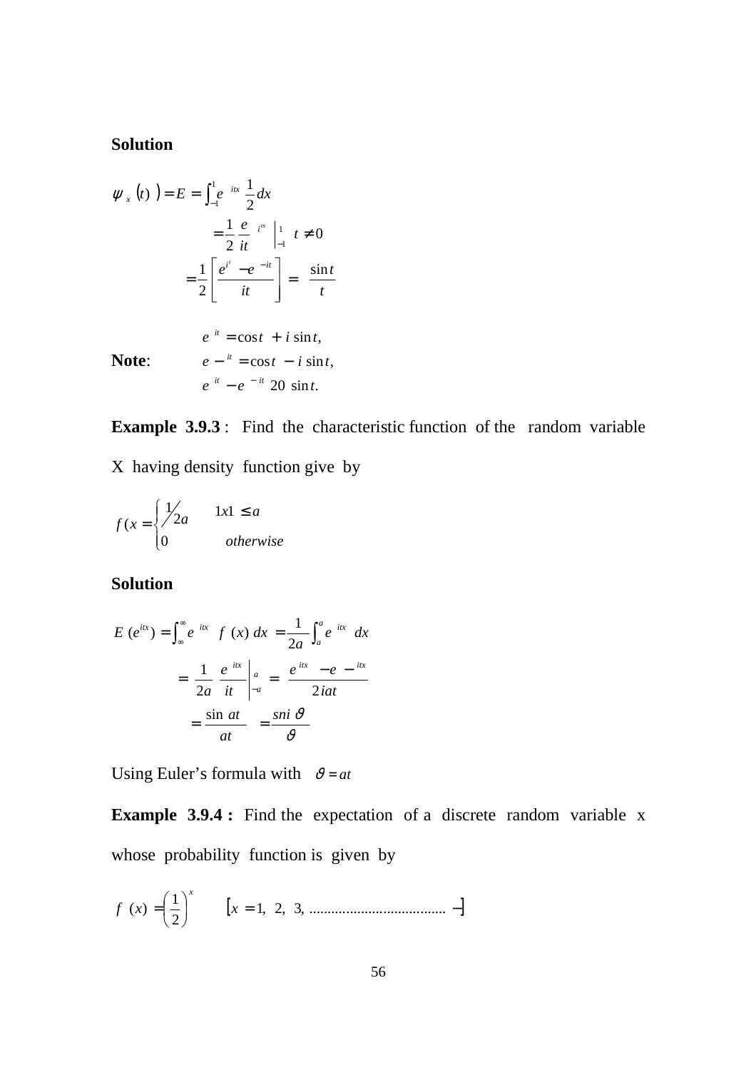# **Solution**

$$
\psi_x(t) = E = \int_{-1}^{1} e^{-itx} \frac{1}{2} dx
$$
  
\n
$$
= \frac{1}{2} \frac{e^{-i\pi}}{it} \Big|_{-1}^{1} t \neq 0
$$
  
\n
$$
= \frac{1}{2} \Bigg[ \frac{e^{i'} - e^{-it}}{it} \Bigg] = \frac{\sin t}{t}
$$
  
\n
$$
e^{-it} = \cos t + i \sin t,
$$
  
\n**Note:**  $e^{-it} = \cos t - i \sin t,$   
\n $e^{-it} - e^{-it} = 20 \sin t.$ 

**Example 3.9.3** : Find the characteristic function of the random variable X having density function give by

$$
f(x) = \begin{cases} \frac{1}{2a} & \text{if } 1 \le a \\ 0 & \text{otherwise} \end{cases}
$$

# **Solution**

$$
E(e^{itx}) = \int_{-\infty}^{\infty} e^{-itx} f(x) dx = \frac{1}{2a} \int_{a}^{a} e^{-itx} dx
$$

$$
= \frac{1}{2a} \left. \frac{e^{-itx}}{it} \right|_{-a}^{a} = \frac{e^{-itx} - e^{-itx}}{2iat}
$$

$$
= \frac{\sin at}{at} = \frac{\sin \vartheta}{\vartheta}
$$

Using Euler's formula with  $v = at$ 

**Example 3.9.4 :** Find the expectation of a discrete random variable x whose probability function is given by

$$
f(x) = \left(\frac{1}{2}\right)^{x} \qquad [x = 1, 2, 3, \dots, \dots, \dots, \dots, \dots, -]
$$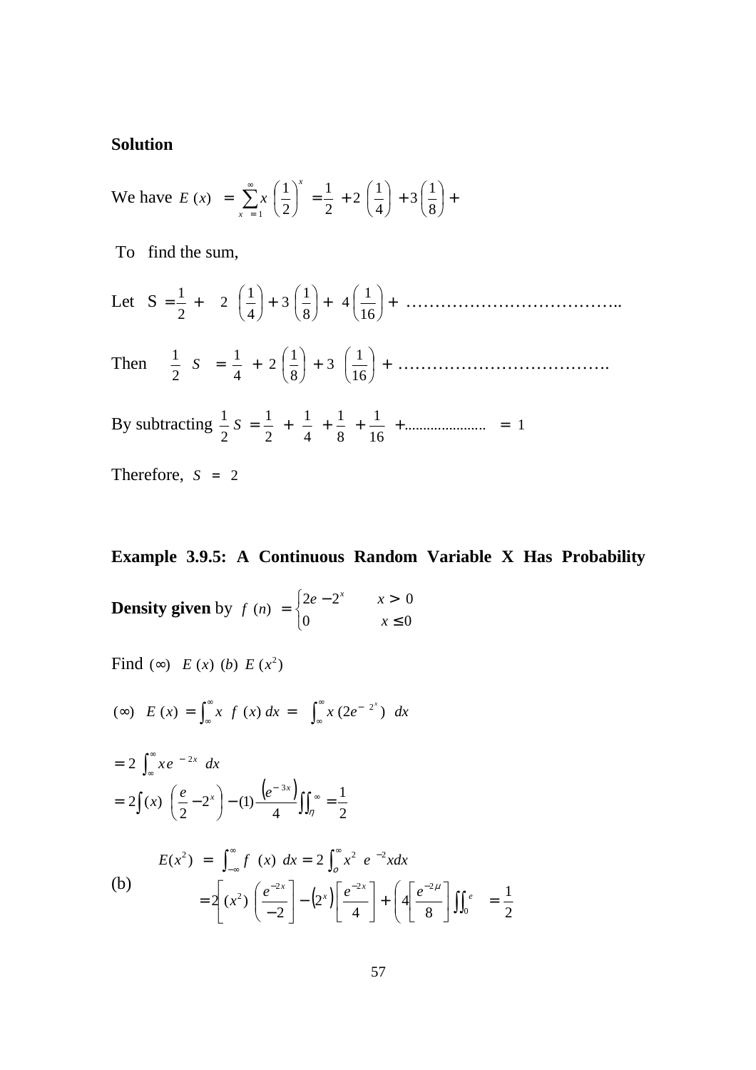### **Solution**

We have 
$$
E(x) = \sum_{x=1}^{\infty} x \left(\frac{1}{2}\right)^x = \frac{1}{2} + 2\left(\frac{1}{4}\right) + 3\left(\frac{1}{8}\right) +
$$

To find the sum,

Let 
$$
S = \frac{1}{2} + 2 \left( \frac{1}{4} \right) + 3 \left( \frac{1}{8} \right) + 4 \left( \frac{1}{16} \right) + \dots
$$

Then  $\frac{1}{2} S = \frac{1}{4} + 2 \left| \frac{1}{2} \right| + 3 \left| \frac{1}{2} \right| +$ J  $\left(\frac{1}{\cdot}\right)$ l  $+3$ J  $\left(\frac{1}{2}\right)$ l ſ  $=$   $\frac{1}{4}$  + 16  $3\left(\frac{1}{1}\right)$ 8  $2\left(\frac{1}{2}\right)$ 4 1 2  $\frac{1}{2}$   $S = \frac{1}{4} + 2\left(\frac{1}{2}\right) + 3\left(\frac{1}{16}\right) + \dots$ 

By subtracting  $\frac{1}{2}S = \frac{1}{2} + \frac{1}{4} + \frac{1}{3} + \frac{1}{4} + \dots$ 16 1 8 1 4 1 2 1 2  $\frac{1}{2}S = \frac{1}{2} + \frac{1}{4} + \frac{1}{8} + \frac{1}{16} + \dots$ 

Therefore,  $S = 2$ 

## **Example 3.9.5: A Continuous Random Variable X Has Probability**

**Density given** by  $\overline{\mathcal{L}}$ ∤  $\int$ ≤  $=\begin{cases} 2e-2^{x} & x > \ 0 & \end{cases}$ 0  $x \leq 0$  $(n) = \begin{cases} 2e - 2^{x} & x > 0 \end{cases}$ *x*  $f(n) = \begin{cases} 2e^{-2x} & x \end{cases}$ *x*

Find (∞) 
$$
E(x)
$$
 (b)  $E(x^2)$   
\n(∞)  $E(x) = \int_{\infty}^{\infty} x f(x) dx = \int_{\infty}^{\infty} x (2e^{-2x}) dx$   
\n $= 2 \int_{\infty}^{\infty} x e^{-2x} dx$   
\n $= 2 \int (x) (\frac{e}{2} - 2^x) - (1) \frac{(e^{-3x})}{4} \int_{0}^{\infty} = \frac{1}{2}$   
\n $E(x^2) = \int_{-\infty}^{\infty} f(x) dx = 2 \int_{0}^{\infty} x^2 e^{-2x} dx$   
\n(b)  $= 2 \left[ (x^2) (\frac{e^{-2x}}{-2}) - (2^x) [\frac{e^{-2x}}{4}] + (4 \frac{e^{-2\mu}}{8}) \int_{0}^{x} = \frac{1}{2}$ 

2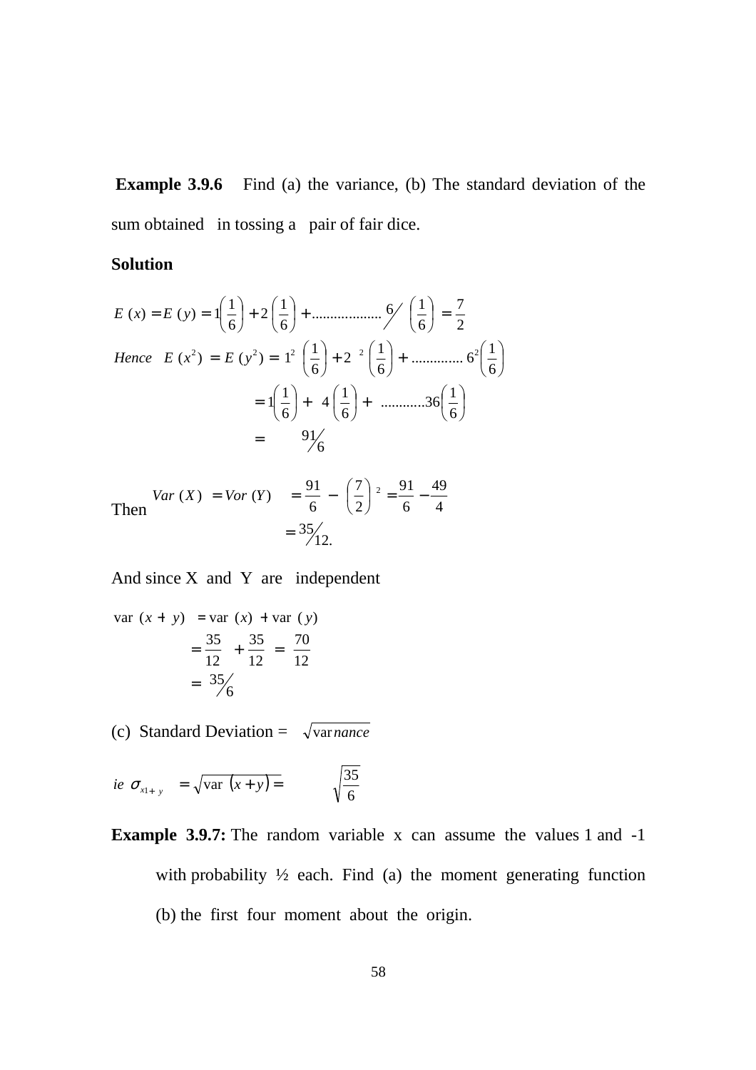**Example 3.9.6** Find (a) the variance, (b) The standard deviation of the sum obtained in tossing a pair of fair dice.

## **Solution**

$$
E(x) = E(y) = 1\left(\frac{1}{6}\right) + 2\left(\frac{1}{6}\right) + \dots + \dots + \frac{6}{6}\left(\frac{1}{6}\right) = \frac{7}{2}
$$
  
Hence  $E(x^2) = E(y^2) = 1^2\left(\frac{1}{6}\right) + 2^2\left(\frac{1}{6}\right) + \dots + \frac{6^2}{6}\left(\frac{1}{6}\right)$ 
$$
= 1\left(\frac{1}{6}\right) + 4\left(\frac{1}{6}\right) + \dots + \frac{36}{6}\left(\frac{1}{6}\right)
$$

$$
= 91\%
$$

Then 
$$
Var(X) = Var(Y) = \frac{91}{6} - \left(\frac{7}{2}\right)^2 = \frac{91}{6} - \frac{49}{4}
$$

$$
= \frac{35}{12}.
$$

And since X and Y are independent

var 
$$
(x + y)
$$
 = var  $(x)$  + var  $(y)$   
=  $\frac{35}{12} + \frac{35}{12} = \frac{70}{12}$   
=  $\frac{35}{6}$ 

(c) Standard Deviation =  $\sqrt{variance}$ 

*ie* 
$$
\sigma_{x_{1+y}} = \sqrt{\text{var}(x+y)} = \sqrt{\frac{35}{6}}
$$

**Example 3.9.7:** The random variable x can assume the values 1 and -1 with probability  $\frac{1}{2}$  each. Find (a) the moment generating function (b) the first four moment about the origin.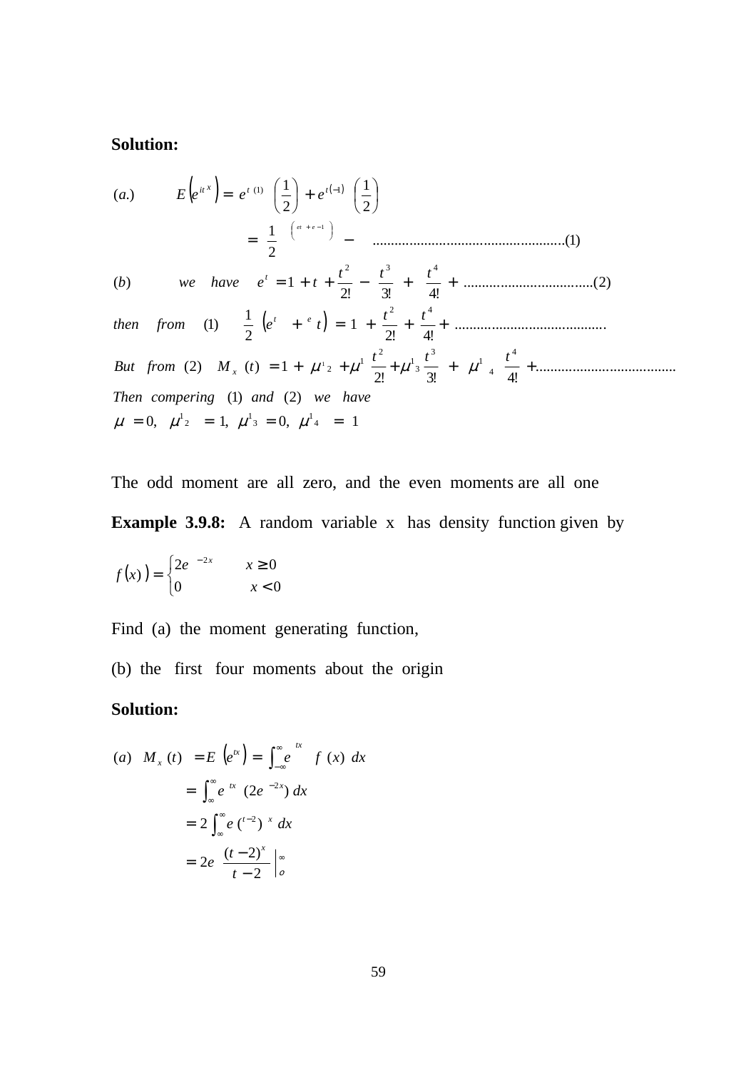# **Solution:**

( ) ( ) ( ) ,0 ,1 ,0 1 )1( )2( ...................................... !2 !3 !4 )2( )( 1 ......................................... !2 !4 1 2 1 )1( ...................................( )2 !2 !3 !4 )( 1 .................................................. )1..( 2 1 2 1 2 1 .)( 4 1 3 1 2 1 4 4 1 3 3 1 2 1 2 2 4 2 3 4 )1( 1 1 1 = = = = = + + + + + + = + + + = + + − + + = − + = − −+ µ µ µ µ µ µ µ µ *Then compering and we have t t t But from M t t t then from e t t t t b we have e t a E e e e x t e t t t x it eet*

The odd moment are all zero, and the even moments are all one **Example 3.9.8:** A random variable x has density function given by

$$
f(x) = \begin{cases} 2e^{-2x} & x \ge 0 \\ 0 & x < 0 \end{cases}
$$

Find (a) the moment generating function,

(b) the first four moments about the origin

# **Solution:**

(a) 
$$
M_x(t) = E(e^{tx}) = \int_{-\infty}^{\infty} e^{tx} f(x) dx
$$
  
\t $= \int_{-\infty}^{\infty} e^{tx} (2e^{-2x}) dx$   
\t $= 2 \int_{-\infty}^{\infty} e^{t-2} dx$   
\t $= 2e \frac{(t-2)^x}{t-2} \Big|_{0}^{\infty}$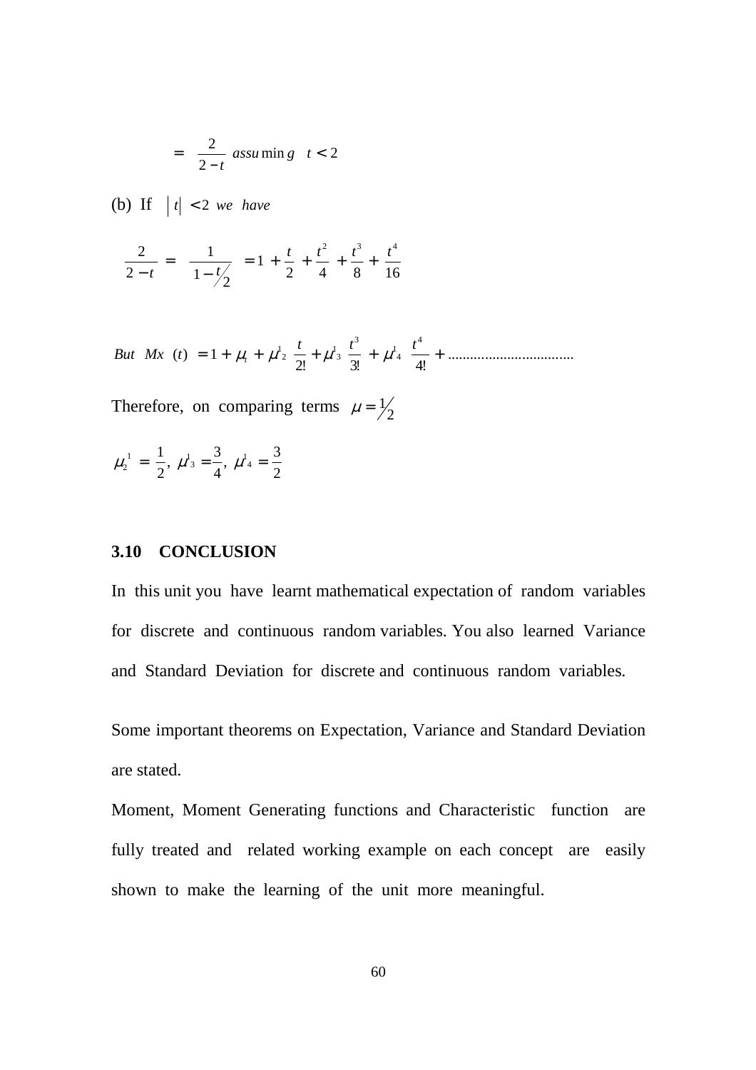$$
= \frac{2}{2-t} \operatorname{assu} \min g \quad t < 2
$$

(b) If  $|t| < 2$  *we have* 

$$
\frac{2}{2-t} = \frac{1}{1-t/2} = 1 + \frac{t}{2} + \frac{t^2}{4} + \frac{t^3}{8} + \frac{t^4}{16}
$$

..................................  $2!$   $4!$  $(t) = 1$ 4  $\frac{3}{1} + \mu^1$ <sub>4</sub> But  $Mx$  (t) = 1 +  $\mu_1 + \mu_2 + \mu_3 + \mu_4 = \frac{t^3}{2!} + \mu_4 + \frac{t^4}{4!} + \mu_5$ 

Therefore, on comparing terms  $\mu = \frac{1}{2}$ 

$$
\mu_2^1 = \frac{1}{2}, \mu^1{}_3 = \frac{3}{4}, \mu^1{}_4 = \frac{3}{2}
$$

### **3.10 CONCLUSION**

In this unit you have learnt mathematical expectation of random variables for discrete and continuous random variables. You also learned Variance and Standard Deviation for discrete and continuous random variables.

Some important theorems on Expectation, Variance and Standard Deviation are stated.

Moment, Moment Generating functions and Characteristic function are fully treated and related working example on each concept are easily shown to make the learning of the unit more meaningful.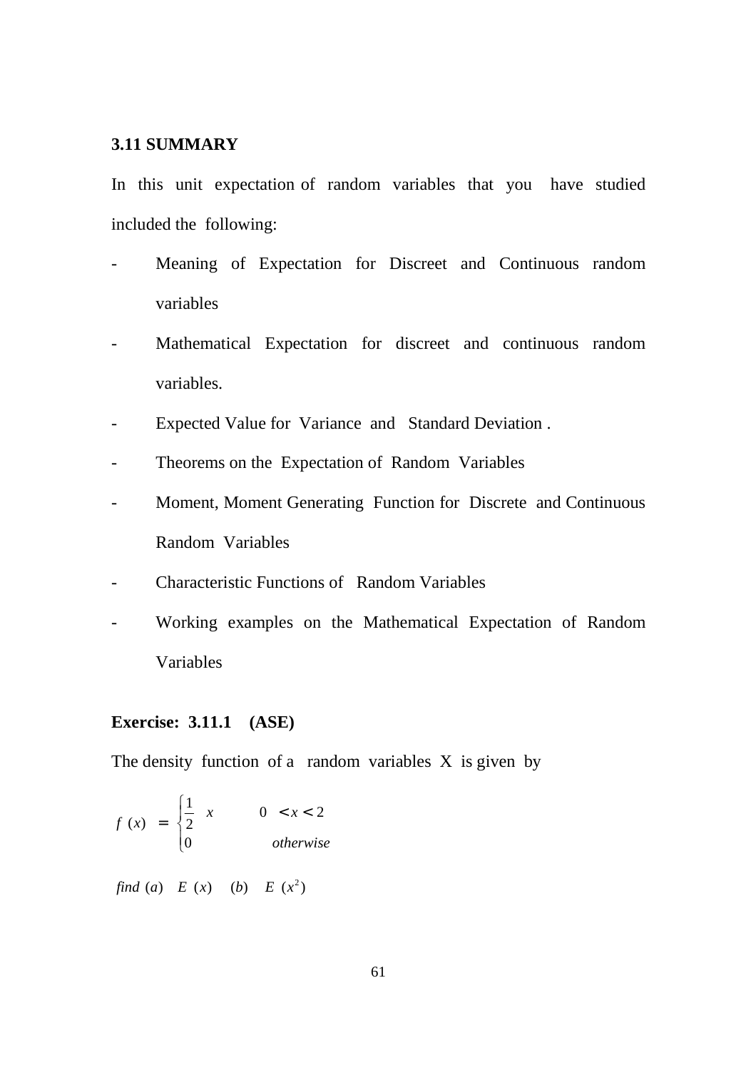### **3.11 SUMMARY**

In this unit expectation of random variables that you have studied included the following:

- Meaning of Expectation for Discreet and Continuous random variables
- Mathematical Expectation for discreet and continuous random variables.
- Expected Value for Variance and Standard Deviation .
- Theorems on the Expectation of Random Variables
- Moment, Moment Generating Function for Discrete and Continuous Random Variables
- Characteristic Functions of Random Variables
- Working examples on the Mathematical Expectation of Random Variables

#### **Exercise: 3.11.1 (ASE)**

The density function of a random variables  $X$  is given by

$$
f(x) = \begin{cases} \frac{1}{2} & x \qquad 0 < x < 2 \\ 0 & \text{otherwise} \end{cases}
$$

find (a)  $E(x)$  (b)  $E(x^2)$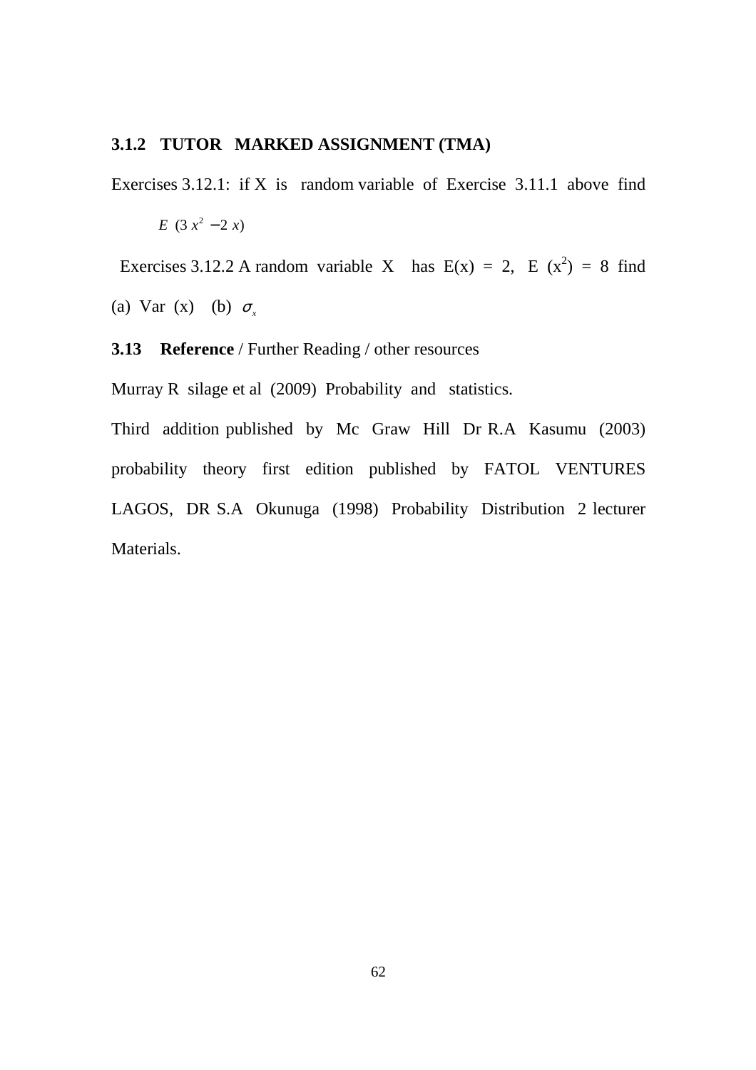#### **3.1.2 TUTOR MARKED ASSIGNMENT (TMA)**

Exercises 3.12.1: if X is random variable of Exercise 3.11.1 above find

 $E(3 x^2 - 2 x)$ 

Exercises 3.12.2 A random variable X has  $E(x) = 2$ ,  $E(x^2) = 8$  find

(a) Var (x) (b)  $\sigma_r$ 

**3.13 Reference** / Further Reading / other resources

Murray R silage et al (2009) Probability and statistics.

Third addition published by Mc Graw Hill Dr R.A Kasumu (2003) probability theory first edition published by FATOL VENTURES LAGOS, DR S.A Okunuga (1998) Probability Distribution 2 lecturer Materials.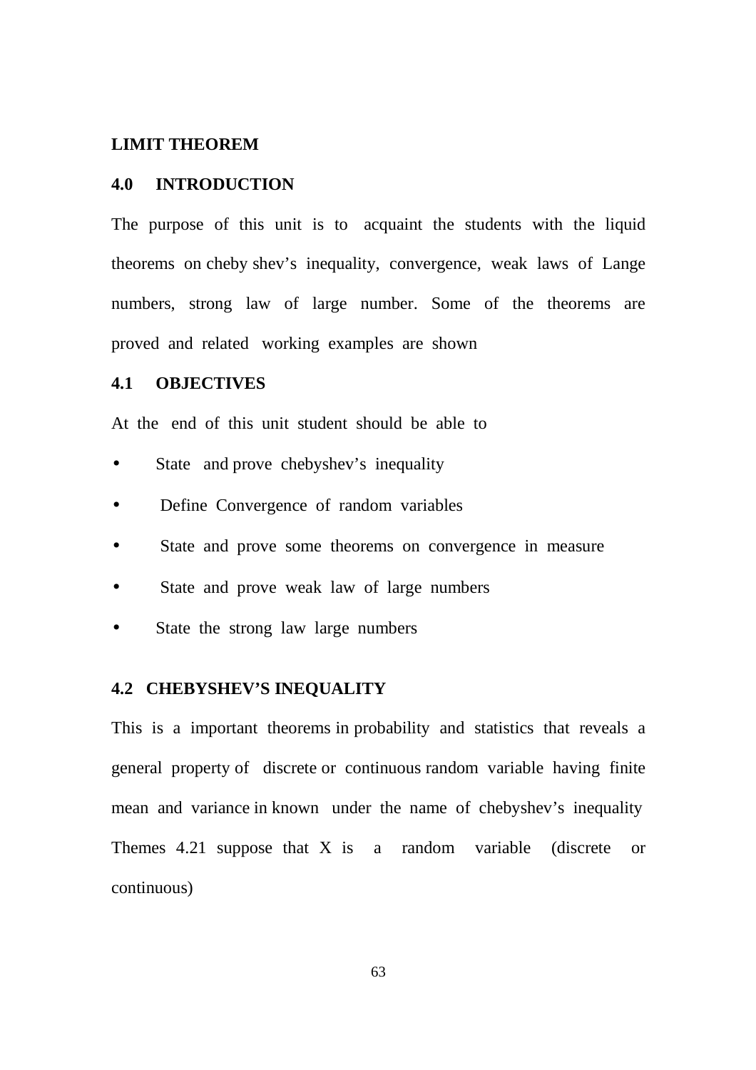#### **LIMIT THEOREM**

### **4.0 INTRODUCTION**

The purpose of this unit is to acquaint the students with the liquid theorems on cheby shev's inequality, convergence, weak laws of Lange numbers, strong law of large number. Some of the theorems are proved and related working examples are shown

## **4.1 OBJECTIVES**

At the end of this unit student should be able to

- State and prove chebyshev's inequality
- Define Convergence of random variables
- State and prove some theorems on convergence in measure
- State and prove weak law of large numbers
- State the strong law large numbers

### **4.2 CHEBYSHEV'S INEQUALITY**

This is a important theorems in probability and statistics that reveals a general property of discrete or continuous random variable having finite mean and variance in known under the name of chebyshev's inequality Themes 4.21 suppose that X is a random variable (discrete or continuous)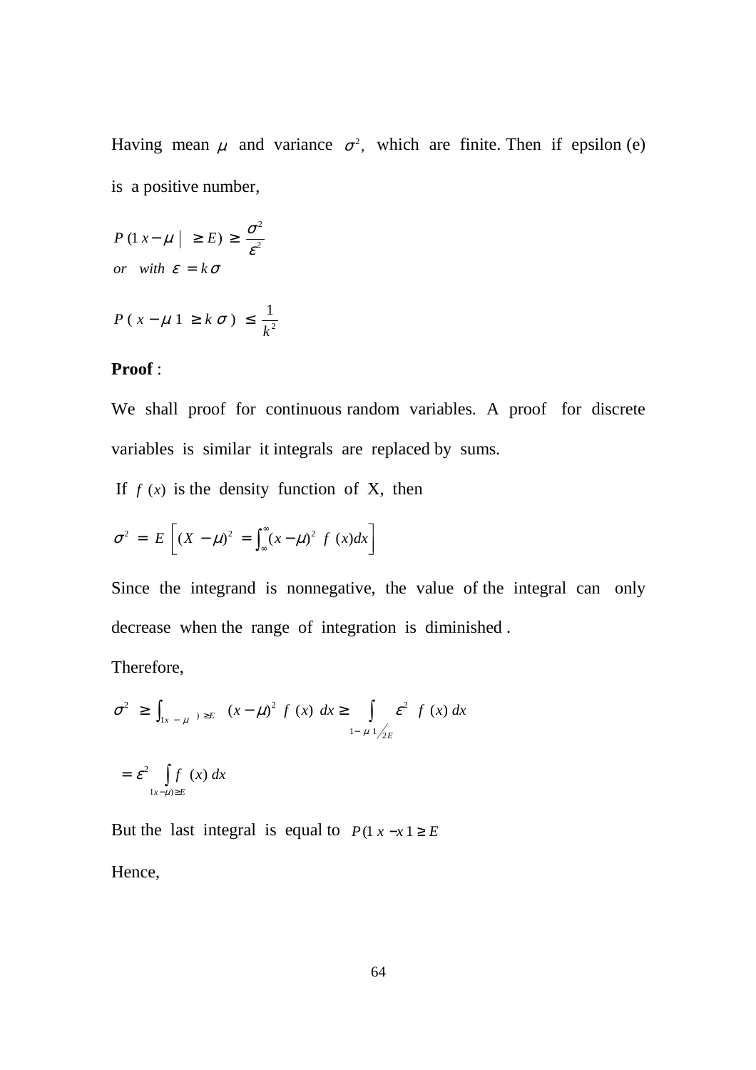Having mean  $\mu$  and variance  $\sigma^2$ , which are finite. Then if epsilon (e) is a positive number,

*or* with  $\varepsilon = k\sigma$ ε  $P(1 x - \mu \mid \geq E) \geq \frac{\sigma^2}{c^2}$ 2  $(1 x - \mu \mid \geq E) \geq \frac{6}{\varepsilon^2}$ 

$$
P(x - \mu \, 1 \geq k \, \sigma) \leq \frac{1}{k^2}
$$

### **Proof** :

We shall proof for continuous random variables. A proof for discrete variables is similar it integrals are replaced by sums.

If  $f(x)$  is the density function of X, then

$$
\sigma^2 = E\left[ (X - \mu)^2 = \int_{-\infty}^{\infty} (x - \mu)^2 f(x) dx \right]
$$

Since the integrand is nonnegative, the value of the integral can only decrease when the range of integration is diminished .

Therefore,

$$
\sigma^2 \ge \int_{|x - \mu|} \exp(x - \mu)^2 f(x) dx \ge \int_{1 - \mu} \int_{2E} \varepsilon^2 f(x) dx
$$
  
=  $\varepsilon^2 \int_{|x - \mu| \ge E} f(x) dx$ 

But the last integral is equal to  $P(1 x - x 1 \ge E)$ Hence,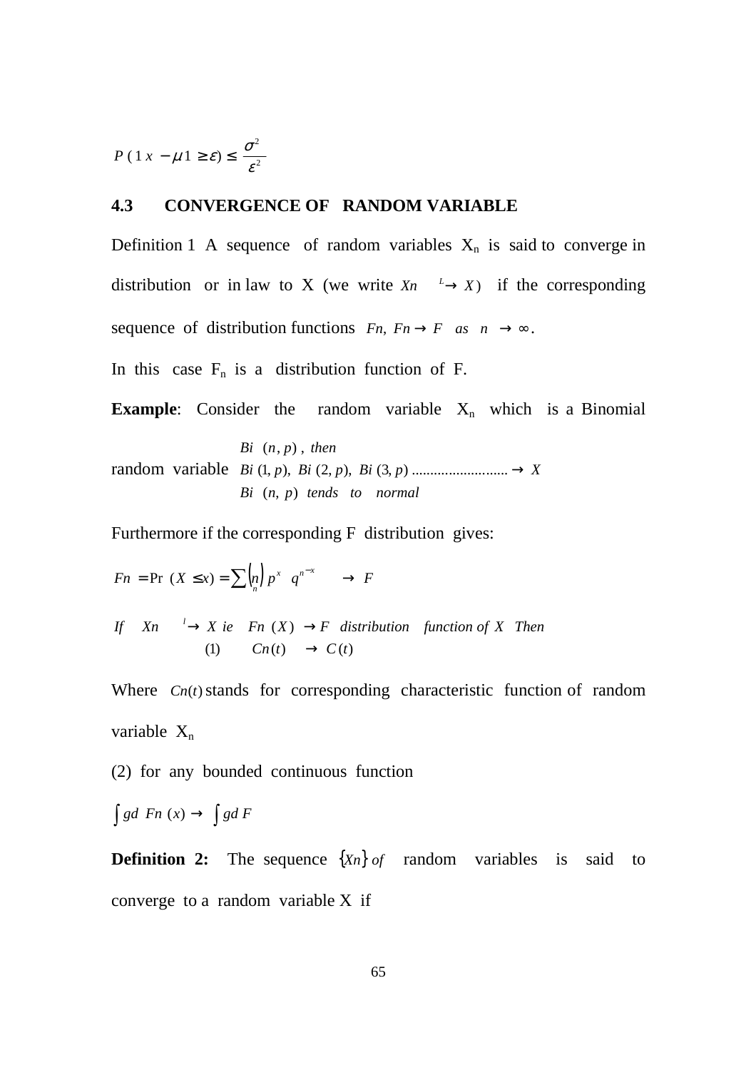2 2  $(1 x - \mu 1 \ge \varepsilon) \le \frac{\varepsilon}{\varepsilon}$  $P(1 x - \mu 1 \ge \varepsilon) \le \frac{\sigma}{\sigma}$ 

## **4.3 CONVERGENCE OF RANDOM VARIABLE**

Definition 1 A sequence of random variables  $X_n$  is said to converge in distribution or in law to X (we write  $X_n \xrightarrow{L} X$ ) if the corresponding sequence of distribution functions  $Fn, Fn\rightarrow F$  as  $n\rightarrow\infty$ .

In this case  $F_n$  is a distribution function of F.

**Example:** Consider the random variable  $X_n$  which is a Binomial

random variable *Bi p Bi p Bi p X* ),,1( ),,2( ),3( .......................... → *Bi*  $(n, p)$  *tends to normal*  $Bi (n, p)$ , then

Furthermore if the corresponding F distribution gives:

$$
Fn = \Pr(X \le x) = \sum_{n=0}^{\infty} {n \choose n} p^x q^{n-x} \longrightarrow F
$$

(1)  $Cn(t) \rightarrow C(t)$ If  $X_n \longrightarrow X$  ie Fn  $(X) \longrightarrow F$  distribution function of X Then

Where  $C_n(t)$  stands for corresponding characteristic function of random variable  $X_n$ 

(2) for any bounded continuous function

$$
\int g d\ F n\ (x) \to \int g d\ F
$$

**Definition 2:** The sequence  $\{X_n\}$  *of* random variables is said to converge to a random variable X if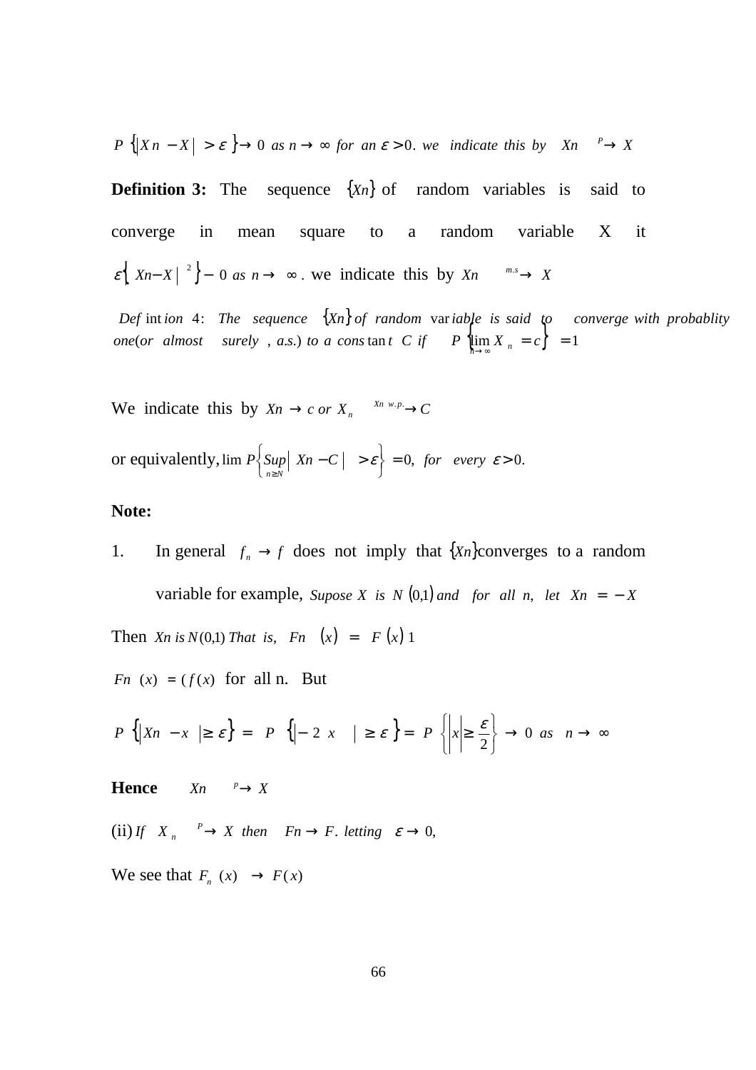$$
P\left\{ |X\, - X| > \varepsilon \right\} \to 0 \text{ as } n \to \infty \text{ for an } \varepsilon > 0. \text{ we indicate this by } Xn \xrightarrow{p} X
$$

**Definition 3:** The sequence  $\{X_n\}$  of random variables is said to converge in mean square to a random variable X it  $\{ \epsilon \mid X_n - X \mid \epsilon^2 \}$  – 0 as  $n \to \infty$ . we indicate this by  $X_n \xrightarrow{m.s.} X_n$ 

*Def* intion 4: The sequence  $\{X_n\}$  of random variable is said to converge with probablity  $\int$  *one* (*or almost surely , a.s.) to a cons*  $\tan t$  *C if*  $P$   $\left\{ \lim_{n \to \infty} X_n = c \right\} = 1$ 

We indicate this by  $X_n \to c$  or  $X_n \xrightarrow{X_n \ w.p.} C$ 

or equivalently,  $\lim_{n \to \infty} P\left\{\sup_{n \ge N} |X_n - C| > \varepsilon \right\} = 0$ , for every  $\varepsilon > 0$ .  $\left\{ \sup_{n\geq N} \vert X_n - C \vert > \right\}$ ≥  $P\{ \text{Sup} \mid \text{X}n - C \mid > \varepsilon \} = 0, \text{ for every } \varepsilon$  $n \geq N$ 

#### **Note:**

1. In general  $f_n \to f$  does not imply that  $\{X_n\}$ converges to a random variable for example, *Supose X is*  $N(0,1)$  *and for all*  $n$ , *let*  $Xn = -X$ Then *Xn* is  $N(0,1)$  That is,  $Fn(x) = F(x)1$ 

*Fn*  $(x) = (f(x)$  for all n. But

$$
P\left\{ \left|Xn-x\right| \geq \varepsilon \right\} = P\left\{ \left| -2x \right| \geq \varepsilon \right\} = P\left\{ \left| x \right| \geq \frac{\varepsilon}{2} \right\} \to 0 \text{ as } n \to \infty
$$

**Hence**  $X_n \xrightarrow{p} X$ 

 $(ii)$  *If*  $X_n \xrightarrow{P} X$  *then*  $Fn \to F$ *. letting*  $\varepsilon \to 0$ , *n*

We see that  $F_n(x) \to F(x)$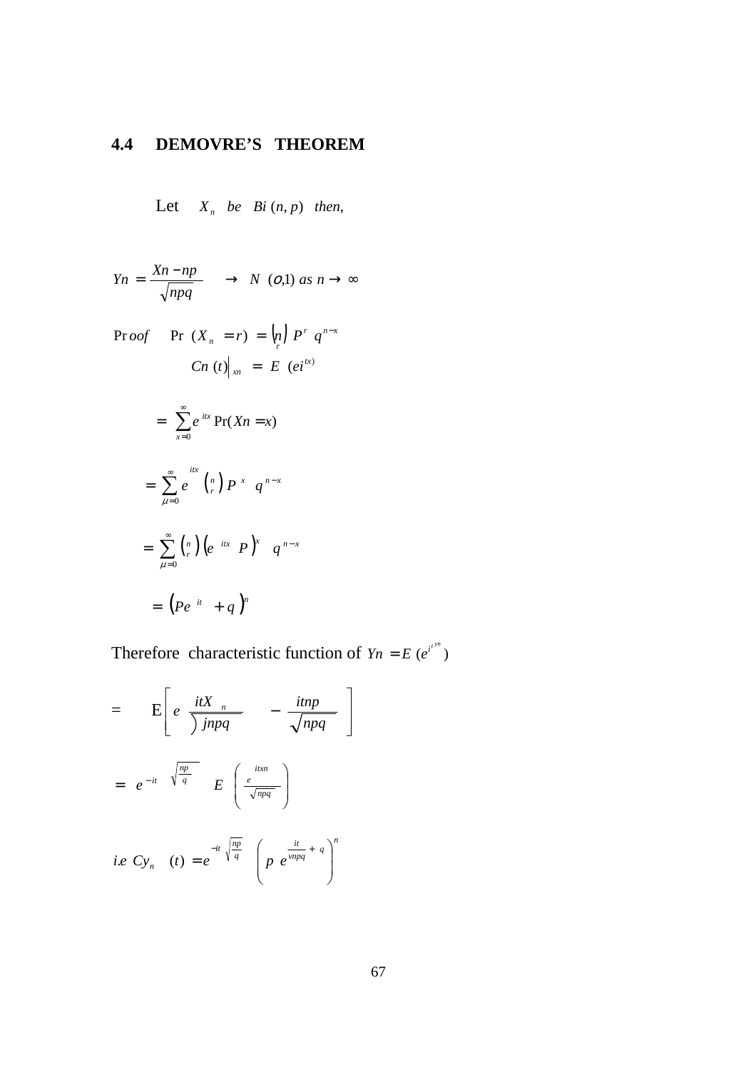# **4.4 DEMOVRE'S THEOREM**

Let  $X_n$  be Bi(n, p) then,

$$
Yn = \frac{Xn - np}{\sqrt{npq}} \longrightarrow N \ (o,1) \ as \ n \to \infty
$$

Proof

\n
$$
\begin{aligned}\n\text{Pr} \, Oof \quad & \text{Pr} \, \left(X_n = r\right) = \binom{n}{r} \, P^r \, q^{n-x} \\
\text{Cn} \, (t) \big|_{xn} &= E \, (ei^{tx}) \\
&= \sum_{x=0}^{\infty} e^{itx} \, \text{Pr}(Xn = x) \\
&= \sum_{\mu=0}^{\infty} e^{itx} \, \binom{n}{r} \, P^x \, q^{n-x} \\
&= \sum_{\mu=0}^{\infty} \binom{n}{r} \big( e^{itx} \, P \big)^x \, q^{n-x} \\
&= \big( Pe^{it} + q \big)^n\n\end{aligned}
$$

Therefore characteristic function of  $Y_n = E(e^{i^{t^{m}}})$ 

$$
= \mathbf{E}\left[e \frac{itX_n}{\int jnpq} - \frac{itnp}{\sqrt{npq}}\right]
$$

$$
= e^{-it} \sqrt{\frac{np}{q}} E\left(\frac{e^{itx n}}{\sqrt{npq}}\right)
$$

$$
i.e \ Cy_n \ (t) = e^{-it} \sqrt{\frac{np}{q}} \left(p e^{\frac{it}{vnpq} + q}\right)^n
$$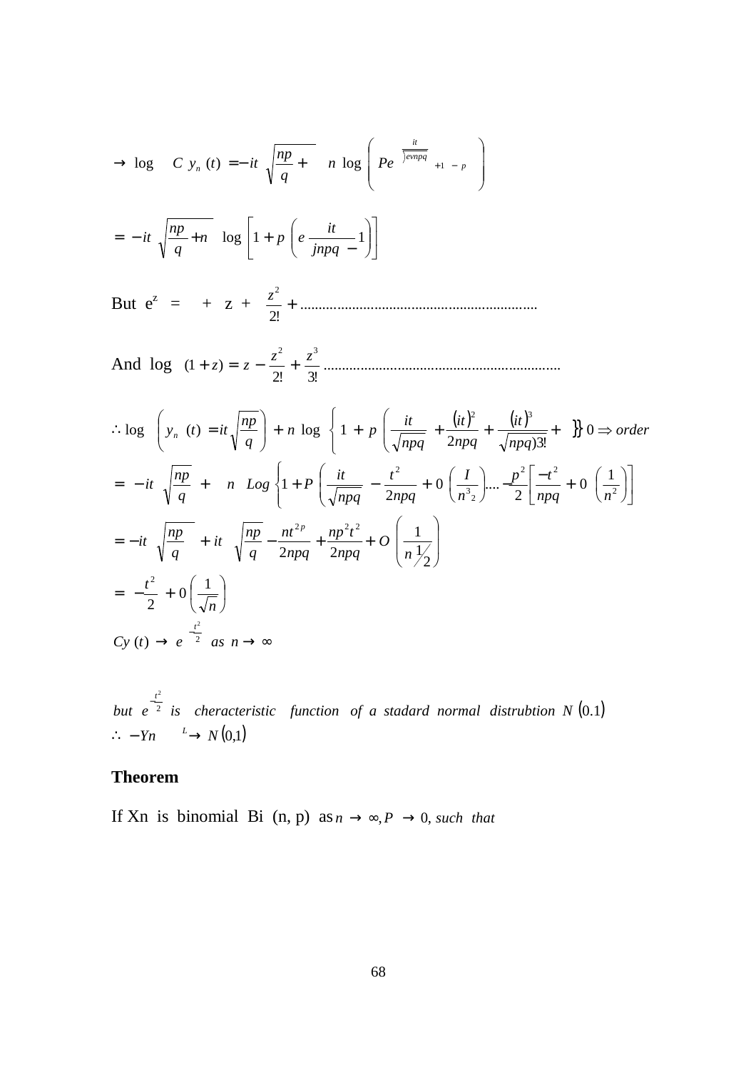$$
\Rightarrow \log C y_n(t) = -it \sqrt{\frac{np}{q}} + n \log \left( Pe^{\frac{it}{j w n p q}} + 1 - p \right)
$$
  
\n
$$
= -it \sqrt{\frac{np}{q} + n} \log \left[ 1 + p \left( e \frac{it}{j n p q} - 1 \right) \right]
$$
  
\nBut  $e^z = + z + \frac{z^2}{2!} + \dots$   
\nAnd  $\log (1 + z) = z - \frac{z^2}{2!} + \frac{z^3}{3!} + \dots$   
\n $\therefore \log \left( y_n(t) = it \sqrt{\frac{np}{q}} \right) + n \log \left\{ 1 + p \left( \frac{it}{\sqrt{n p q}} + \frac{(it)^2}{2 n p q} + \frac{(it)^3}{\sqrt{n p q}} \right) + \dots \right\} 0 \Rightarrow order$   
\n
$$
= -it \sqrt{\frac{np}{q}} + n \log \left\{ 1 + p \left( \frac{it}{\sqrt{n p q}} - \frac{t^2}{2 n p q} + 0 \left( \frac{t}{n^3 z} \right) \dots - \frac{p^2}{2} \left[ \frac{-t^2}{n p q} + 0 \left( \frac{1}{n^2} \right) \right] \right\}
$$
  
\n
$$
= -it \sqrt{\frac{np}{q}} + it \sqrt{\frac{np}{q}} - \frac{nt^{2p}}{2 n p q} + \frac{np^2 t^2}{2 n p q} + O \left( \frac{1}{n \frac{1}{2}} \right)
$$
  
\n
$$
= -\frac{t^2}{2} + 0 \left( \frac{1}{\sqrt{n}} \right)
$$
  
\n $Cy(t) \rightarrow e^{-\frac{t^2}{2}} \text{ as } n \rightarrow \infty$ 

 $\frac{1}{2}$  is cheracteristic function of a stadard normal distrubtion N  $(0.1)$  $\therefore$  - *Yn*  $\xrightarrow{L} N(0,1)$ *but e is cheracteristic function of a stadard normal distrubtion N t* −

# **Theorem**

If Xn is binomial Bi  $(n, p)$  as  $n \rightarrow \infty, P \rightarrow 0$ , *such that*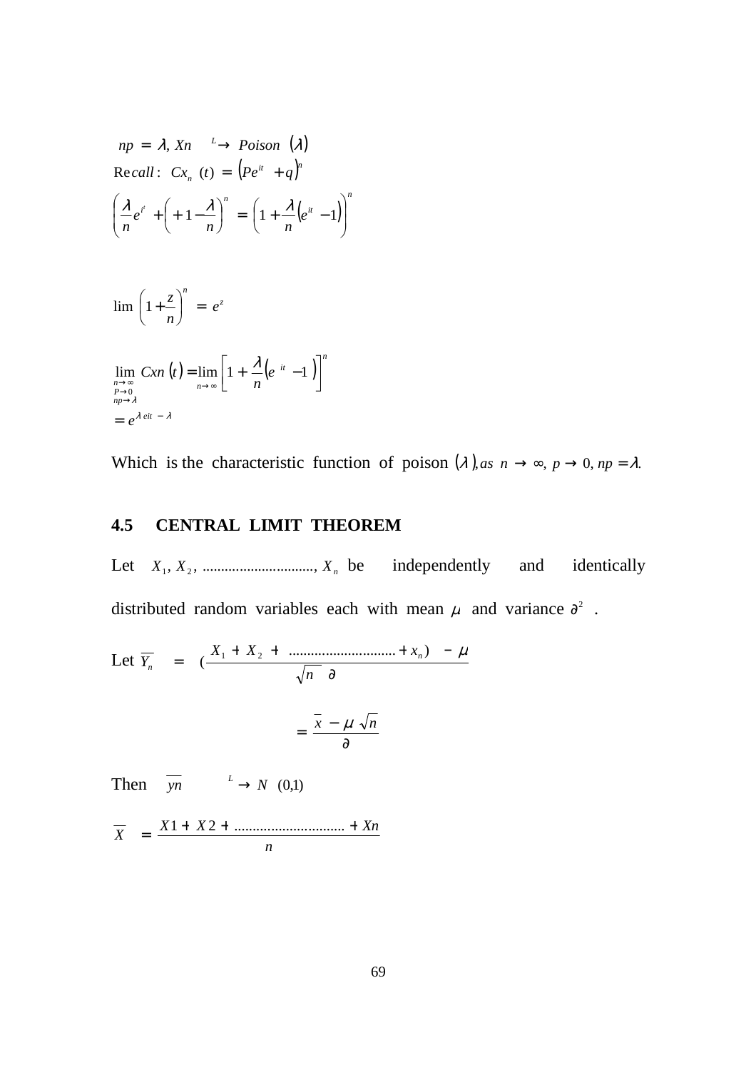$$
np = \lambda, \, Xn \xrightarrow{L} \, \text{Poison} \, (\lambda)
$$
\n
$$
\text{Recall:} \, \, \text{Cx}_n \, (t) = \left( P e^{it} + q \right)^n
$$
\n
$$
\left( \frac{\lambda}{n} e^{i^t} + \left( +1 - \frac{\lambda}{n} \right)^n = \left( 1 + \frac{\lambda}{n} \left( e^{it} - 1 \right) \right)^n
$$

$$
\lim_{n \to \infty} \left( 1 + \frac{z}{n} \right)^n = e^z
$$
  

$$
\lim_{\substack{n \to \infty \\ n \to 0 \\ np \to \lambda}} Cxn \left( t \right) = \lim_{n \to \infty} \left[ 1 + \frac{\lambda}{n} \left( e^{-it} - 1 \right) \right]^n
$$
  

$$
= e^{\lambda eit - \lambda}
$$

Which is the characteristic function of poison  $(\lambda)$ ,*as*  $n \to \infty$ ,  $p \to 0$ ,  $np = \lambda$ .

# **4.5 CENTRAL LIMIT THEOREM**

Let  $X_1, X_2, \dots$   $X_n$  be independently and identically distributed random variables each with mean  $\mu$  and variance  $\partial^2$ .

Let 
$$
\overline{Y}_n = (\frac{X_1 + X_2 + \dots + X_n}{\sqrt{n} \theta} - \mu
$$
  
=  $\frac{\overline{x} - \mu \sqrt{n}}{\partial}$ 

Then  $\overline{yn}$   $\stackrel{L}{\longrightarrow} N$  (0,1)

*n*  $\overline{X}$  =  $\frac{X1 + X2 + \dots}{Xn}$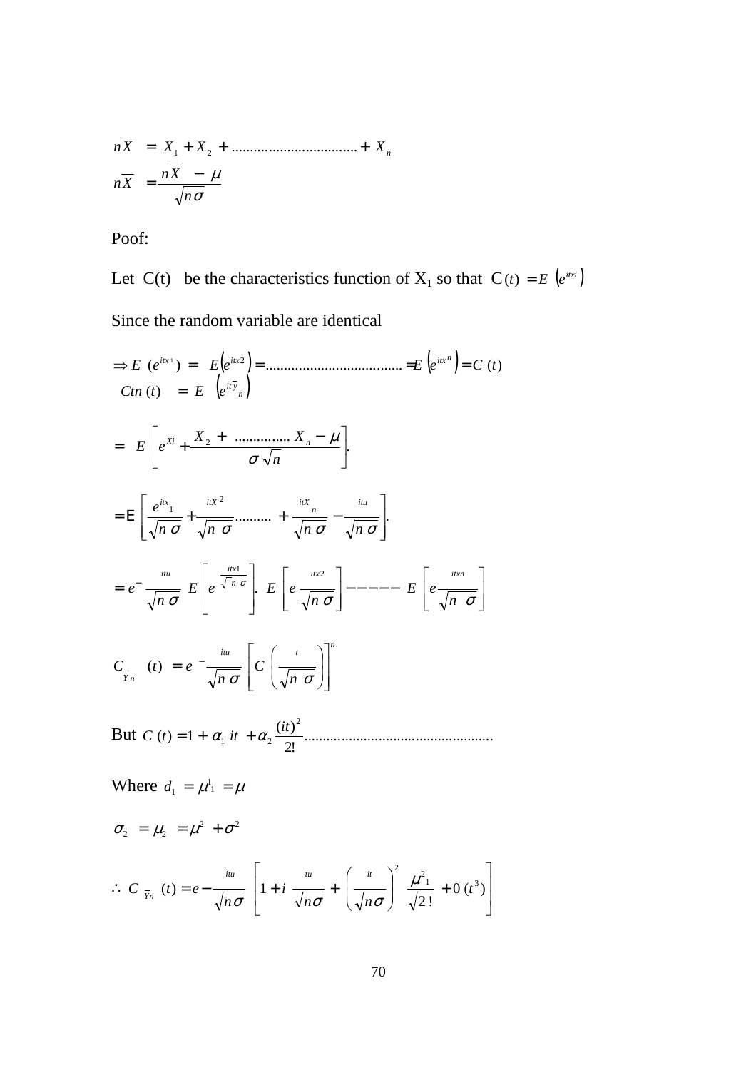$$
n\overline{X} = X_1 + X_2 + \dots + X_n
$$
  

$$
n\overline{X} = \frac{n\overline{X} - \mu}{\sqrt{n\sigma}}
$$

Poof:

Let C(t) be the characteristics function of  $X_1$  so that  $C(t) = E(e^{itx_i})$ 

Since the random variable are identical

( ) ( ) ( ) *<sup>n</sup> yit n itx itx itx Ctn t E e E e eE E eC t* = ⇒ = = = = )( ( ) ..................................... )( 1 2 . ............... <sup>2</sup> + − = + *n X X E e Xi n* σ µ .......... . 2 1 = Ε + + − *n* <sup>σ</sup> *n* <sup>σ</sup> *n* <sup>σ</sup> *n* <sup>σ</sup> *e itu n itx itX itX* −−−−− = − σ σ σ σ *n E e n E e E e n e itx itxn n itx itu* <sup>2</sup> 1 . *n itu t <sup>Y</sup> <sup>n</sup> n C n C t e* = − − σ σ )(

But ................................................... 2!  $(t) = 1 + \alpha_1 it + \alpha_2 \frac{(it)}{i}$ 2  $C(t) = 1 + \alpha_1 it + \alpha_2 \frac{(it)}{t}$ 

Where  $d_1 = \mu^1 = 1$  $d_{1}$ 

$$
\sigma_2 = \mu_2 = \mu^2 + \sigma^2
$$

$$
\therefore C_{\overline{Y}_n}(t) = e - \frac{iu}{\sqrt{n\sigma}} \left[ 1 + i \frac{u}{\sqrt{n\sigma}} + \left( \frac{u}{\sqrt{n\sigma}} \right)^2 \frac{\mu^2}{\sqrt{2!}} + 0 \left( t^3 \right) \right]
$$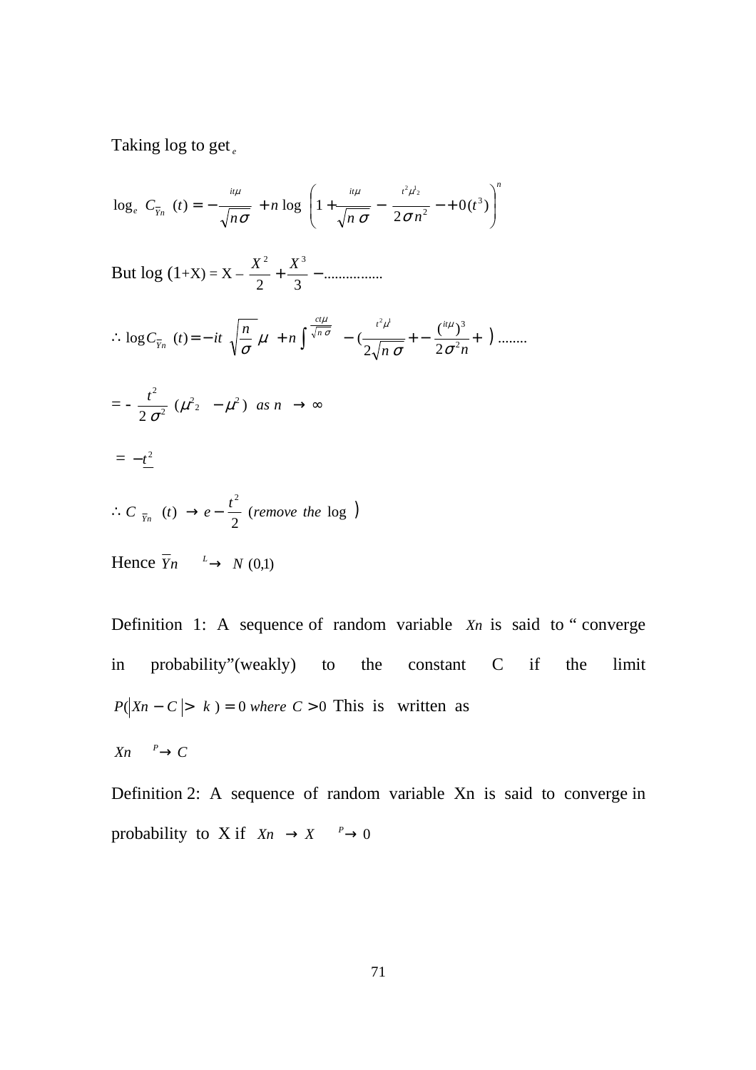Taking log to get *<sup>e</sup>*

$$
\log_e C_{\bar{Y}_n}(t) = -\frac{u\mu}{\sqrt{n\sigma}} + n \log \left(1 + \frac{u\mu}{\sqrt{n\sigma}} - \frac{t^2\mu^1}{2\sigma n^2} - \frac{1}{2} \left(t^3\right)\right)^n
$$

But  $\log(1+X) = X - \frac{A}{2} + \frac{A}{3} - \dots$ 2 3 2  $\mathbf{v}^3$  $\frac{X^2}{2} + \frac{X^3}{2} -$ 

$$
\therefore \log C_{\overline{Y}_n}(t) = -it \sqrt{\frac{n}{\sigma}} \mu + n \int_{0}^{\frac{ct\mu}{\sqrt{n}\sigma}} - (\frac{t^2\mu^2}{2\sqrt{n}\sigma} + \frac{(\mu^2\mu^3)}{2\sigma^2 n} + \ldots) \dots
$$

$$
=-\frac{t^2}{2\,\sigma^2}\,\left(\mu^2{}_2\,-\mu^2\right)\;as\;n\;\rightarrow\infty
$$

$$
= -t^2
$$

$$
\therefore C_{\overline{Y}_n} (t) \rightarrow e - \frac{t^2}{2} \text{ (remove the log )}
$$

Hence  $\overline{Y}_n \xrightarrow{L} N (0,1)$ 

Definition 1: A sequence of random variable *Xn* is said to " converge in probability"(weakly) to the constant C if the limit *P*( $\vert X_n - C \vert > k$ ) = 0 *where C* > 0 This is written as

 $X_n \xrightarrow{P} C$ 

Definition 2: A sequence of random variable Xn is said to converge in probability to X if  $X_n \to X \xrightarrow{p} 0$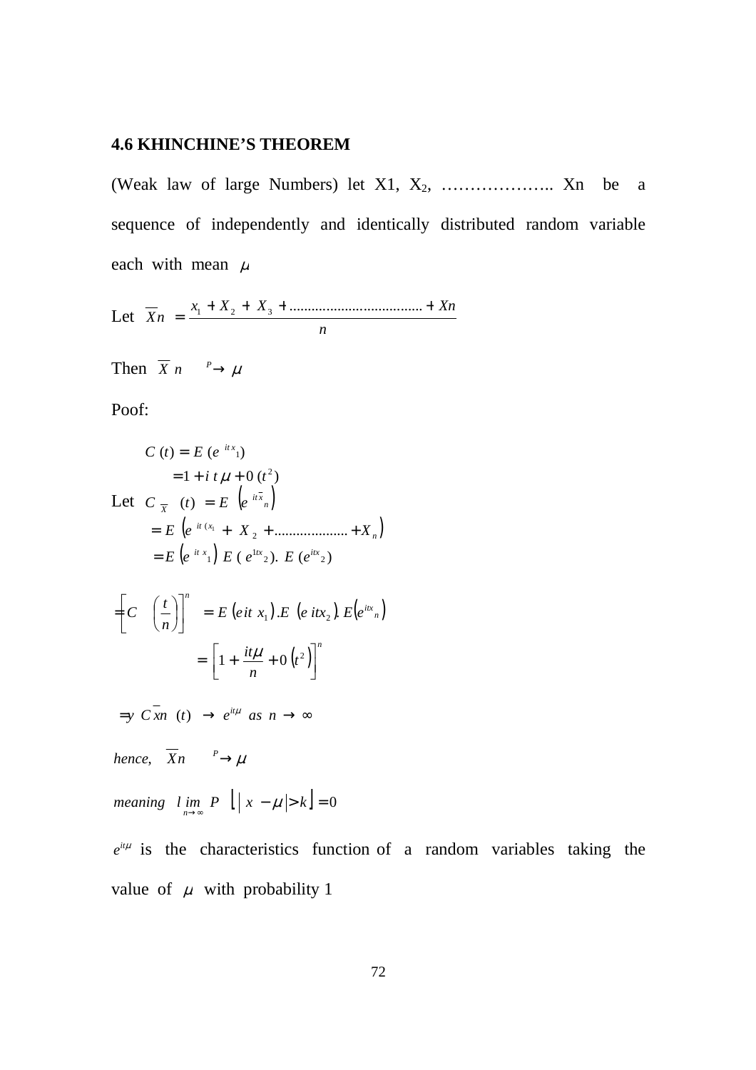#### **4.6 KHINCHINE'S THEOREM**

(Weak law of large Numbers) let X1, X<sub>2</sub>, ....................... Xn be a sequence of independently and identically distributed random variable each with mean  $\mu$ 

Let  $\overline{X}_n = \frac{x_1 + X_2 + X_3 + \dots + X_n}{n}$ 

Then  $\overline{X}$  n  $\frac{P}{\longrightarrow}\mu$ 

 $\mathbf{r}$ 

Poof:

$$
C(t) = E(e^{itx_1})
$$
  
\n
$$
= 1 + i t \mu + 0 (t^2)
$$
  
\nLet  $C_{\overline{x}}(t) = E(e^{it\overline{x_n}})$   
\n
$$
= E(e^{it(x_1} + X_2 + \dots + X_n))
$$
  
\n
$$
= E(e^{itx_1}) E(e^{itx_2}). E(e^{itx_2})
$$
  
\n
$$
= \left[C\left(\frac{t}{n}\right)\right]^{n} = E(e^{itx_1}).E(e^{itx_2}).E(e^{itx_n})
$$
  
\n
$$
= \left[1 + \frac{it\mu}{n} + 0 (t^2)\right]^{n}
$$
  
\n
$$
= y C \overline{x} n(t) \rightarrow e^{it\mu} \text{ as } n \rightarrow \infty
$$
  
\nhence,  $\overline{X} n \xrightarrow{P} \mu$   
\nmeaning  $l \lim_{n \rightarrow \infty} P\left[ |x - \mu| > k \right] = 0$   
\n $e^{it\mu}$  is the characteristics function of

a random variables taking the value of  $\mu$  with probability 1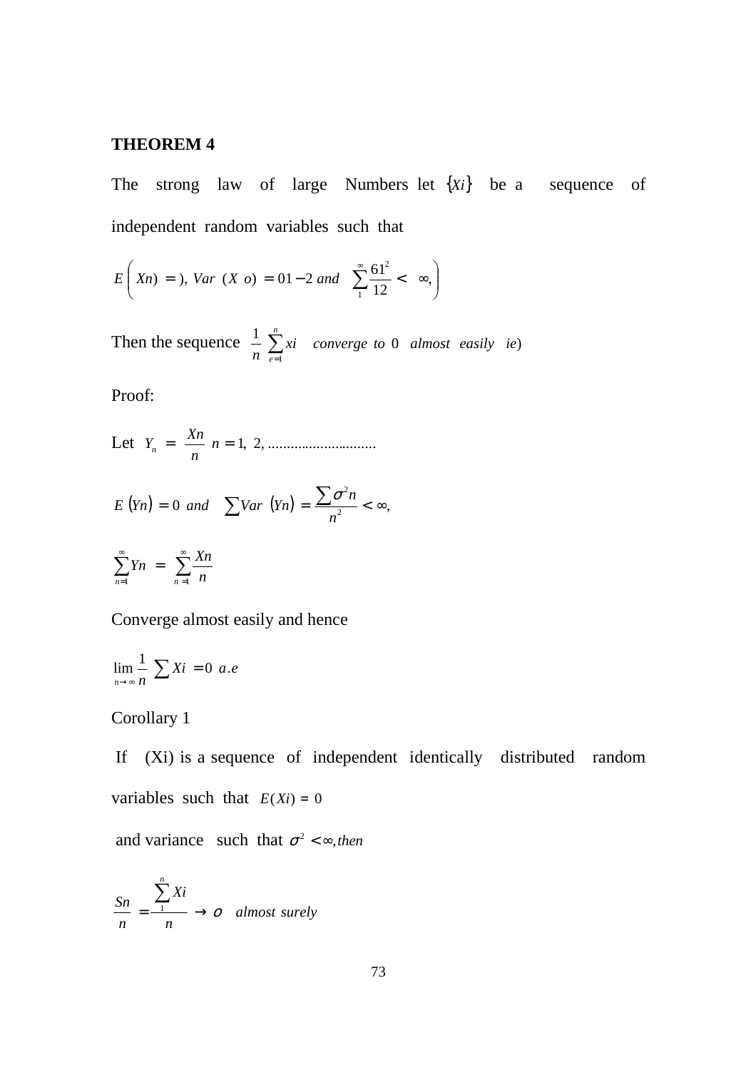#### **THEOREM 4**

The strong law of large Numbers let {*Xi*} be a sequence of independent random variables such that

$$
E\left(Xn\right) = 0, \ Var\ (X\ o) = 01 - 2 \ and \ \sum_{1}^{\infty} \frac{61^2}{12} < \infty,
$$

Then the sequence  $\frac{1}{n} \sum_{n=1}^{\infty}$ = *n e xi converge to almost easily ie*  $n \nightharpoonup e=1$  $\frac{1}{2} \sum_{i=1}^{n} x_i$  converge to 0 almost easily ie)

Proof:

Let 
$$
Y_n = \frac{X_n}{n} n = 1, 2, \dots
$$

$$
E(Yn) = 0
$$
 and  $\sum Var(Yn) = \frac{\sum \sigma^2 n}{n^2} < \infty$ ,

$$
\sum_{n=1}^{\infty} Yn = \sum_{n=1}^{\infty} \frac{Xn}{n}
$$

Converge almost easily and hence

$$
\lim_{n \to \infty} \frac{1}{n} \sum X i = 0 \ a.e
$$

## Corollary 1

 If (Xi) is a sequence of independent identically distributed random variables such that  $E(X_i) = 0$ 

and variance such that  $\sigma^2 < \infty$ , then

$$
\frac{Sn}{n} = \frac{\sum_{1}^{n} Xi}{n} \to o \quad almost surely
$$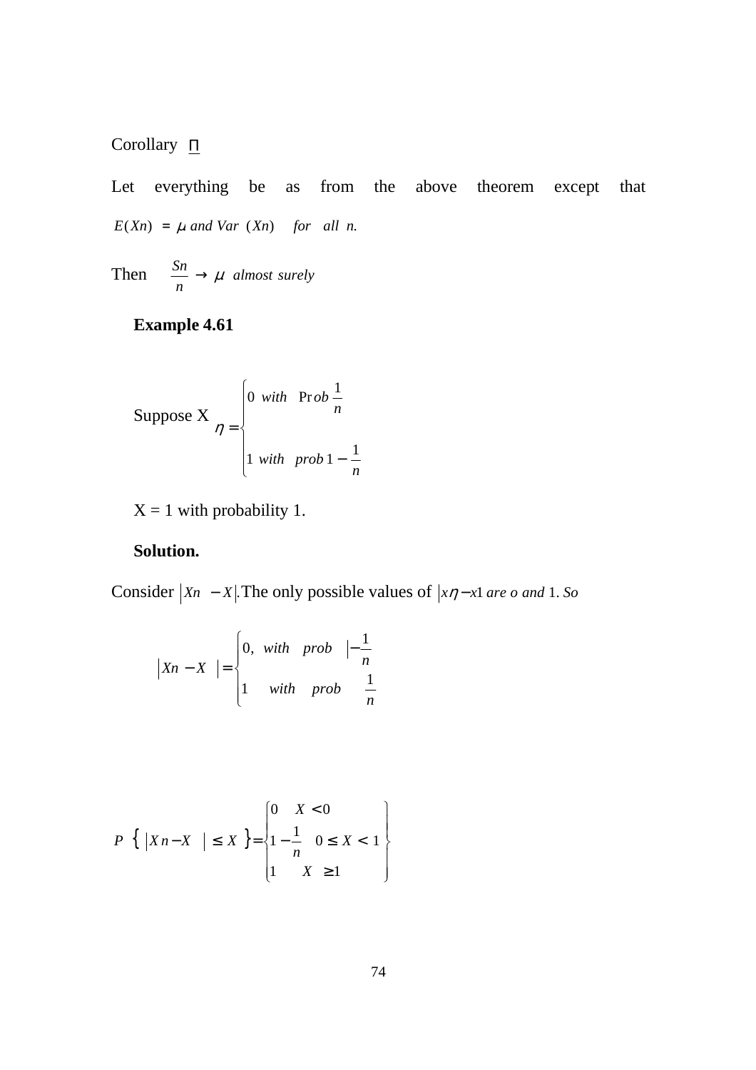## Corollary Π

Let everything be as from the above theorem except that  $E(Xn) = \mu$  *and Var*  $(Xn)$  *for all n.* 

Then  $\frac{\delta n}{\delta} \rightarrow \mu$  almost surely *n*  $\frac{Sn}{\sim} \rightarrow \mu$ 

## **Example 4.61**

Suppose X 
$$
\eta = \begin{cases} 0 & \text{with} \quad \text{Prob} \frac{1}{n} \\ 1 & \text{with} \quad \text{prob} \, 1 - \frac{1}{n} \end{cases}
$$

 $X = 1$  with probability 1.

## **Solution.**

Consider  $|X_n - X|$ . The only possible values of  $|x\eta - x|$  *are o and* 1. *So* 

$$
\begin{vmatrix} Xn - X \end{vmatrix} = \begin{cases} 0, & with \quad prob \quad \frac{1}{n} \\ 1 & with \quad prob \quad \frac{1}{n} \end{cases}
$$

$$
P\{\ |Xn - X \ | \leq X \} = \begin{cases} 0 & X < 0 \\ 1 - \frac{1}{n} & 0 \leq X < 1 \\ 1 & X \geq 1 \end{cases}
$$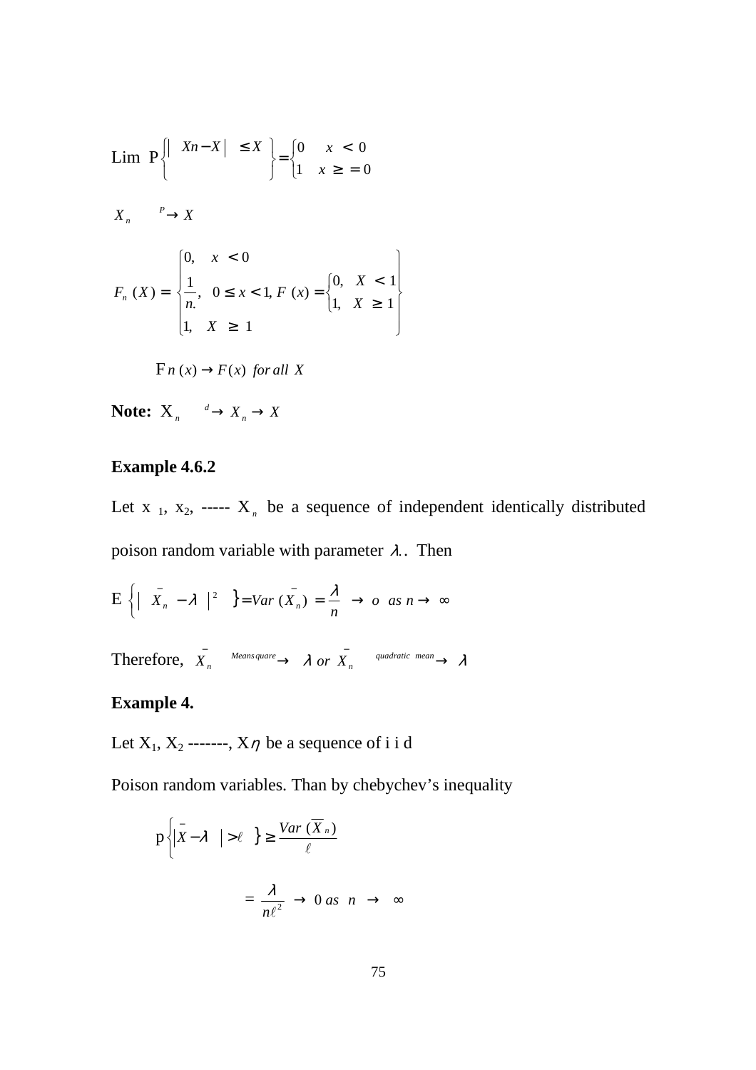$$
\begin{aligned}\n\text{Lim } P \left\{ \left| \begin{array}{c} Xn - X \mid & \leq X \\ \end{array} \right\} &= \begin{cases} 0 & x < 0 \\ 1 & x \geq 0 \end{cases} \\
X_n & \xrightarrow{P} X \\
X_n & \xrightarrow{P} X\n\end{aligned}\n\end{aligned}
$$
\n
$$
F_n(X) = \begin{cases} \n0, & x < 0 \\ \n\frac{1}{n}, & 0 \leq x < 1, F(x) = \begin{cases} \n0, & X < 1 \\ \n1, & X \geq 1 \n\end{cases} \\
F_n(x) \to F(x) \text{ for all } X
$$

**Note:**  $X_n \xrightarrow{d} X_n \to X$ 

#### **Example 4.6.2**

Let  $x_1, x_2, \ldots, x_n$  be a sequence of independent identically distributed poison random variable with parameter  $\lambda$ . Then

 $E\left\{\left|\begin{array}{cc} \bar{x}_n - \lambda \end{array}\right|^2\right\} = Var\left(\bar{X}_n\right) = \frac{\lambda}{n} \rightarrow o \text{ as } n \rightarrow \infty$ 

Therefore,  $\overline{X}_n \xrightarrow{\text{Mean square}} \lambda \text{ or } \overline{X}_n \xrightarrow{\text{quadratic mean}} \lambda$ 

## **Example 4.**

Let  $X_1, X_2$  ------,  $X\eta$  be a sequence of i i d

Poison random variables. Than by chebychev's inequality

$$
p\left\{\left|\bar{X} - \lambda \right| > \ell \right\} \ge \frac{Var\left(\overline{X}_n\right)}{\ell}
$$

$$
= \frac{\lambda}{n\ell^2} \to 0 \text{ as } n \to \infty
$$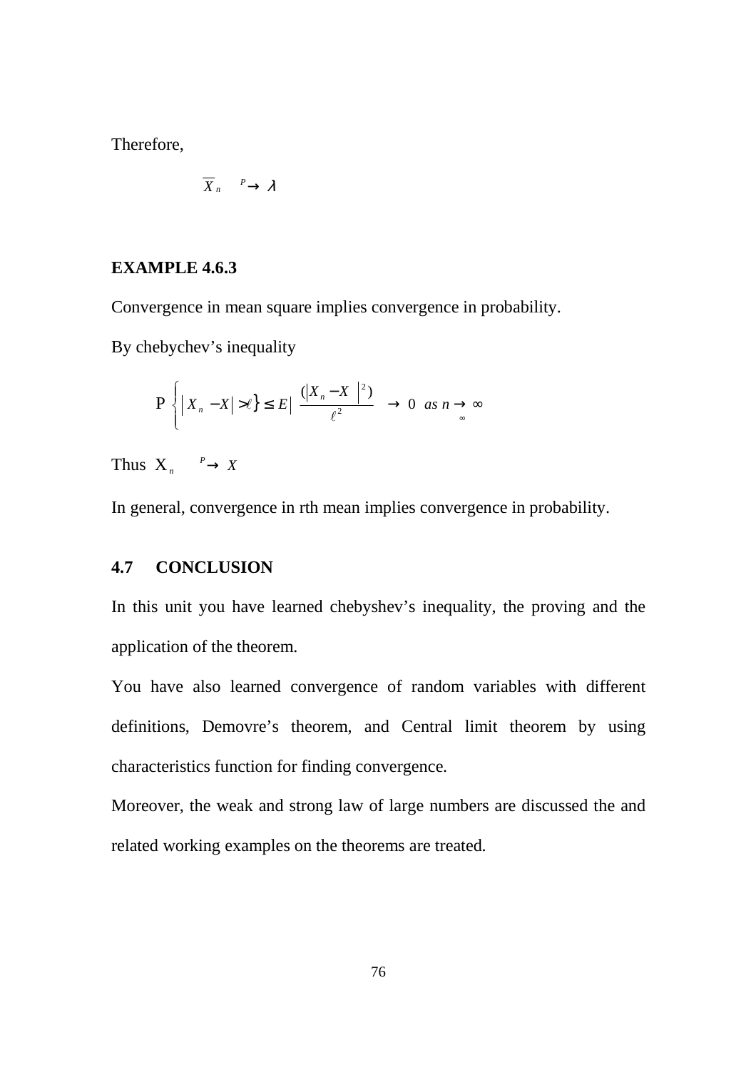Therefore,

$$
\overline{X}_n \xrightarrow{P} \lambda
$$

#### **EXAMPLE 4.6.3**

Convergence in mean square implies convergence in probability.

By chebychev's inequality

$$
P\left\{|X_n - X| > \ell\} \le E \Big|\frac{(|X_n - X|^2)}{\ell^2} \to 0 \text{ as } n \to \infty
$$

Thus  $X_n \xrightarrow{p} X$ 

In general, convergence in rth mean implies convergence in probability.

## **4.7 CONCLUSION**

In this unit you have learned chebyshev's inequality, the proving and the application of the theorem.

You have also learned convergence of random variables with different definitions, Demovre's theorem, and Central limit theorem by using characteristics function for finding convergence.

Moreover, the weak and strong law of large numbers are discussed the and related working examples on the theorems are treated.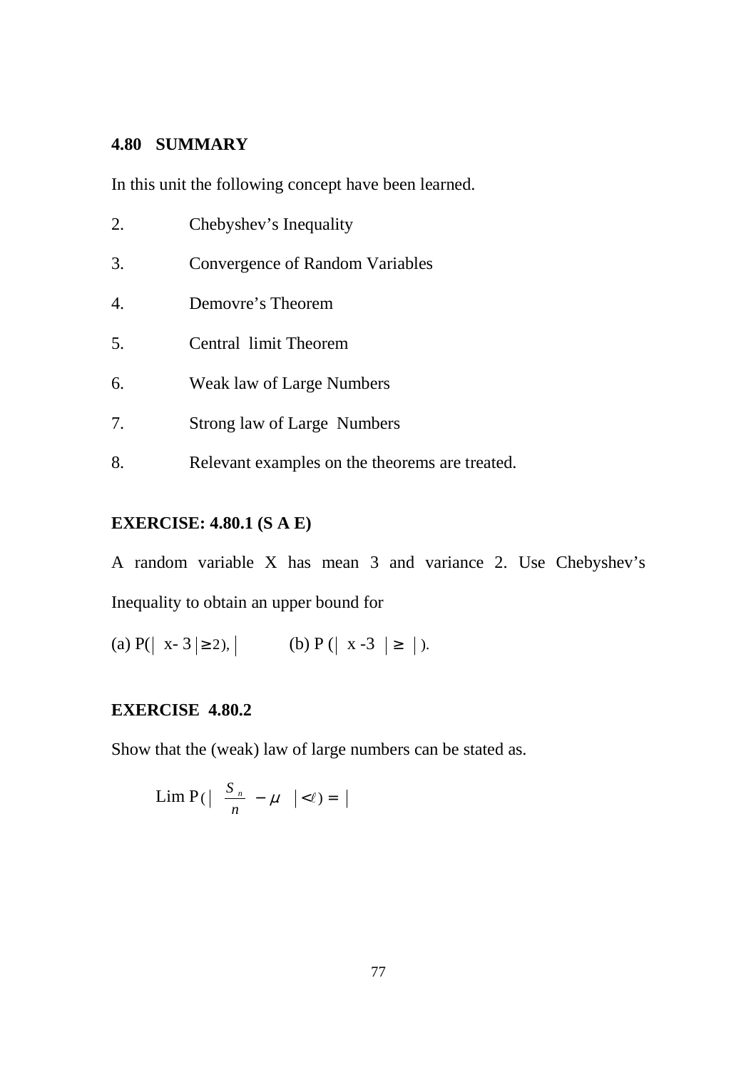## **4.80 SUMMARY**

In this unit the following concept have been learned.

| 2. | Chebyshev's Inequality          |
|----|---------------------------------|
| 3. | Convergence of Random Variables |
| 4. | Demovre's Theorem               |
| 5. | Central limit Theorem           |
| 6. | Weak law of Large Numbers       |
| 7. | Strong law of Large Numbers     |

8. Relevant examples on the theorems are treated.

# **EXERCISE: 4.80.1 (S A E)**

A random variable X has mean 3 and variance 2. Use Chebyshev's Inequality to obtain an upper bound for

(a) 
$$
P(|x-3| \ge 2)
$$
,   
 (b)  $P(|x-3| \ge |)$ .

# **EXERCISE 4.80.2**

Show that the (weak) law of large numbers can be stated as.

$$
\operatorname{Lim} \mathrm{P}(\left|\frac{S_n}{n} - \mu\right| < \ell) = \left|\right|
$$